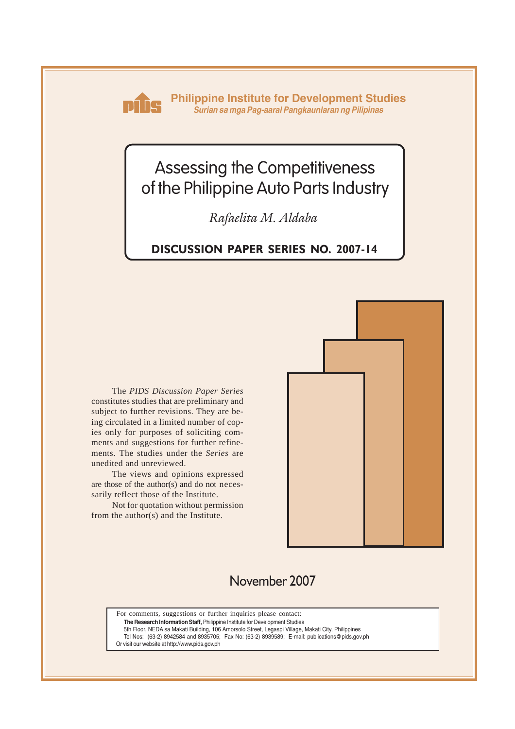

**Philippine Institute for Development Studies** *Surian sa mga Pag-aaral Pangkaunlaran ng Pilipinas*

# Assessing the Competitiveness of the Philippine Auto Parts Industry

*Rafaelita M. Aldaba*

## **DISCUSSION PAPER SERIES NO. 2007-14**

The *PIDS Discussion Paper Series* constitutes studies that are preliminary and subject to further revisions. They are being circulated in a limited number of copies only for purposes of soliciting comments and suggestions for further refinements. The studies under the *Series* are unedited and unreviewed.

The views and opinions expressed are those of the author(s) and do not necessarily reflect those of the Institute.

Not for quotation without permission from the author(s) and the Institute.



# November 2007

For comments, suggestions or further inquiries please contact:

**The Research Information Staff,** Philippine Institute for Development Studies

5th Floor, NEDA sa Makati Building, 106 Amorsolo Street, Legaspi Village, Makati City, Philippines Tel Nos: (63-2) 8942584 and 8935705; Fax No: (63-2) 8939589; E-mail: publications@pids.gov.ph Or visit our website at http://www.pids.gov.ph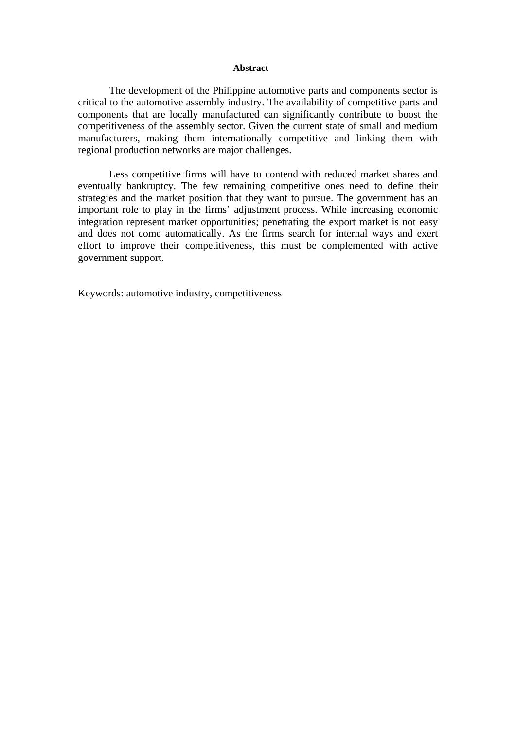#### **Abstract**

The development of the Philippine automotive parts and components sector is critical to the automotive assembly industry. The availability of competitive parts and components that are locally manufactured can significantly contribute to boost the competitiveness of the assembly sector. Given the current state of small and medium manufacturers, making them internationally competitive and linking them with regional production networks are major challenges.

Less competitive firms will have to contend with reduced market shares and eventually bankruptcy. The few remaining competitive ones need to define their strategies and the market position that they want to pursue. The government has an important role to play in the firms' adjustment process. While increasing economic integration represent market opportunities; penetrating the export market is not easy and does not come automatically. As the firms search for internal ways and exert effort to improve their competitiveness, this must be complemented with active government support.

Keywords: automotive industry, competitiveness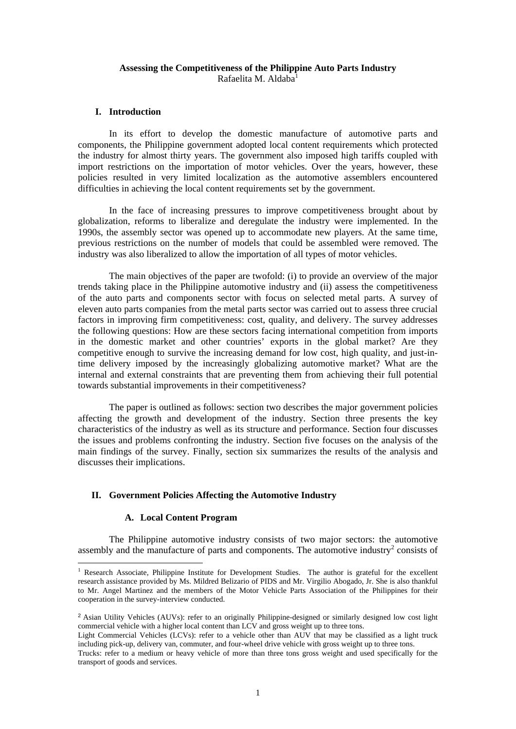#### **Assessing the Competitiveness of the Philippine Auto Parts Industry**  Rafaelita M. Aldaba<sup>1</sup>

#### **I. Introduction**

In its effort to develop the domestic manufacture of automotive parts and components, the Philippine government adopted local content requirements which protected the industry for almost thirty years. The government also imposed high tariffs coupled with import restrictions on the importation of motor vehicles. Over the years, however, these policies resulted in very limited localization as the automotive assemblers encountered difficulties in achieving the local content requirements set by the government.

 In the face of increasing pressures to improve competitiveness brought about by globalization, reforms to liberalize and deregulate the industry were implemented. In the 1990s, the assembly sector was opened up to accommodate new players. At the same time, previous restrictions on the number of models that could be assembled were removed. The industry was also liberalized to allow the importation of all types of motor vehicles.

 The main objectives of the paper are twofold: (i) to provide an overview of the major trends taking place in the Philippine automotive industry and (ii) assess the competitiveness of the auto parts and components sector with focus on selected metal parts. A survey of eleven auto parts companies from the metal parts sector was carried out to assess three crucial factors in improving firm competitiveness: cost, quality, and delivery. The survey addresses the following questions: How are these sectors facing international competition from imports in the domestic market and other countries' exports in the global market? Are they competitive enough to survive the increasing demand for low cost, high quality, and just-intime delivery imposed by the increasingly globalizing automotive market? What are the internal and external constraints that are preventing them from achieving their full potential towards substantial improvements in their competitiveness?

 The paper is outlined as follows: section two describes the major government policies affecting the growth and development of the industry. Section three presents the key characteristics of the industry as well as its structure and performance. Section four discusses the issues and problems confronting the industry. Section five focuses on the analysis of the main findings of the survey. Finally, section six summarizes the results of the analysis and discusses their implications.

#### **II. Government Policies Affecting the Automotive Industry**

#### **A. Local Content Program**

1

The Philippine automotive industry consists of two major sectors: the automotive assembly and the manufacture of parts and components. The automotive industry<sup>2</sup> consists of

<sup>&</sup>lt;sup>1</sup> Research Associate, Philippine Institute for Development Studies. The author is grateful for the excellent research assistance provided by Ms. Mildred Belizario of PIDS and Mr. Virgilio Abogado, Jr. She is also thankful to Mr. Angel Martinez and the members of the Motor Vehicle Parts Association of the Philippines for their cooperation in the survey-interview conducted.

<sup>&</sup>lt;sup>2</sup> Asian Utility Vehicles (AUVs): refer to an originally Philippine-designed or similarly designed low cost light commercial vehicle with a higher local content than LCV and gross weight up to three tons.

Light Commercial Vehicles (LCVs): refer to a vehicle other than AUV that may be classified as a light truck including pick-up, delivery van, commuter, and four-wheel drive vehicle with gross weight up to three tons.

Trucks: refer to a medium or heavy vehicle of more than three tons gross weight and used specifically for the transport of goods and services.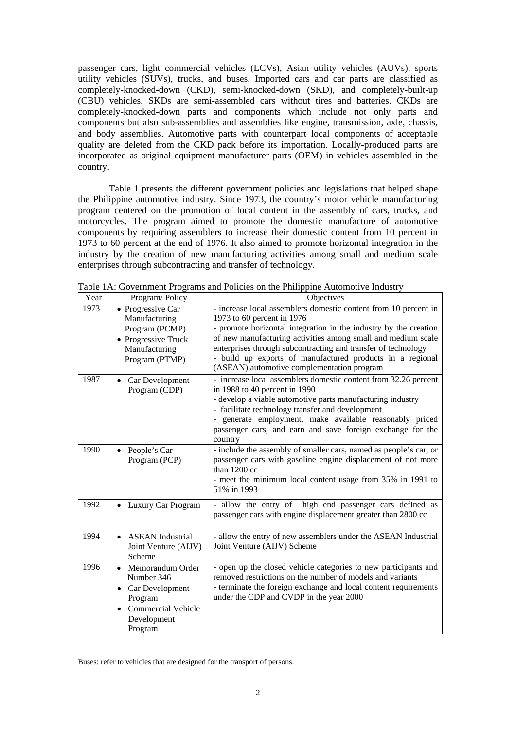passenger cars, light commercial vehicles (LCVs), Asian utility vehicles (AUVs), sports utility vehicles (SUVs), trucks, and buses. Imported cars and car parts are classified as completely-knocked-down (CKD), semi-knocked-down (SKD), and completely-built-up (CBU) vehicles. SKDs are semi-assembled cars without tires and batteries. CKDs are completely-knocked-down parts and components which include not only parts and components but also sub-assemblies and assemblies like engine, transmission, axle, chassis, and body assemblies. Automotive parts with counterpart local components of acceptable quality are deleted from the CKD pack before its importation. Locally-produced parts are incorporated as original equipment manufacturer parts (OEM) in vehicles assembled in the country.

Table 1 presents the different government policies and legislations that helped shape the Philippine automotive industry. Since 1973, the country's motor vehicle manufacturing program centered on the promotion of local content in the assembly of cars, trucks, and motorcycles. The program aimed to promote the domestic manufacture of automotive components by requiring assemblers to increase their domestic content from 10 percent in 1973 to 60 percent at the end of 1976. It also aimed to promote horizontal integration in the industry by the creation of new manufacturing activities among small and medium scale enterprises through subcontracting and transfer of technology.

| Year | Program/Policy                                                                                                                                             | Objectives                                                                                                                                                                                                                                                                                                                                             |
|------|------------------------------------------------------------------------------------------------------------------------------------------------------------|--------------------------------------------------------------------------------------------------------------------------------------------------------------------------------------------------------------------------------------------------------------------------------------------------------------------------------------------------------|
| 1973 | • Progressive Car<br>Manufacturing                                                                                                                         | - increase local assemblers domestic content from 10 percent in<br>1973 to 60 percent in 1976<br>- promote horizontal integration in the industry by the creation                                                                                                                                                                                      |
|      | Program (PCMP)<br>• Progressive Truck<br>Manufacturing<br>Program (PTMP)                                                                                   | of new manufacturing activities among small and medium scale<br>enterprises through subcontracting and transfer of technology<br>- build up exports of manufactured products in a regional<br>(ASEAN) automotive complementation program                                                                                                               |
| 1987 | Car Development<br>$\bullet$<br>Program (CDP)                                                                                                              | - increase local assemblers domestic content from 32.26 percent<br>in 1988 to 40 percent in 1990<br>- develop a viable automotive parts manufacturing industry<br>- facilitate technology transfer and development<br>- generate employment, make available reasonably priced<br>passenger cars, and earn and save foreign exchange for the<br>country |
| 1990 | People's Car<br>$\bullet$<br>Program (PCP)                                                                                                                 | - include the assembly of smaller cars, named as people's car, or<br>passenger cars with gasoline engine displacement of not more<br>than 1200 cc<br>- meet the minimum local content usage from 35% in 1991 to<br>51% in 1993                                                                                                                         |
| 1992 | Luxury Car Program<br>$\bullet$                                                                                                                            | - allow the entry of high end passenger cars defined as<br>passenger cars with engine displacement greater than 2800 cc                                                                                                                                                                                                                                |
| 1994 | <b>ASEAN</b> Industrial<br>Joint Venture (AIJV)<br>Scheme                                                                                                  | - allow the entry of new assemblers under the ASEAN Industrial<br>Joint Venture (AIJV) Scheme                                                                                                                                                                                                                                                          |
| 1996 | Memorandum Order<br>$\bullet$<br>Number 346<br>Car Development<br>$\bullet$<br>Program<br><b>Commercial Vehicle</b><br>$\bullet$<br>Development<br>Program | - open up the closed vehicle categories to new participants and<br>removed restrictions on the number of models and variants<br>- terminate the foreign exchange and local content requirements<br>under the CDP and CVDP in the year 2000                                                                                                             |

Table 1A: Government Programs and Policies on the Philippine Automotive Industry

Buses: refer to vehicles that are designed for the transport of persons.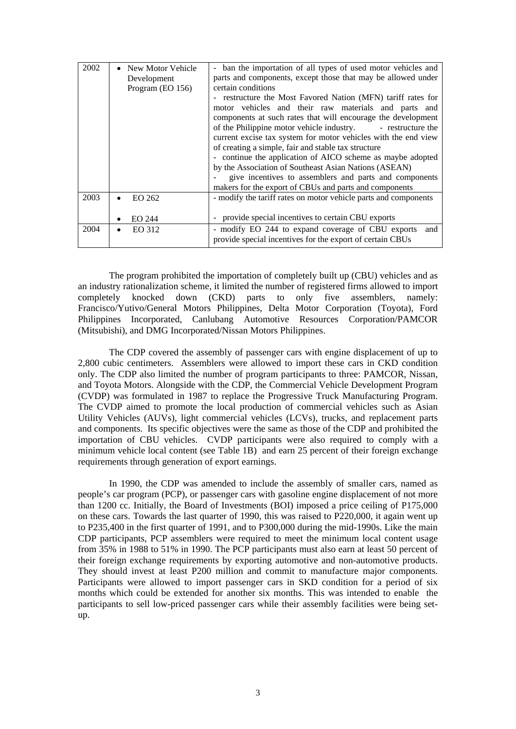| 2002 | New Motor Vehicle<br>$\bullet$<br>Development<br>Program (EO 156) | - ban the importation of all types of used motor vehicles and<br>parts and components, except those that may be allowed under<br>certain conditions<br>- restructure the Most Favored Nation (MFN) tariff rates for<br>motor vehicles and their raw materials and parts and<br>components at such rates that will encourage the development<br>of the Philippine motor vehicle industry.<br>- restructure the<br>current excise tax system for motor vehicles with the end view<br>of creating a simple, fair and stable tax structure<br>- continue the application of AICO scheme as maybe adopted<br>by the Association of Southeast Asian Nations (ASEAN)<br>give incentives to assemblers and parts and components<br>makers for the export of CBUs and parts and components |
|------|-------------------------------------------------------------------|-----------------------------------------------------------------------------------------------------------------------------------------------------------------------------------------------------------------------------------------------------------------------------------------------------------------------------------------------------------------------------------------------------------------------------------------------------------------------------------------------------------------------------------------------------------------------------------------------------------------------------------------------------------------------------------------------------------------------------------------------------------------------------------|
| 2003 | EO 262<br>$\bullet$<br>EO 244<br>٠                                | - modify the tariff rates on motor vehicle parts and components<br>provide special incentives to certain CBU exports                                                                                                                                                                                                                                                                                                                                                                                                                                                                                                                                                                                                                                                              |
| 2004 | EO 312<br>٠                                                       | - modify EO 244 to expand coverage of CBU exports<br>and<br>provide special incentives for the export of certain CBUs                                                                                                                                                                                                                                                                                                                                                                                                                                                                                                                                                                                                                                                             |

The program prohibited the importation of completely built up (CBU) vehicles and as an industry rationalization scheme, it limited the number of registered firms allowed to import completely knocked down (CKD) parts to only five assemblers, namely: Francisco/Yutivo/General Motors Philippines, Delta Motor Corporation (Toyota), Ford Philippines Incorporated, Canlubang Automotive Resources Corporation/PAMCOR (Mitsubishi), and DMG Incorporated/Nissan Motors Philippines.

The CDP covered the assembly of passenger cars with engine displacement of up to 2,800 cubic centimeters. Assemblers were allowed to import these cars in CKD condition only. The CDP also limited the number of program participants to three: PAMCOR, Nissan, and Toyota Motors. Alongside with the CDP, the Commercial Vehicle Development Program (CVDP) was formulated in 1987 to replace the Progressive Truck Manufacturing Program. The CVDP aimed to promote the local production of commercial vehicles such as Asian Utility Vehicles (AUVs), light commercial vehicles (LCVs), trucks, and replacement parts and components. Its specific objectives were the same as those of the CDP and prohibited the importation of CBU vehicles. CVDP participants were also required to comply with a minimum vehicle local content (see Table 1B) and earn 25 percent of their foreign exchange requirements through generation of export earnings.

In 1990, the CDP was amended to include the assembly of smaller cars, named as people's car program (PCP), or passenger cars with gasoline engine displacement of not more than 1200 cc. Initially, the Board of Investments (BOI) imposed a price ceiling of P175,000 on these cars. Towards the last quarter of 1990, this was raised to P220,000, it again went up to P235,400 in the first quarter of 1991, and to P300,000 during the mid-1990s. Like the main CDP participants, PCP assemblers were required to meet the minimum local content usage from 35% in 1988 to 51% in 1990. The PCP participants must also earn at least 50 percent of their foreign exchange requirements by exporting automotive and non-automotive products. They should invest at least P200 million and commit to manufacture major components. Participants were allowed to import passenger cars in SKD condition for a period of six months which could be extended for another six months. This was intended to enable the participants to sell low-priced passenger cars while their assembly facilities were being setup.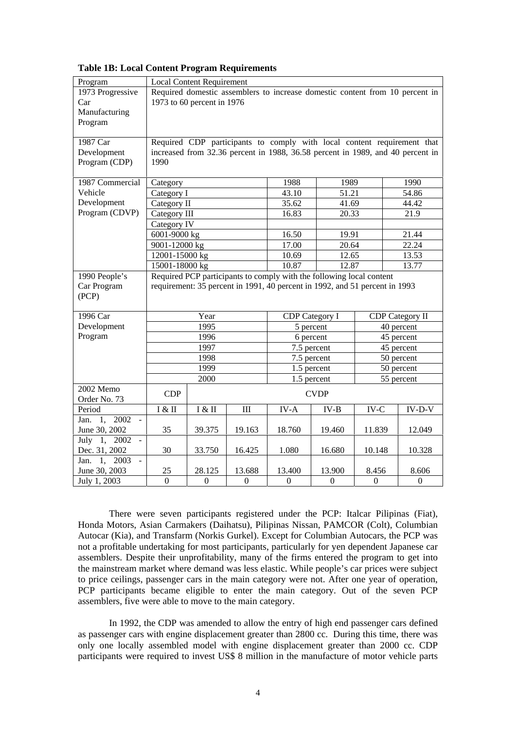| Program                  |                         | <b>Local Content Requirement</b> |                  |                |                                                                                |                |                        |  |
|--------------------------|-------------------------|----------------------------------|------------------|----------------|--------------------------------------------------------------------------------|----------------|------------------------|--|
| 1973 Progressive         |                         |                                  |                  |                | Required domestic assemblers to increase domestic content from 10 percent in   |                |                        |  |
| Car                      |                         | 1973 to 60 percent in 1976       |                  |                |                                                                                |                |                        |  |
| Manufacturing            |                         |                                  |                  |                |                                                                                |                |                        |  |
| Program                  |                         |                                  |                  |                |                                                                                |                |                        |  |
|                          |                         |                                  |                  |                |                                                                                |                |                        |  |
| 1987 Car                 |                         |                                  |                  |                | Required CDP participants to comply with local content requirement that        |                |                        |  |
| Development              |                         |                                  |                  |                | increased from 32.36 percent in 1988, 36.58 percent in 1989, and 40 percent in |                |                        |  |
| Program (CDP)            | 1990                    |                                  |                  |                |                                                                                |                |                        |  |
|                          |                         |                                  |                  |                |                                                                                |                |                        |  |
| 1987 Commercial          | Category                |                                  |                  | 1988           | 1989                                                                           |                | 1990                   |  |
| Vehicle                  | Category $\overline{I}$ |                                  |                  | 43.10          | 51.21                                                                          |                | 54.86                  |  |
| Development              | Category II             |                                  |                  | 35.62          | 41.69                                                                          |                | 44.42                  |  |
| Program (CDVP)           | Category III            |                                  |                  | 16.83          | 20.33                                                                          |                | 21.9                   |  |
|                          | Category IV             |                                  |                  |                |                                                                                |                |                        |  |
|                          | 6001-9000 kg            |                                  |                  | 16.50          | 19.91                                                                          |                | 21.44                  |  |
|                          | 9001-12000 kg           |                                  |                  | 17.00          | 20.64                                                                          |                | 22.24                  |  |
|                          | 12001-15000 kg          |                                  |                  | 10.69<br>10.87 | 12.65                                                                          |                | 13.53                  |  |
|                          |                         | 15001-18000 kg                   |                  |                | 12.87                                                                          |                | 13.77                  |  |
| 1990 People's            |                         |                                  |                  |                | Required PCP participants to comply with the following local content           |                |                        |  |
| Car Program              |                         |                                  |                  |                | requirement: 35 percent in 1991, 40 percent in 1992, and 51 percent in 1993    |                |                        |  |
| (PCP)                    |                         |                                  |                  |                |                                                                                |                |                        |  |
|                          |                         |                                  |                  |                |                                                                                |                |                        |  |
| 1996 Car                 |                         | Year                             |                  |                | <b>CDP</b> Category I                                                          |                | <b>CDP</b> Category II |  |
| Development              |                         | 1995                             |                  |                | 5 percent                                                                      |                | 40 percent             |  |
| Program                  |                         | 1996                             |                  |                | 6 percent                                                                      |                | 45 percent             |  |
|                          |                         | 1997                             |                  | 7.5 percent    |                                                                                | 45 percent     |                        |  |
|                          |                         | 1998                             |                  | 7.5 percent    |                                                                                | 50 percent     |                        |  |
|                          |                         | 1999                             |                  | 1.5 percent    |                                                                                | 50 percent     |                        |  |
|                          |                         | 2000                             |                  |                | 1.5 percent                                                                    |                | 55 percent             |  |
| 2002 Memo                | CDP                     |                                  |                  |                | <b>CVDP</b>                                                                    |                |                        |  |
| Order No. 73             |                         |                                  |                  |                |                                                                                |                |                        |  |
| Period                   | I & H                   | I & H                            | $\rm III$        | IV-A           | $IV-B$                                                                         | $IV-C$         | $IV-D-V$               |  |
| 1, 2002<br>Jan.          |                         |                                  |                  |                |                                                                                |                |                        |  |
| June 30, 2002            | 35                      | 39.375                           | 19.163           | 18.760         | 19.460                                                                         | 11.839         | 12.049                 |  |
| July $1, 2002$<br>$\sim$ |                         |                                  |                  |                |                                                                                |                |                        |  |
| Dec. 31, 2002            | 30                      | 33.750                           | 16.425           | 1.080          | 16.680                                                                         | 10.148         | 10.328                 |  |
| Jan. 1, 2003<br>$\sim$   |                         |                                  |                  |                |                                                                                |                |                        |  |
| June 30, 2003            | 25                      | 28.125                           | 13.688           | 13.400         | 13.900                                                                         | 8.456          | 8.606                  |  |
| July 1, 2003             | $\theta$                | $\mathbf{0}$                     | $\boldsymbol{0}$ | $\overline{0}$ | $\overline{0}$                                                                 | $\overline{0}$ | $\boldsymbol{0}$       |  |

#### **Table 1B: Local Content Program Requirements**

 There were seven participants registered under the PCP: Italcar Pilipinas (Fiat), Honda Motors, Asian Carmakers (Daihatsu), Pilipinas Nissan, PAMCOR (Colt), Columbian Autocar (Kia), and Transfarm (Norkis Gurkel). Except for Columbian Autocars, the PCP was not a profitable undertaking for most participants, particularly for yen dependent Japanese car assemblers. Despite their unprofitability, many of the firms entered the program to get into the mainstream market where demand was less elastic. While people's car prices were subject to price ceilings, passenger cars in the main category were not. After one year of operation, PCP participants became eligible to enter the main category. Out of the seven PCP assemblers, five were able to move to the main category.

In 1992, the CDP was amended to allow the entry of high end passenger cars defined as passenger cars with engine displacement greater than 2800 cc. During this time, there was only one locally assembled model with engine displacement greater than 2000 cc. CDP participants were required to invest US\$ 8 million in the manufacture of motor vehicle parts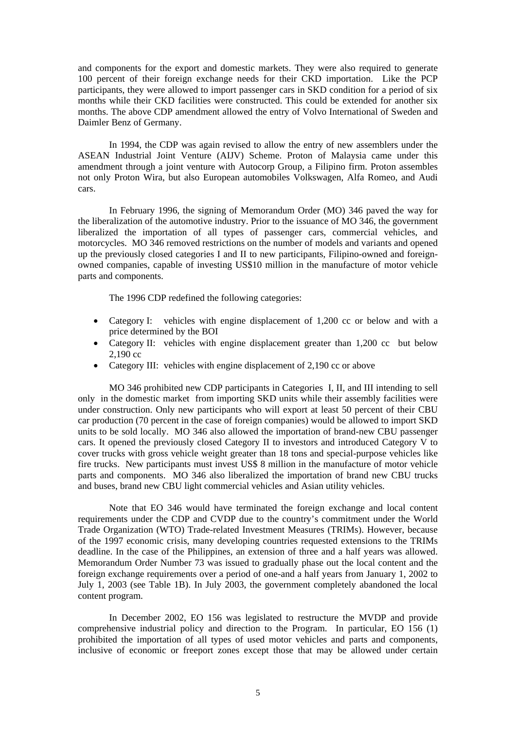and components for the export and domestic markets. They were also required to generate 100 percent of their foreign exchange needs for their CKD importation. Like the PCP participants, they were allowed to import passenger cars in SKD condition for a period of six months while their CKD facilities were constructed. This could be extended for another six months. The above CDP amendment allowed the entry of Volvo International of Sweden and Daimler Benz of Germany.

 In 1994, the CDP was again revised to allow the entry of new assemblers under the ASEAN Industrial Joint Venture (AIJV) Scheme. Proton of Malaysia came under this amendment through a joint venture with Autocorp Group, a Filipino firm. Proton assembles not only Proton Wira, but also European automobiles Volkswagen, Alfa Romeo, and Audi cars.

In February 1996, the signing of Memorandum Order (MO) 346 paved the way for the liberalization of the automotive industry. Prior to the issuance of MO 346, the government liberalized the importation of all types of passenger cars, commercial vehicles, and motorcycles. MO 346 removed restrictions on the number of models and variants and opened up the previously closed categories I and II to new participants, Filipino-owned and foreignowned companies, capable of investing US\$10 million in the manufacture of motor vehicle parts and components.

The 1996 CDP redefined the following categories:

- Category I: vehicles with engine displacement of 1,200 cc or below and with a price determined by the BOI
- Category II: vehicles with engine displacement greater than 1,200 cc but below 2,190 cc
- Category III: vehicles with engine displacement of 2,190 cc or above

MO 346 prohibited new CDP participants in Categories I, II, and III intending to sell only in the domestic market from importing SKD units while their assembly facilities were under construction. Only new participants who will export at least 50 percent of their CBU car production (70 percent in the case of foreign companies) would be allowed to import SKD units to be sold locally. MO 346 also allowed the importation of brand-new CBU passenger cars. It opened the previously closed Category II to investors and introduced Category V to cover trucks with gross vehicle weight greater than 18 tons and special-purpose vehicles like fire trucks. New participants must invest US\$ 8 million in the manufacture of motor vehicle parts and components. MO 346 also liberalized the importation of brand new CBU trucks and buses, brand new CBU light commercial vehicles and Asian utility vehicles.

Note that EO 346 would have terminated the foreign exchange and local content requirements under the CDP and CVDP due to the country's commitment under the World Trade Organization (WTO) Trade-related Investment Measures (TRIMs). However, because of the 1997 economic crisis, many developing countries requested extensions to the TRIMs deadline. In the case of the Philippines, an extension of three and a half years was allowed. Memorandum Order Number 73 was issued to gradually phase out the local content and the foreign exchange requirements over a period of one-and a half years from January 1, 2002 to July 1, 2003 (see Table 1B). In July 2003, the government completely abandoned the local content program.

 In December 2002, EO 156 was legislated to restructure the MVDP and provide comprehensive industrial policy and direction to the Program. In particular, EO 156 (1) prohibited the importation of all types of used motor vehicles and parts and components, inclusive of economic or freeport zones except those that may be allowed under certain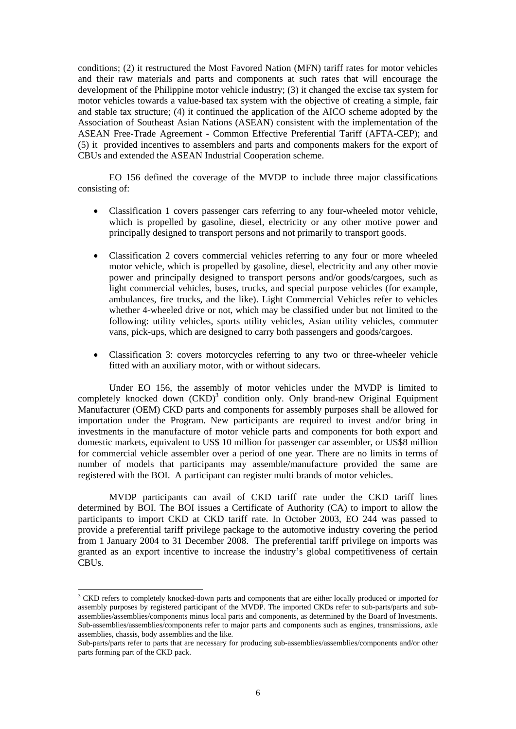conditions; (2) it restructured the Most Favored Nation (MFN) tariff rates for motor vehicles and their raw materials and parts and components at such rates that will encourage the development of the Philippine motor vehicle industry; (3) it changed the excise tax system for motor vehicles towards a value-based tax system with the objective of creating a simple, fair and stable tax structure; (4) it continued the application of the AICO scheme adopted by the Association of Southeast Asian Nations (ASEAN) consistent with the implementation of the ASEAN Free-Trade Agreement - Common Effective Preferential Tariff (AFTA-CEP); and (5) it provided incentives to assemblers and parts and components makers for the export of CBUs and extended the ASEAN Industrial Cooperation scheme.

EO 156 defined the coverage of the MVDP to include three major classifications consisting of:

- Classification 1 covers passenger cars referring to any four-wheeled motor vehicle, which is propelled by gasoline, diesel, electricity or any other motive power and principally designed to transport persons and not primarily to transport goods.
- Classification 2 covers commercial vehicles referring to any four or more wheeled motor vehicle, which is propelled by gasoline, diesel, electricity and any other movie power and principally designed to transport persons and/or goods/cargoes, such as light commercial vehicles, buses, trucks, and special purpose vehicles (for example, ambulances, fire trucks, and the like). Light Commercial Vehicles refer to vehicles whether 4-wheeled drive or not, which may be classified under but not limited to the following: utility vehicles, sports utility vehicles, Asian utility vehicles, commuter vans, pick-ups, which are designed to carry both passengers and goods/cargoes.
- Classification 3: covers motorcycles referring to any two or three-wheeler vehicle fitted with an auxiliary motor, with or without sidecars.

Under EO 156, the assembly of motor vehicles under the MVDP is limited to completely knocked down  $(CKD)^3$  condition only. Only brand-new Original Equipment Manufacturer (OEM) CKD parts and components for assembly purposes shall be allowed for importation under the Program. New participants are required to invest and/or bring in investments in the manufacture of motor vehicle parts and components for both export and domestic markets, equivalent to US\$ 10 million for passenger car assembler, or US\$8 million for commercial vehicle assembler over a period of one year. There are no limits in terms of number of models that participants may assemble/manufacture provided the same are registered with the BOI. A participant can register multi brands of motor vehicles.

MVDP participants can avail of CKD tariff rate under the CKD tariff lines determined by BOI. The BOI issues a Certificate of Authority (CA) to import to allow the participants to import CKD at CKD tariff rate. In October 2003, EO 244 was passed to provide a preferential tariff privilege package to the automotive industry covering the period from 1 January 2004 to 31 December 2008. The preferential tariff privilege on imports was granted as an export incentive to increase the industry's global competitiveness of certain CBUs.

**EXECUTE:**<br><sup>3</sup> CKD refers to completely knocked-down parts and components that are either locally produced or imported for assembly purposes by registered participant of the MVDP. The imported CKDs refer to sub-parts/parts and subassemblies/assemblies/components minus local parts and components, as determined by the Board of Investments. Sub-assemblies/assemblies/components refer to major parts and components such as engines, transmissions, axle assemblies, chassis, body assemblies and the like.

Sub-parts/parts refer to parts that are necessary for producing sub-assemblies/assemblies/components and/or other parts forming part of the CKD pack.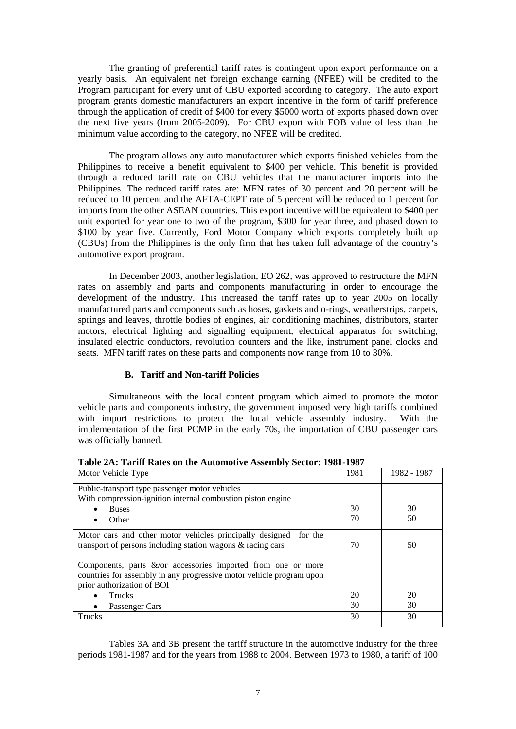The granting of preferential tariff rates is contingent upon export performance on a yearly basis. An equivalent net foreign exchange earning (NFEE) will be credited to the Program participant for every unit of CBU exported according to category. The auto export program grants domestic manufacturers an export incentive in the form of tariff preference through the application of credit of \$400 for every \$5000 worth of exports phased down over the next five years (from 2005-2009). For CBU export with FOB value of less than the minimum value according to the category, no NFEE will be credited.

The program allows any auto manufacturer which exports finished vehicles from the Philippines to receive a benefit equivalent to \$400 per vehicle. This benefit is provided through a reduced tariff rate on CBU vehicles that the manufacturer imports into the Philippines. The reduced tariff rates are: MFN rates of 30 percent and 20 percent will be reduced to 10 percent and the AFTA-CEPT rate of 5 percent will be reduced to 1 percent for imports from the other ASEAN countries. This export incentive will be equivalent to \$400 per unit exported for year one to two of the program, \$300 for year three, and phased down to \$100 by year five. Currently, Ford Motor Company which exports completely built up (CBUs) from the Philippines is the only firm that has taken full advantage of the country's automotive export program.

In December 2003, another legislation, EO 262, was approved to restructure the MFN rates on assembly and parts and components manufacturing in order to encourage the development of the industry. This increased the tariff rates up to year 2005 on locally manufactured parts and components such as hoses, gaskets and o-rings, weatherstrips, carpets, springs and leaves, throttle bodies of engines, air conditioning machines, distributors, starter motors, electrical lighting and signalling equipment, electrical apparatus for switching, insulated electric conductors, revolution counters and the like, instrument panel clocks and seats. MFN tariff rates on these parts and components now range from 10 to 30%.

#### **B. Tariff and Non-tariff Policies**

Simultaneous with the local content program which aimed to promote the motor vehicle parts and components industry, the government imposed very high tariffs combined with import restrictions to protect the local vehicle assembly industry. With the implementation of the first PCMP in the early 70s, the importation of CBU passenger cars was officially banned.

| Tubic 211, Turni Kurob on the Hutomotive Hosembry Dector , 1901-1907 |      |             |
|----------------------------------------------------------------------|------|-------------|
| Motor Vehicle Type                                                   | 1981 | 1982 - 1987 |
|                                                                      |      |             |
| Public-transport type passenger motor vehicles                       |      |             |
| With compression-ignition internal combustion piston engine          |      |             |
| <b>Buses</b>                                                         | 30   | 30          |
| Other<br>$\bullet$                                                   | 70   | 50          |
|                                                                      |      |             |
| Motor cars and other motor vehicles principally designed for the     |      |             |
| transport of persons including station wagons & racing cars          | 70   | 50          |
|                                                                      |      |             |
| Components, parts $\&$ /or accessories imported from one or more     |      |             |
| countries for assembly in any progressive motor vehicle program upon |      |             |
| prior authorization of BOI                                           |      |             |
| <b>Trucks</b>                                                        | 20   | 20          |
| Passenger Cars                                                       | 30   | 30          |
|                                                                      |      |             |
| <b>Trucks</b>                                                        | 30   | 30          |
|                                                                      |      |             |

**Table 2A: Tariff Rates on the Automotive Assembly Sector: 1981-1987** 

Tables 3A and 3B present the tariff structure in the automotive industry for the three periods 1981-1987 and for the years from 1988 to 2004. Between 1973 to 1980, a tariff of 100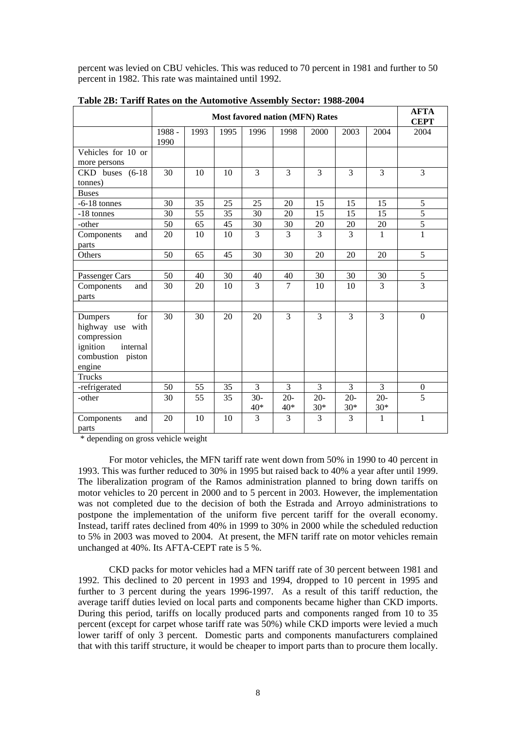percent was levied on CBU vehicles. This was reduced to 70 percent in 1981 and further to 50 percent in 1982. This rate was maintained until 1992.

|                                                                                                          |                |      |      |                |                 | <b>Most favored nation (MFN) Rates</b> |                 |                 | AFTA<br><b>CEPT</b> |
|----------------------------------------------------------------------------------------------------------|----------------|------|------|----------------|-----------------|----------------------------------------|-----------------|-----------------|---------------------|
|                                                                                                          | 1988 -<br>1990 | 1993 | 1995 | 1996           | 1998            | 2000                                   | 2003            | 2004            | 2004                |
| Vehicles for 10 or                                                                                       |                |      |      |                |                 |                                        |                 |                 |                     |
| more persons                                                                                             |                |      |      |                |                 |                                        |                 |                 |                     |
| CKD buses (6-18                                                                                          | 30             | 10   | 10   | $\overline{3}$ | 3               | $\overline{3}$                         | $\overline{3}$  | 3               | $\overline{3}$      |
| tonnes)                                                                                                  |                |      |      |                |                 |                                        |                 |                 |                     |
| <b>Buses</b>                                                                                             |                |      |      |                |                 |                                        |                 |                 |                     |
| $-6-18$ tonnes                                                                                           | 30             | 35   | 25   | 25             | 20              | 15                                     | 15              | 15              | 5                   |
| -18 tonnes                                                                                               | 30             | 55   | 35   | 30             | 20              | 15                                     | 15              | 15              | 5                   |
| -other                                                                                                   | 50             | 65   | 45   | 30             | 30              | 20                                     | 20              | 20              | 5                   |
| Components<br>and                                                                                        | 20             | 10   | 10   | 3              | 3               | 3                                      | 3               | $\mathbf{1}$    | $\mathbf{1}$        |
| parts                                                                                                    |                |      |      |                |                 |                                        |                 |                 |                     |
| Others                                                                                                   | 50             | 65   | 45   | 30             | 30              | 20                                     | 20              | 20              | 5                   |
|                                                                                                          |                |      |      |                |                 |                                        |                 |                 |                     |
| Passenger Cars                                                                                           | 50             | 40   | 30   | 40             | 40              | 30                                     | 30              | 30              | $\mathfrak s$       |
| Components<br>and<br>parts                                                                               | 30             | 20   | 10   | $\overline{3}$ | $\overline{7}$  | 10                                     | 10              | 3               | $\overline{3}$      |
|                                                                                                          |                |      |      |                |                 |                                        |                 |                 |                     |
| for<br>Dumpers<br>highway use with<br>compression<br>ignition<br>internal<br>combustion piston<br>engine | 30             | 30   | 20   | 20             | $\overline{3}$  | $\overline{3}$                         | $\overline{3}$  | $\overline{3}$  | $\overline{0}$      |
| <b>Trucks</b>                                                                                            |                |      |      |                |                 |                                        |                 |                 |                     |
| -refrigerated                                                                                            | 50             | 55   | 35   | 3              | 3               | 3                                      | 3               | 3               | $\theta$            |
| -other                                                                                                   | 30             | 55   | 35   | $30-$<br>40*   | $20 -$<br>$40*$ | $20 -$<br>$30*$                        | $20 -$<br>$30*$ | $20 -$<br>$30*$ | $\overline{5}$      |
| Components<br>and<br>parts                                                                               | 20             | 10   | 10   | $\overline{3}$ | $\overline{3}$  | $\overline{3}$                         | $\overline{3}$  | $\mathbf{1}$    | $\mathbf{1}$        |

**Table 2B: Tariff Rates on the Automotive Assembly Sector: 1988-2004** 

\* depending on gross vehicle weight

For motor vehicles, the MFN tariff rate went down from 50% in 1990 to 40 percent in 1993. This was further reduced to 30% in 1995 but raised back to 40% a year after until 1999. The liberalization program of the Ramos administration planned to bring down tariffs on motor vehicles to 20 percent in 2000 and to 5 percent in 2003. However, the implementation was not completed due to the decision of both the Estrada and Arroyo administrations to postpone the implementation of the uniform five percent tariff for the overall economy. Instead, tariff rates declined from 40% in 1999 to 30% in 2000 while the scheduled reduction to 5% in 2003 was moved to 2004. At present, the MFN tariff rate on motor vehicles remain unchanged at 40%. Its AFTA-CEPT rate is 5 %.

CKD packs for motor vehicles had a MFN tariff rate of 30 percent between 1981 and 1992. This declined to 20 percent in 1993 and 1994, dropped to 10 percent in 1995 and further to 3 percent during the years 1996-1997. As a result of this tariff reduction, the average tariff duties levied on local parts and components became higher than CKD imports. During this period, tariffs on locally produced parts and components ranged from 10 to 35 percent (except for carpet whose tariff rate was 50%) while CKD imports were levied a much lower tariff of only 3 percent. Domestic parts and components manufacturers complained that with this tariff structure, it would be cheaper to import parts than to procure them locally.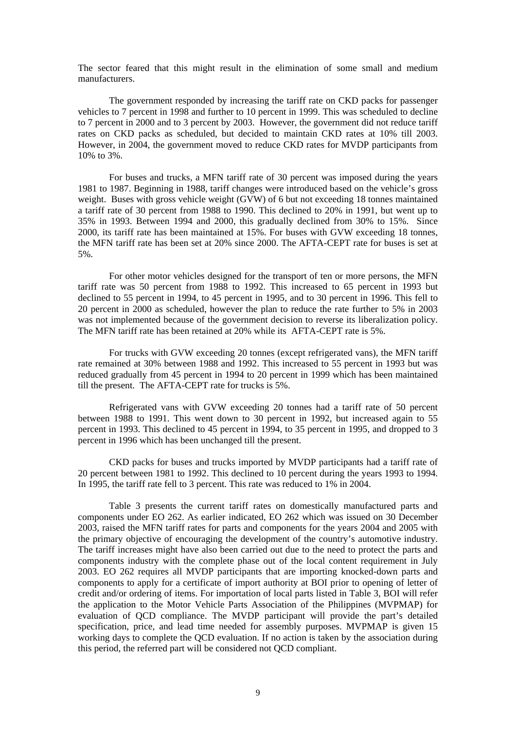The sector feared that this might result in the elimination of some small and medium manufacturers.

The government responded by increasing the tariff rate on CKD packs for passenger vehicles to 7 percent in 1998 and further to 10 percent in 1999. This was scheduled to decline to 7 percent in 2000 and to 3 percent by 2003. However, the government did not reduce tariff rates on CKD packs as scheduled, but decided to maintain CKD rates at 10% till 2003. However, in 2004, the government moved to reduce CKD rates for MVDP participants from 10% to 3%.

For buses and trucks, a MFN tariff rate of 30 percent was imposed during the years 1981 to 1987. Beginning in 1988, tariff changes were introduced based on the vehicle's gross weight. Buses with gross vehicle weight (GVW) of 6 but not exceeding 18 tonnes maintained a tariff rate of 30 percent from 1988 to 1990. This declined to 20% in 1991, but went up to 35% in 1993. Between 1994 and 2000, this gradually declined from 30% to 15%. Since 2000, its tariff rate has been maintained at 15%. For buses with GVW exceeding 18 tonnes, the MFN tariff rate has been set at 20% since 2000. The AFTA-CEPT rate for buses is set at 5%.

For other motor vehicles designed for the transport of ten or more persons, the MFN tariff rate was 50 percent from 1988 to 1992. This increased to 65 percent in 1993 but declined to 55 percent in 1994, to 45 percent in 1995, and to 30 percent in 1996. This fell to 20 percent in 2000 as scheduled, however the plan to reduce the rate further to 5% in 2003 was not implemented because of the government decision to reverse its liberalization policy. The MFN tariff rate has been retained at 20% while its AFTA-CEPT rate is 5%.

For trucks with GVW exceeding 20 tonnes (except refrigerated vans), the MFN tariff rate remained at 30% between 1988 and 1992. This increased to 55 percent in 1993 but was reduced gradually from 45 percent in 1994 to 20 percent in 1999 which has been maintained till the present. The AFTA-CEPT rate for trucks is 5%.

Refrigerated vans with GVW exceeding 20 tonnes had a tariff rate of 50 percent between 1988 to 1991. This went down to 30 percent in 1992, but increased again to 55 percent in 1993. This declined to 45 percent in 1994, to 35 percent in 1995, and dropped to 3 percent in 1996 which has been unchanged till the present.

CKD packs for buses and trucks imported by MVDP participants had a tariff rate of 20 percent between 1981 to 1992. This declined to 10 percent during the years 1993 to 1994. In 1995, the tariff rate fell to 3 percent. This rate was reduced to 1% in 2004.

Table 3 presents the current tariff rates on domestically manufactured parts and components under EO 262. As earlier indicated, EO 262 which was issued on 30 December 2003, raised the MFN tariff rates for parts and components for the years 2004 and 2005 with the primary objective of encouraging the development of the country's automotive industry. The tariff increases might have also been carried out due to the need to protect the parts and components industry with the complete phase out of the local content requirement in July 2003. EO 262 requires all MVDP participants that are importing knocked-down parts and components to apply for a certificate of import authority at BOI prior to opening of letter of credit and/or ordering of items. For importation of local parts listed in Table 3, BOI will refer the application to the Motor Vehicle Parts Association of the Philippines (MVPMAP) for evaluation of QCD compliance. The MVDP participant will provide the part's detailed specification, price, and lead time needed for assembly purposes. MVPMAP is given 15 working days to complete the QCD evaluation. If no action is taken by the association during this period, the referred part will be considered not QCD compliant.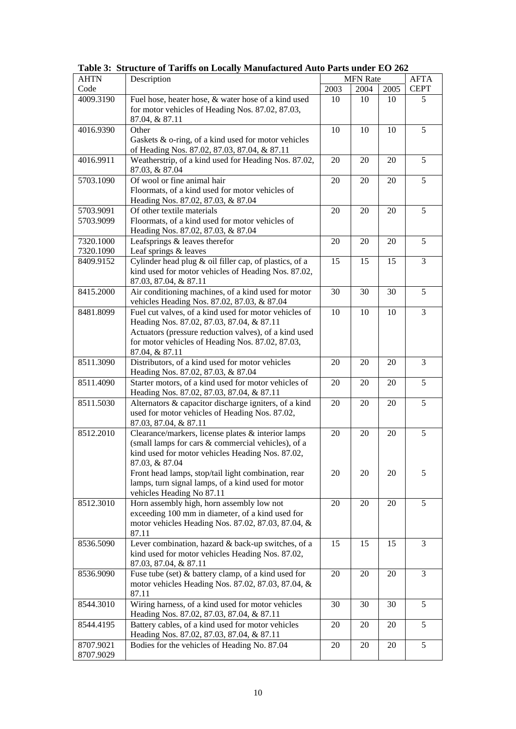| <b>AHTN</b>            | Description                                                                                                                                                                                                                       |      | <b>MFN</b> Rate |      | <b>AFTA</b>    |
|------------------------|-----------------------------------------------------------------------------------------------------------------------------------------------------------------------------------------------------------------------------------|------|-----------------|------|----------------|
| Code                   |                                                                                                                                                                                                                                   | 2003 | 2004            | 2005 | <b>CEPT</b>    |
| 4009.3190              | Fuel hose, heater hose, & water hose of a kind used<br>for motor vehicles of Heading Nos. 87.02, 87.03,<br>87.04, & 87.11                                                                                                         | 10   | 10              | 10   | 5              |
| 4016.9390              | Other<br>Gaskets & o-ring, of a kind used for motor vehicles<br>of Heading Nos. 87.02, 87.03, 87.04, & 87.11                                                                                                                      | 10   | 10              | 10   | $\overline{5}$ |
| 4016.9911              | Weatherstrip, of a kind used for Heading Nos. 87.02,<br>87.03, & 87.04                                                                                                                                                            | 20   | 20              | 20   | 5              |
| 5703.1090              | Of wool or fine animal hair<br>Floormats, of a kind used for motor vehicles of<br>Heading Nos. 87.02, 87.03, & 87.04                                                                                                              | 20   | 20              | 20   | 5              |
| 5703.9091<br>5703.9099 | Of other textile materials<br>Floormats, of a kind used for motor vehicles of<br>Heading Nos. 87.02, 87.03, & 87.04                                                                                                               | 20   | 20              | 20   | 5              |
| 7320.1000<br>7320.1090 | Leafsprings & leaves therefor<br>Leaf springs & leaves                                                                                                                                                                            | 20   | 20              | 20   | 5              |
| 8409.9152              | Cylinder head plug & oil filler cap, of plastics, of a<br>kind used for motor vehicles of Heading Nos. 87.02,<br>87.03, 87.04, & 87.11                                                                                            | 15   | 15              | 15   | 3              |
| 8415.2000              | Air conditioning machines, of a kind used for motor<br>vehicles Heading Nos. 87.02, 87.03, & 87.04                                                                                                                                | 30   | 30              | 30   | 5              |
| 8481.8099              | Fuel cut valves, of a kind used for motor vehicles of<br>Heading Nos. 87.02, 87.03, 87.04, & 87.11<br>Actuators (pressure reduction valves), of a kind used<br>for motor vehicles of Heading Nos. 87.02, 87.03,<br>87.04, & 87.11 | 10   | 10              | 10   | 3              |
| 8511.3090              | Distributors, of a kind used for motor vehicles<br>Heading Nos. 87.02, 87.03, & 87.04                                                                                                                                             | 20   | 20              | 20   | 3              |
| 8511.4090              | Starter motors, of a kind used for motor vehicles of<br>Heading Nos. 87.02, 87.03, 87.04, & 87.11                                                                                                                                 | 20   | 20              | 20   | 5              |
| 8511.5030              | Alternators & capacitor discharge igniters, of a kind<br>used for motor vehicles of Heading Nos. 87.02,<br>87.03, 87.04, & 87.11                                                                                                  | 20   | 20              | 20   | 5              |
| 8512.2010              | Clearance/markers, license plates & interior lamps<br>(small lamps for cars & commercial vehicles), of a<br>kind used for motor vehicles Heading Nos. 87.02,<br>87.03, & 87.04                                                    | 20   | 20              | 20   | 5              |
|                        | Front head lamps, stop/tail light combination, rear<br>lamps, turn signal lamps, of a kind used for motor<br>vehicles Heading No 87.11                                                                                            | 20   | 20              | 20   | 5              |
| 8512.3010              | Horn assembly high, horn assembly low not<br>exceeding 100 mm in diameter, of a kind used for<br>motor vehicles Heading Nos. 87.02, 87.03, 87.04, &<br>87.11                                                                      | 20   | 20              | 20   | 5              |
| 8536.5090              | Lever combination, hazard & back-up switches, of a<br>kind used for motor vehicles Heading Nos. 87.02,<br>87.03, 87.04, & 87.11                                                                                                   | 15   | 15              | 15   | 3              |
| 8536.9090              | Fuse tube (set) & battery clamp, of a kind used for<br>motor vehicles Heading Nos. 87.02, 87.03, 87.04, &<br>87.11                                                                                                                | 20   | 20              | 20   | 3              |
| 8544.3010              | Wiring harness, of a kind used for motor vehicles<br>Heading Nos. 87.02, 87.03, 87.04, & 87.11                                                                                                                                    | 30   | 30              | 30   | 5              |
| 8544.4195              | Battery cables, of a kind used for motor vehicles<br>Heading Nos. 87.02, 87.03, 87.04, & 87.11                                                                                                                                    | 20   | 20              | 20   | 5              |
| 8707.9021<br>8707.9029 | Bodies for the vehicles of Heading No. 87.04                                                                                                                                                                                      | 20   | 20              | 20   | 5              |

**Table 3: Structure of Tariffs on Locally Manufactured Auto Parts under EO 262**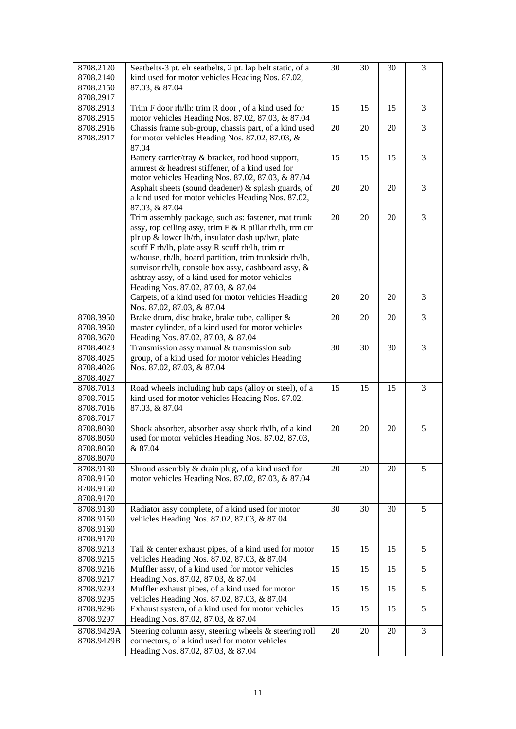| 8708.2120<br>8708.2140<br>8708.2150              | Seatbelts-3 pt. elr seatbelts, 2 pt. lap belt static, of a<br>kind used for motor vehicles Heading Nos. 87.02,<br>87.03, & 87.04                                                                                                                                                                                                                                                                                                    | 30 | 30 | 30 | 3 |
|--------------------------------------------------|-------------------------------------------------------------------------------------------------------------------------------------------------------------------------------------------------------------------------------------------------------------------------------------------------------------------------------------------------------------------------------------------------------------------------------------|----|----|----|---|
| 8708.2917<br>8708.2913                           | Trim F door rh/lh: trim R door, of a kind used for                                                                                                                                                                                                                                                                                                                                                                                  | 15 | 15 | 15 | 3 |
| 8708.2915<br>8708.2916<br>8708.2917              | motor vehicles Heading Nos. 87.02, 87.03, & 87.04<br>Chassis frame sub-group, chassis part, of a kind used<br>for motor vehicles Heading Nos. 87.02, 87.03, &                                                                                                                                                                                                                                                                       | 20 | 20 | 20 | 3 |
|                                                  | 87.04<br>Battery carrier/tray & bracket, rod hood support,<br>armrest & headrest stiffener, of a kind used for<br>motor vehicles Heading Nos. 87.02, 87.03, & 87.04                                                                                                                                                                                                                                                                 | 15 | 15 | 15 | 3 |
|                                                  | Asphalt sheets (sound deadener) & splash guards, of<br>a kind used for motor vehicles Heading Nos. 87.02,<br>87.03, & 87.04                                                                                                                                                                                                                                                                                                         | 20 | 20 | 20 | 3 |
|                                                  | Trim assembly package, such as: fastener, mat trunk<br>assy, top ceiling assy, trim F & R pillar rh/lh, trm ctr<br>plr up & lower lh/rh, insulator dash up/lwr, plate<br>scuff F rh/lh, plate assy R scuff rh/lh, trim rr<br>w/house, rh/lh, board partition, trim trunkside rh/lh,<br>sunvisor rh/lh, console box assy, dashboard assy, &<br>ashtray assy, of a kind used for motor vehicles<br>Heading Nos. 87.02, 87.03, & 87.04 | 20 | 20 | 20 | 3 |
|                                                  | Carpets, of a kind used for motor vehicles Heading<br>Nos. 87.02, 87.03, & 87.04                                                                                                                                                                                                                                                                                                                                                    | 20 | 20 | 20 | 3 |
| 8708.3950<br>8708.3960<br>8708.3670              | Brake drum, disc brake, brake tube, calliper &<br>master cylinder, of a kind used for motor vehicles<br>Heading Nos. 87.02, 87.03, & 87.04                                                                                                                                                                                                                                                                                          | 20 | 20 | 20 | 3 |
| 8708.4023<br>8708.4025<br>8708.4026<br>8708.4027 | Transmission assy manual & transmission sub<br>group, of a kind used for motor vehicles Heading<br>Nos. 87.02, 87.03, & 87.04                                                                                                                                                                                                                                                                                                       | 30 | 30 | 30 | 3 |
| 8708.7013<br>8708.7015<br>8708.7016<br>8708.7017 | Road wheels including hub caps (alloy or steel), of a<br>kind used for motor vehicles Heading Nos. 87.02,<br>87.03, & 87.04                                                                                                                                                                                                                                                                                                         | 15 | 15 | 15 | 3 |
| 8708.8030<br>8708.8050<br>8708.8060<br>8708.8070 | Shock absorber, absorber assy shock rh/lh, of a kind<br>used for motor vehicles Heading Nos. 87.02, 87.03,<br>& 87.04                                                                                                                                                                                                                                                                                                               | 20 | 20 | 20 | 5 |
| 8708.9130<br>8708.9150<br>8708.9160<br>8708.9170 | Shroud assembly $&$ drain plug, of a kind used for<br>motor vehicles Heading Nos. 87.02, 87.03, & 87.04                                                                                                                                                                                                                                                                                                                             | 20 | 20 | 20 | 5 |
| 8708.9130<br>8708.9150<br>8708.9160<br>8708.9170 | Radiator assy complete, of a kind used for motor<br>vehicles Heading Nos. 87.02, 87.03, & 87.04                                                                                                                                                                                                                                                                                                                                     | 30 | 30 | 30 | 5 |
| 8708.9213<br>8708.9215                           | Tail & center exhaust pipes, of a kind used for motor<br>vehicles Heading Nos. 87.02, 87.03, & 87.04                                                                                                                                                                                                                                                                                                                                | 15 | 15 | 15 | 5 |
| 8708.9216                                        | Muffler assy, of a kind used for motor vehicles                                                                                                                                                                                                                                                                                                                                                                                     | 15 | 15 | 15 | 5 |
| 8708.9217<br>8708.9293                           | Heading Nos. 87.02, 87.03, & 87.04<br>Muffler exhaust pipes, of a kind used for motor                                                                                                                                                                                                                                                                                                                                               | 15 | 15 | 15 | 5 |
| 8708.9295<br>8708.9296<br>8708.9297              | vehicles Heading Nos. 87.02, 87.03, & 87.04<br>Exhaust system, of a kind used for motor vehicles<br>Heading Nos. 87.02, 87.03, & 87.04                                                                                                                                                                                                                                                                                              | 15 | 15 | 15 | 5 |
| 8708.9429A<br>8708.9429B                         | Steering column assy, steering wheels & steering roll<br>connectors, of a kind used for motor vehicles<br>Heading Nos. 87.02, 87.03, & 87.04                                                                                                                                                                                                                                                                                        | 20 | 20 | 20 | 3 |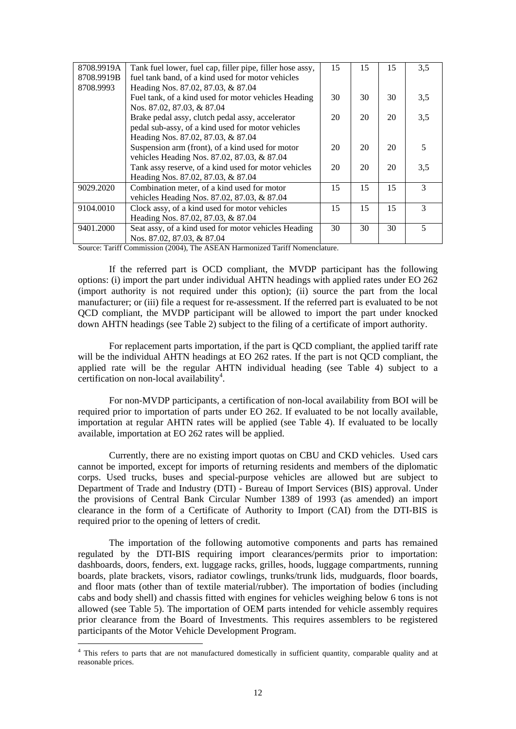| 8708.9919A | Tank fuel lower, fuel cap, filler pipe, filler hose assy, | 15 | 15 | 15 | 3,5           |
|------------|-----------------------------------------------------------|----|----|----|---------------|
| 8708.9919B | fuel tank band, of a kind used for motor vehicles         |    |    |    |               |
| 8708.9993  | Heading Nos. 87.02, 87.03, & 87.04                        |    |    |    |               |
|            | Fuel tank, of a kind used for motor vehicles Heading      | 30 | 30 | 30 | 3,5           |
|            | Nos. 87.02, 87.03, & 87.04                                |    |    |    |               |
|            | Brake pedal assy, clutch pedal assy, accelerator          | 20 | 20 | 20 | 3,5           |
|            | pedal sub-assy, of a kind used for motor vehicles         |    |    |    |               |
|            | Heading Nos. 87.02, 87.03, & 87.04                        |    |    |    |               |
|            | Suspension arm (front), of a kind used for motor          | 20 | 20 | 20 | 5             |
|            | vehicles Heading Nos. 87.02, 87.03, & 87.04               |    |    |    |               |
|            | Tank assy reserve, of a kind used for motor vehicles      | 20 | 20 | 20 | 3,5           |
|            | Heading Nos. 87.02, 87.03, & 87.04                        |    |    |    |               |
| 9029.2020  | Combination meter, of a kind used for motor               | 15 | 15 | 15 | 3             |
|            | vehicles Heading Nos. 87.02, 87.03, & 87.04               |    |    |    |               |
| 9104.0010  | Clock assy, of a kind used for motor vehicles             | 15 | 15 | 15 | $\mathcal{R}$ |
|            | Heading Nos. 87.02, 87.03, & 87.04                        |    |    |    |               |
| 9401.2000  | Seat assy, of a kind used for motor vehicles Heading      | 30 | 30 | 30 | 5             |
|            | Nos. 87.02, 87.03, & 87.04                                |    |    |    |               |

Source: Tariff Commission (2004), The ASEAN Harmonized Tariff Nomenclature.

If the referred part is OCD compliant, the MVDP participant has the following options: (i) import the part under individual AHTN headings with applied rates under EO 262 (import authority is not required under this option); (ii) source the part from the local manufacturer; or (iii) file a request for re-assessment. If the referred part is evaluated to be not QCD compliant, the MVDP participant will be allowed to import the part under knocked down AHTN headings (see Table 2) subject to the filing of a certificate of import authority.

For replacement parts importation, if the part is QCD compliant, the applied tariff rate will be the individual AHTN headings at EO 262 rates. If the part is not OCD compliant, the applied rate will be the regular AHTN individual heading (see Table 4) subject to a certification on non-local availability<sup>4</sup>.

For non-MVDP participants, a certification of non-local availability from BOI will be required prior to importation of parts under EO 262. If evaluated to be not locally available, importation at regular AHTN rates will be applied (see Table 4). If evaluated to be locally available, importation at EO 262 rates will be applied.

Currently, there are no existing import quotas on CBU and CKD vehicles. Used cars cannot be imported, except for imports of returning residents and members of the diplomatic corps. Used trucks, buses and special-purpose vehicles are allowed but are subject to Department of Trade and Industry (DTI) - Bureau of Import Services (BIS) approval. Under the provisions of Central Bank Circular Number 1389 of 1993 (as amended) an import clearance in the form of a Certificate of Authority to Import (CAI) from the DTI-BIS is required prior to the opening of letters of credit.

The importation of the following automotive components and parts has remained regulated by the DTI-BIS requiring import clearances/permits prior to importation: dashboards, doors, fenders, ext. luggage racks, grilles, hoods, luggage compartments, running boards, plate brackets, visors, radiator cowlings, trunks/trunk lids, mudguards, floor boards, and floor mats (other than of textile material/rubber). The importation of bodies (including cabs and body shell) and chassis fitted with engines for vehicles weighing below 6 tons is not allowed (see Table 5). The importation of OEM parts intended for vehicle assembly requires prior clearance from the Board of Investments. This requires assemblers to be registered participants of the Motor Vehicle Development Program.

1

<sup>&</sup>lt;sup>4</sup> This refers to parts that are not manufactured domestically in sufficient quantity, comparable quality and at reasonable prices.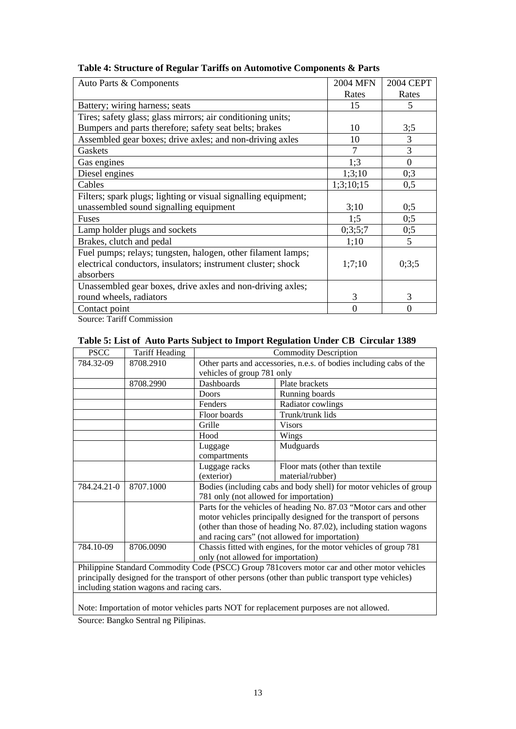| Auto Parts & Components                                        | <b>2004 MFN</b> | <b>2004 CEPT</b> |
|----------------------------------------------------------------|-----------------|------------------|
|                                                                | Rates           | Rates            |
| Battery; wiring harness; seats                                 | 15              | 5                |
| Tires; safety glass; glass mirrors; air conditioning units;    |                 |                  |
| Bumpers and parts therefore; safety seat belts; brakes         | 10              | 3:5              |
| Assembled gear boxes; drive axles; and non-driving axles       | 10              | 3                |
| Gaskets                                                        |                 | 3                |
| Gas engines                                                    | 1:3             | $\Omega$         |
| Diesel engines                                                 | 1;3;10          | 0;3              |
| Cables                                                         | 1;3;10;15       | 0,5              |
| Filters; spark plugs; lighting or visual signalling equipment; |                 |                  |
| unassembled sound signalling equipment                         | 3;10            | 0;5              |
| Fuses                                                          | 1:5             | 0;5              |
| Lamp holder plugs and sockets                                  | 0;3;5;7         | 0;5              |
| Brakes, clutch and pedal                                       | 1;10            | 5                |
| Fuel pumps; relays; tungsten, halogen, other filament lamps;   |                 |                  |
| electrical conductors, insulators; instrument cluster; shock   | 1;7;10          | 0;3;5            |
| absorbers                                                      |                 |                  |
| Unassembled gear boxes, drive axles and non-driving axles;     |                 |                  |
| round wheels, radiators                                        | 3               | 3                |
| Contact point                                                  | 0               | 0                |

**Table 4: Structure of Regular Tariffs on Automotive Components & Parts** 

Source: Tariff Commission

|  | Table 5: List of Auto Parts Subject to Import Regulation Under CB Circular 1389 |  |  |  |
|--|---------------------------------------------------------------------------------|--|--|--|
|--|---------------------------------------------------------------------------------|--|--|--|

| <b>PSCC</b>                                                                                         | <b>Tariff Heading</b>                     |                                        | <b>Commodity Description</b>                                        |  |  |  |
|-----------------------------------------------------------------------------------------------------|-------------------------------------------|----------------------------------------|---------------------------------------------------------------------|--|--|--|
| 784.32-09                                                                                           | 8708.2910                                 |                                        | Other parts and accessories, n.e.s. of bodies including cabs of the |  |  |  |
|                                                                                                     |                                           | vehicles of group 781 only             |                                                                     |  |  |  |
|                                                                                                     | 8708.2990                                 | Dashboards                             | Plate brackets                                                      |  |  |  |
|                                                                                                     |                                           | <b>Doors</b>                           | Running boards                                                      |  |  |  |
|                                                                                                     |                                           | Fenders                                | Radiator cowlings                                                   |  |  |  |
|                                                                                                     |                                           | Floor boards                           | Trunk/trunk lids                                                    |  |  |  |
|                                                                                                     |                                           | Grille                                 | <b>Visors</b>                                                       |  |  |  |
|                                                                                                     |                                           | Hood                                   | Wings                                                               |  |  |  |
|                                                                                                     |                                           | Luggage                                | Mudguards                                                           |  |  |  |
|                                                                                                     |                                           | compartments                           |                                                                     |  |  |  |
|                                                                                                     |                                           | Luggage racks                          | Floor mats (other than textile                                      |  |  |  |
|                                                                                                     |                                           | (exterior)                             | material/rubber)                                                    |  |  |  |
| 784.24.21-0                                                                                         | 8707.1000                                 |                                        | Bodies (including cabs and body shell) for motor vehicles of group  |  |  |  |
|                                                                                                     |                                           | 781 only (not allowed for importation) |                                                                     |  |  |  |
|                                                                                                     |                                           |                                        | Parts for the vehicles of heading No. 87.03 "Motor cars and other   |  |  |  |
|                                                                                                     |                                           |                                        | motor vehicles principally designed for the transport of persons    |  |  |  |
|                                                                                                     |                                           |                                        | (other than those of heading No. 87.02), including station wagons   |  |  |  |
|                                                                                                     |                                           |                                        | and racing cars" (not allowed for importation)                      |  |  |  |
| 784.10-09                                                                                           | 8706.0090                                 |                                        | Chassis fitted with engines, for the motor vehicles of group 781    |  |  |  |
|                                                                                                     |                                           | only (not allowed for importation)     |                                                                     |  |  |  |
| Philippine Standard Commodity Code (PSCC) Group 781 covers motor car and other motor vehicles       |                                           |                                        |                                                                     |  |  |  |
| principally designed for the transport of other persons (other than public transport type vehicles) |                                           |                                        |                                                                     |  |  |  |
|                                                                                                     | including station wagons and racing cars. |                                        |                                                                     |  |  |  |

Note: Importation of motor vehicles parts NOT for replacement purposes are not allowed.

Source: Bangko Sentral ng Pilipinas.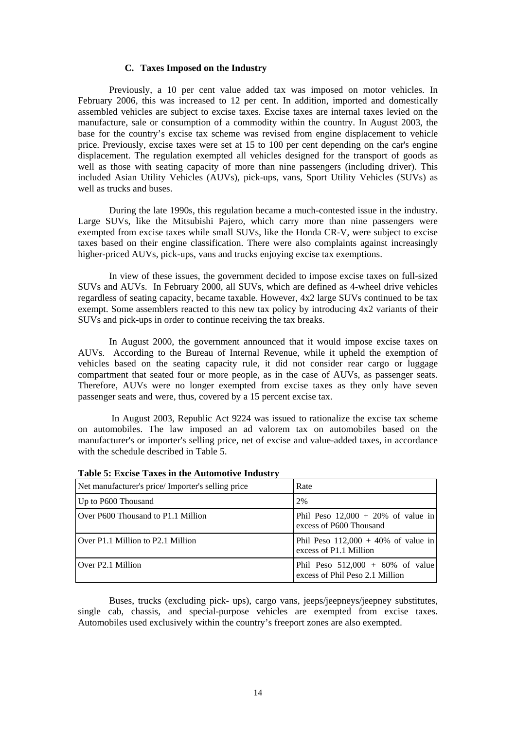#### **C. Taxes Imposed on the Industry**

Previously, a 10 per cent value added tax was imposed on motor vehicles. In February 2006, this was increased to 12 per cent. In addition, imported and domestically assembled vehicles are subject to excise taxes. Excise taxes are internal taxes levied on the manufacture, sale or consumption of a commodity within the country. In August 2003, the base for the country's excise tax scheme was revised from engine displacement to vehicle price. Previously, excise taxes were set at 15 to 100 per cent depending on the car's engine displacement. The regulation exempted all vehicles designed for the transport of goods as well as those with seating capacity of more than nine passengers (including driver). This included Asian Utility Vehicles (AUVs), pick-ups, vans, Sport Utility Vehicles (SUVs) as well as trucks and buses.

During the late 1990s, this regulation became a much-contested issue in the industry. Large SUVs, like the Mitsubishi Pajero, which carry more than nine passengers were exempted from excise taxes while small SUVs, like the Honda CR-V, were subject to excise taxes based on their engine classification. There were also complaints against increasingly higher-priced AUVs, pick-ups, vans and trucks enjoying excise tax exemptions.

In view of these issues, the government decided to impose excise taxes on full-sized SUVs and AUVs. In February 2000, all SUVs, which are defined as 4-wheel drive vehicles regardless of seating capacity, became taxable. However, 4x2 large SUVs continued to be tax exempt. Some assemblers reacted to this new tax policy by introducing 4x2 variants of their SUVs and pick-ups in order to continue receiving the tax breaks.

In August 2000, the government announced that it would impose excise taxes on AUVs. According to the Bureau of Internal Revenue, while it upheld the exemption of vehicles based on the seating capacity rule, it did not consider rear cargo or luggage compartment that seated four or more people, as in the case of AUVs, as passenger seats. Therefore, AUVs were no longer exempted from excise taxes as they only have seven passenger seats and were, thus, covered by a 15 percent excise tax.

 In August 2003, Republic Act 9224 was issued to rationalize the excise tax scheme on automobiles. The law imposed an ad valorem tax on automobiles based on the manufacturer's or importer's selling price, net of excise and value-added taxes, in accordance with the schedule described in Table 5.

| Net manufacturer's price/Importer's selling price | Rate                                                                   |
|---------------------------------------------------|------------------------------------------------------------------------|
| Up to P600 Thousand                               | 2%                                                                     |
| Over P600 Thousand to P1.1 Million                | Phil Peso $12,000 + 20\%$ of value in<br>excess of P600 Thousand       |
| Over P1.1 Million to P2.1 Million                 | Phil Peso $112,000 + 40\%$ of value in<br>excess of P1.1 Million       |
| Over P2.1 Million                                 | Phil Peso $512,000 + 60\%$ of value<br>excess of Phil Peso 2.1 Million |

**Table 5: Excise Taxes in the Automotive Industry** 

Buses, trucks (excluding pick- ups), cargo vans, jeeps/jeepneys/jeepney substitutes, single cab, chassis, and special-purpose vehicles are exempted from excise taxes. Automobiles used exclusively within the country's freeport zones are also exempted.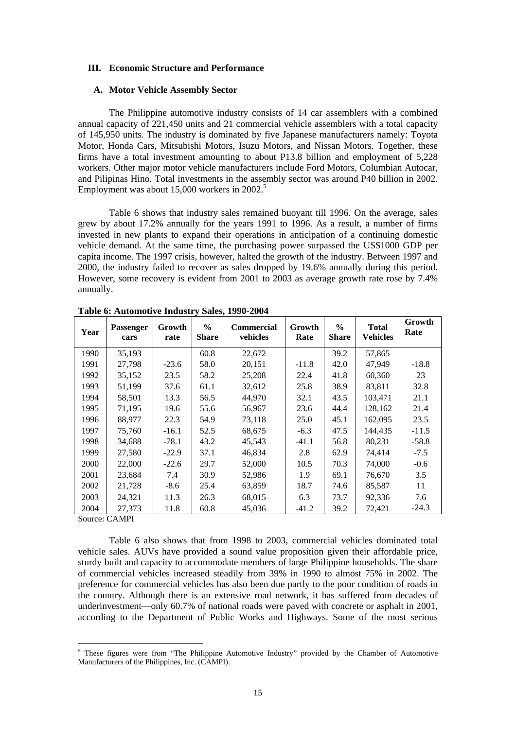#### **III. Economic Structure and Performance**

#### **A. Motor Vehicle Assembly Sector**

The Philippine automotive industry consists of 14 car assemblers with a combined annual capacity of 221,450 units and 21 commercial vehicle assemblers with a total capacity of 145,950 units. The industry is dominated by five Japanese manufacturers namely: Toyota Motor, Honda Cars, Mitsubishi Motors, Isuzu Motors, and Nissan Motors. Together, these firms have a total investment amounting to about P13.8 billion and employment of 5,228 workers. Other major motor vehicle manufacturers include Ford Motors, Columbian Autocar, and Pilipinas Hino. Total investments in the assembly sector was around P40 billion in 2002. Employment was about 15,000 workers in 2002.<sup>5</sup>

Table 6 shows that industry sales remained buoyant till 1996. On the average, sales grew by about 17.2% annually for the years 1991 to 1996. As a result, a number of firms invested in new plants to expand their operations in anticipation of a continuing domestic vehicle demand. At the same time, the purchasing power surpassed the US\$1000 GDP per capita income. The 1997 crisis, however, halted the growth of the industry. Between 1997 and 2000, the industry failed to recover as sales dropped by 19.6% annually during this period. However, some recovery is evident from 2001 to 2003 as average growth rate rose by 7.4% annually.

| Year | <b>Passenger</b><br>cars | Growth<br>rate | $\frac{6}{6}$<br><b>Share</b> | <b>Commercial</b><br>vehicles | Growth<br>Rate | $\frac{6}{9}$<br><b>Share</b> | <b>Total</b><br><b>Vehicles</b> | Growth<br>Rate |
|------|--------------------------|----------------|-------------------------------|-------------------------------|----------------|-------------------------------|---------------------------------|----------------|
| 1990 | 35,193                   |                | 60.8                          | 22,672                        |                | 39.2                          | 57,865                          |                |
| 1991 | 27,798                   | $-23.6$        | 58.0                          | 20,151                        | $-11.8$        | 42.0                          | 47,949                          | $-18.8$        |
| 1992 | 35,152                   | 23.5           | 58.2                          | 25,208                        | 22.4           | 41.8                          | 60,360                          | 23             |
| 1993 | 51,199                   | 37.6           | 61.1                          | 32,612                        | 25.8           | 38.9                          | 83,811                          | 32.8           |
| 1994 | 58,501                   | 13.3           | 56.5                          | 44,970                        | 32.1           | 43.5                          | 103,471                         | 21.1           |
| 1995 | 71,195                   | 19.6           | 55.6                          | 56,967                        | 23.6           | 44.4                          | 128,162                         | 21.4           |
| 1996 | 88,977                   | 22.3           | 54.9                          | 73,118                        | 25.0           | 45.1                          | 162,095                         | 23.5           |
| 1997 | 75,760                   | $-16.1$        | 52.5                          | 68,675                        | $-6.3$         | 47.5                          | 144,435                         | $-11.5$        |
| 1998 | 34,688                   | $-78.1$        | 43.2                          | 45,543                        | $-41.1$        | 56.8                          | 80,231                          | $-58.8$        |
| 1999 | 27,580                   | $-22.9$        | 37.1                          | 46,834                        | 2.8            | 62.9                          | 74,414                          | $-7.5$         |
| 2000 | 22,000                   | $-22.6$        | 29.7                          | 52,000                        | 10.5           | 70.3                          | 74,000                          | $-0.6$         |
| 2001 | 23,684                   | 7.4            | 30.9                          | 52,986                        | 1.9            | 69.1                          | 76,670                          | 3.5            |
| 2002 | 21,728                   | $-8.6$         | 25.4                          | 63,859                        | 18.7           | 74.6                          | 85,587                          | 11             |
| 2003 | 24,321                   | 11.3           | 26.3                          | 68,015                        | 6.3            | 73.7                          | 92,336                          | 7.6            |
| 2004 | 27,373                   | 11.8           | 60.8                          | 45.036                        | $-41.2$        | 39.2                          | 72,421                          | $-24.3$        |

**Table 6: Automotive Industry Sales, 1990-2004** 

Source: CAMPI

1

Table 6 also shows that from 1998 to 2003, commercial vehicles dominated total vehicle sales. AUVs have provided a sound value proposition given their affordable price, sturdy built and capacity to accommodate members of large Philippine households. The share of commercial vehicles increased steadily from 39% in 1990 to almost 75% in 2002. The preference for commercial vehicles has also been due partly to the poor condition of roads in the country. Although there is an extensive road network, it has suffered from decades of underinvestment—only 60.7% of national roads were paved with concrete or asphalt in 2001, according to the Department of Public Works and Highways. Some of the most serious

<sup>&</sup>lt;sup>5</sup> These figures were from "The Philippine Automotive Industry" provided by the Chamber of Automotive Manufacturers of the Philippines, Inc. (CAMPI).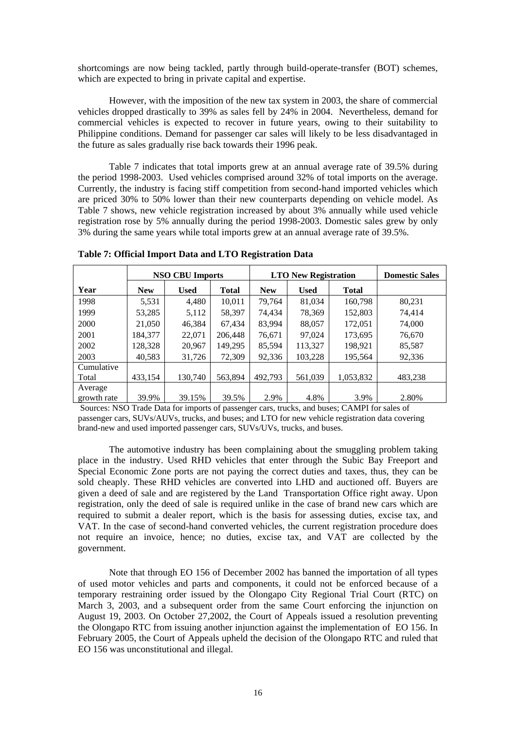shortcomings are now being tackled, partly through build-operate-transfer (BOT) schemes, which are expected to bring in private capital and expertise.

However, with the imposition of the new tax system in 2003, the share of commercial vehicles dropped drastically to 39% as sales fell by 24% in 2004. Nevertheless, demand for commercial vehicles is expected to recover in future years, owing to their suitability to Philippine conditions. Demand for passenger car sales will likely to be less disadvantaged in the future as sales gradually rise back towards their 1996 peak.

Table 7 indicates that total imports grew at an annual average rate of 39.5% during the period 1998-2003. Used vehicles comprised around 32% of total imports on the average. Currently, the industry is facing stiff competition from second-hand imported vehicles which are priced 30% to 50% lower than their new counterparts depending on vehicle model. As Table 7 shows, new vehicle registration increased by about 3% annually while used vehicle registration rose by 5% annually during the period 1998-2003. Domestic sales grew by only 3% during the same years while total imports grew at an annual average rate of 39.5%.

|             | <b>NSO CBU Imports</b> |             |              | <b>LTO New Registration</b> |             |              | <b>Domestic Sales</b> |
|-------------|------------------------|-------------|--------------|-----------------------------|-------------|--------------|-----------------------|
| Year        | <b>New</b>             | <b>Used</b> | <b>Total</b> | <b>New</b>                  | <b>Used</b> | <b>Total</b> |                       |
| 1998        | 5,531                  | 4,480       | 10,011       | 79,764                      | 81,034      | 160,798      | 80,231                |
| 1999        | 53,285                 | 5,112       | 58,397       | 74,434                      | 78,369      | 152,803      | 74,414                |
| 2000        | 21,050                 | 46,384      | 67,434       | 83,994                      | 88,057      | 172,051      | 74,000                |
| 2001        | 184,377                | 22,071      | 206,448      | 76.671                      | 97,024      | 173,695      | 76,670                |
| 2002        | 128,328                | 20.967      | 149.295      | 85,594                      | 113,327     | 198.921      | 85,587                |
| 2003        | 40.583                 | 31,726      | 72,309       | 92,336                      | 103,228     | 195,564      | 92,336                |
| Cumulative  |                        |             |              |                             |             |              |                       |
| Total       | 433,154                | 130,740     | 563.894      | 492.793                     | 561.039     | 1,053,832    | 483.238               |
| Average     |                        |             |              |                             |             |              |                       |
| growth rate | 39.9%                  | 39.15%      | 39.5%        | 2.9%                        | 4.8%        | 3.9%         | 2.80%                 |

**Table 7: Official Import Data and LTO Registration Data** 

 Sources: NSO Trade Data for imports of passenger cars, trucks, and buses; CAMPI for sales of passenger cars, SUVs/AUVs, trucks, and buses; and LTO for new vehicle registration data covering brand-new and used imported passenger cars, SUVs/UVs, trucks, and buses.

The automotive industry has been complaining about the smuggling problem taking place in the industry. Used RHD vehicles that enter through the Subic Bay Freeport and Special Economic Zone ports are not paying the correct duties and taxes, thus, they can be sold cheaply. These RHD vehicles are converted into LHD and auctioned off. Buyers are given a deed of sale and are registered by the Land Transportation Office right away. Upon registration, only the deed of sale is required unlike in the case of brand new cars which are required to submit a dealer report, which is the basis for assessing duties, excise tax, and VAT. In the case of second-hand converted vehicles, the current registration procedure does not require an invoice, hence; no duties, excise tax, and VAT are collected by the government.

Note that through EO 156 of December 2002 has banned the importation of all types of used motor vehicles and parts and components, it could not be enforced because of a temporary restraining order issued by the Olongapo City Regional Trial Court (RTC) on March 3, 2003, and a subsequent order from the same Court enforcing the injunction on August 19, 2003. On October 27,2002, the Court of Appeals issued a resolution preventing the Olongapo RTC from issuing another injunction against the implementation of EO 156. In February 2005, the Court of Appeals upheld the decision of the Olongapo RTC and ruled that EO 156 was unconstitutional and illegal.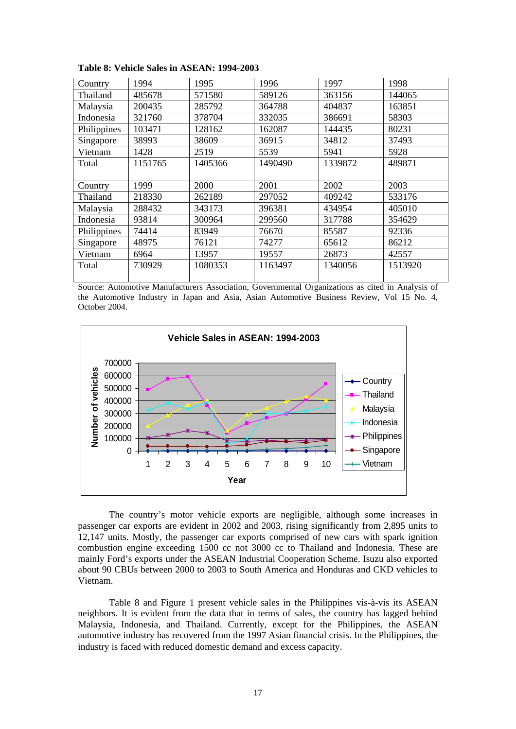| Country     | 1994    | 1995    | 1996    | 1997    | 1998    |
|-------------|---------|---------|---------|---------|---------|
| Thailand    | 485678  | 571580  | 589126  | 363156  | 144065  |
| Malaysia    | 200435  | 285792  | 364788  | 404837  | 163851  |
| Indonesia   | 321760  | 378704  | 332035  | 386691  | 58303   |
| Philippines | 103471  | 128162  | 162087  | 144435  | 80231   |
| Singapore   | 38993   | 38609   | 36915   | 34812   | 37493   |
| Vietnam     | 1428    | 2519    | 5539    | 5941    | 5928    |
| Total       | 1151765 | 1405366 | 1490490 | 1339872 | 489871  |
|             |         |         |         |         |         |
|             |         |         |         |         |         |
| Country     | 1999    | 2000    | 2001    | 2002    | 2003    |
| Thailand    | 218330  | 262189  | 297052  | 409242  | 533176  |
| Malaysia    | 288432  | 343173  | 396381  | 434954  | 405010  |
| Indonesia   | 93814   | 300964  | 299560  | 317788  | 354629  |
| Philippines | 74414   | 83949   | 76670   | 85587   | 92336   |
| Singapore   | 48975   | 76121   | 74277   | 65612   | 86212   |
| Vietnam     | 6964    | 13957   | 19557   | 26873   | 42557   |
| Total       | 730929  | 1080353 | 1163497 | 1340056 | 1513920 |

**Table 8: Vehicle Sales in ASEAN: 1994-2003** 

Source: Automotive Manufacturers Association, Governmental Organizations as cited in Analysis of the Automotive Industry in Japan and Asia, Asian Automotive Business Review, Vol 15 No. 4, October 2004.



The country's motor vehicle exports are negligible, although some increases in passenger car exports are evident in 2002 and 2003, rising significantly from 2,895 units to 12,147 units. Mostly, the passenger car exports comprised of new cars with spark ignition combustion engine exceeding 1500 cc not 3000 cc to Thailand and Indonesia. These are mainly Ford's exports under the ASEAN Industrial Cooperation Scheme. Isuzu also exported about 90 CBUs between 2000 to 2003 to South America and Honduras and CKD vehicles to Vietnam.

Table 8 and Figure 1 present vehicle sales in the Philippines vis-à-vis its ASEAN neighbors. It is evident from the data that in terms of sales, the country has lagged behind Malaysia, Indonesia, and Thailand. Currently, except for the Philippines, the ASEAN automotive industry has recovered from the 1997 Asian financial crisis. In the Philippines, the industry is faced with reduced domestic demand and excess capacity.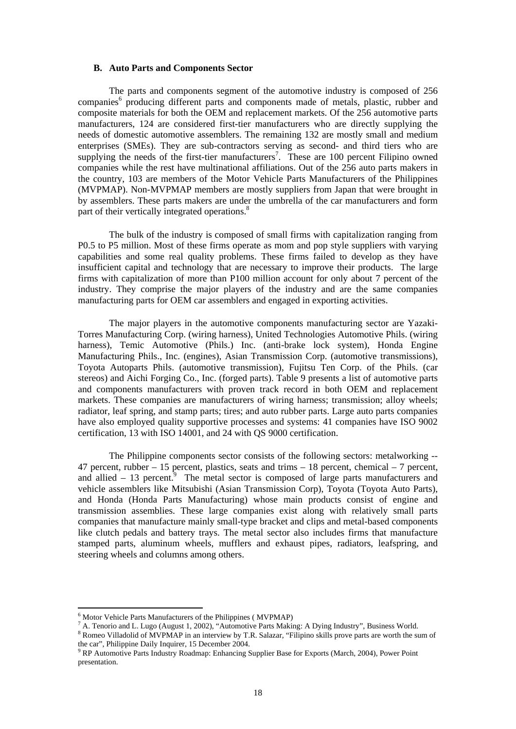#### **B. Auto Parts and Components Sector**

The parts and components segment of the automotive industry is composed of 256 companies<sup>6</sup> producing different parts and components made of metals, plastic, rubber and composite materials for both the OEM and replacement markets. Of the 256 automotive parts manufacturers, 124 are considered first-tier manufacturers who are directly supplying the needs of domestic automotive assemblers. The remaining 132 are mostly small and medium enterprises (SMEs). They are sub-contractors serving as second- and third tiers who are supplying the needs of the first-tier manufacturers<sup>7</sup>. These are 100 percent Filipino owned companies while the rest have multinational affiliations. Out of the 256 auto parts makers in the country, 103 are members of the Motor Vehicle Parts Manufacturers of the Philippines (MVPMAP). Non-MVPMAP members are mostly suppliers from Japan that were brought in by assemblers. These parts makers are under the umbrella of the car manufacturers and form part of their vertically integrated operations.<sup>8</sup>

The bulk of the industry is composed of small firms with capitalization ranging from P0.5 to P5 million. Most of these firms operate as mom and pop style suppliers with varying capabilities and some real quality problems. These firms failed to develop as they have insufficient capital and technology that are necessary to improve their products. The large firms with capitalization of more than P100 million account for only about 7 percent of the industry. They comprise the major players of the industry and are the same companies manufacturing parts for OEM car assemblers and engaged in exporting activities.

The major players in the automotive components manufacturing sector are Yazaki-Torres Manufacturing Corp. (wiring harness), United Technologies Automotive Phils. (wiring harness), Temic Automotive (Phils.) Inc. (anti-brake lock system), Honda Engine Manufacturing Phils., Inc. (engines), Asian Transmission Corp. (automotive transmissions), Toyota Autoparts Phils. (automotive transmission), Fujitsu Ten Corp. of the Phils. (car stereos) and Aichi Forging Co., Inc. (forged parts). Table 9 presents a list of automotive parts and components manufacturers with proven track record in both OEM and replacement markets. These companies are manufacturers of wiring harness; transmission; alloy wheels; radiator, leaf spring, and stamp parts; tires; and auto rubber parts. Large auto parts companies have also employed quality supportive processes and systems: 41 companies have ISO 9002 certification, 13 with ISO 14001, and 24 with QS 9000 certification.

The Philippine components sector consists of the following sectors: metalworking -- 47 percent, rubber – 15 percent, plastics, seats and trims – 18 percent, chemical – 7 percent, and allied  $-13$  percent.<sup>9</sup> The metal sector is composed of large parts manufacturers and vehicle assemblers like Mitsubishi (Asian Transmission Corp), Toyota (Toyota Auto Parts), and Honda (Honda Parts Manufacturing) whose main products consist of engine and transmission assemblies. These large companies exist along with relatively small parts companies that manufacture mainly small-type bracket and clips and metal-based components like clutch pedals and battery trays. The metal sector also includes firms that manufacture stamped parts, aluminum wheels, mufflers and exhaust pipes, radiators, leafspring, and steering wheels and columns among others.

<sup>&</sup>lt;sup>6</sup><br><sup>6</sup> Motor Vehicle Parts Manufacturers of the Philippines (MVPMAP)<sup>7</sup> A. Tangrie and L. Lugo (August 1, 2002), "Automative Parts Makin

<sup>&</sup>lt;sup>7</sup> A. Tenorio and L. Lugo (August 1, 2002), "Automotive Parts Making: A Dying Industry", Business World.  $\frac{8}{3}$  Bomeo Villadelid of MVDMAD in an interview by T.B. Selezer. "Eilinine ekills prove perts are worth the su

Romeo Villadolid of MVPMAP in an interview by T.R. Salazar, "Filipino skills prove parts are worth the sum of the car", Philippine Daily Inquirer, 15 December 2004.

<sup>9</sup> RP Automotive Parts Industry Roadmap: Enhancing Supplier Base for Exports (March, 2004), Power Point presentation.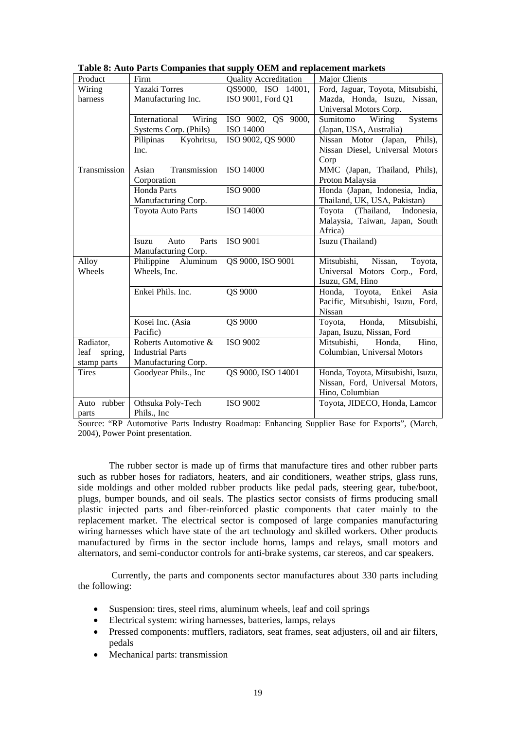|                             | ruole of truto r urus Companies that supply OLIM and replacement marities |                              |                                                  |
|-----------------------------|---------------------------------------------------------------------------|------------------------------|--------------------------------------------------|
| Product                     | Firm                                                                      | <b>Quality Accreditation</b> | Major Clients                                    |
| Wiring                      | Yazaki Torres                                                             | QS9000, ISO 14001,           | Ford, Jaguar, Toyota, Mitsubishi,                |
| harness                     | Manufacturing Inc.                                                        | ISO 9001, Ford Q1            | Mazda, Honda, Isuzu, Nissan,                     |
|                             |                                                                           |                              | Universal Motors Corp.                           |
|                             | International Wiring                                                      | ISO 9002, QS 9000,           | Sumitomo Wiring<br>Systems                       |
|                             | Systems Corp. (Phils)                                                     | <b>ISO 14000</b>             | (Japan, USA, Australia)                          |
|                             | Pilipinas<br>Kyohritsu,                                                   | ISO 9002, QS 9000            | Nissan Motor (Japan, Phils),                     |
|                             | Inc.                                                                      |                              | Nissan Diesel, Universal Motors                  |
|                             |                                                                           |                              | Corp                                             |
| Transmission                | Transmission<br>Asian                                                     | ISO 14000                    | MMC (Japan, Thailand, Phils),                    |
|                             | Corporation                                                               |                              | Proton Malaysia                                  |
|                             | <b>Honda Parts</b>                                                        | <b>ISO 9000</b>              | Honda (Japan, Indonesia, India,                  |
|                             | Manufacturing Corp.                                                       |                              | Thailand, UK, USA, Pakistan)                     |
|                             | <b>Toyota Auto Parts</b>                                                  | ISO 14000                    | Toyota (Thailand, Indonesia,                     |
|                             |                                                                           |                              | Malaysia, Taiwan, Japan, South                   |
|                             |                                                                           |                              | Africa)                                          |
|                             | Parts<br>Auto<br>Isuzu                                                    | <b>ISO 9001</b>              | Isuzu (Thailand)                                 |
|                             | Manufacturing Corp.                                                       |                              |                                                  |
| Alloy                       | Philippine Aluminum                                                       | QS 9000, ISO 9001            | Mitsubishi, Nissan,<br>Toyota,                   |
| Wheels                      | Wheels, Inc.                                                              |                              | Universal Motors Corp., Ford,                    |
|                             |                                                                           |                              | Isuzu, GM, Hino                                  |
|                             | Enkei Phils. Inc.                                                         | QS 9000                      | Honda, Toyota, Enkei Asia                        |
|                             |                                                                           |                              | Pacific, Mitsubishi, Isuzu, Ford,                |
|                             |                                                                           |                              | Nissan                                           |
|                             | Kosei Inc. (Asia                                                          | QS 9000                      | Honda,<br>Mitsubishi,<br>Toyota,                 |
|                             | Pacific)<br>Roberts Automotive &                                          |                              | Japan, Isuzu, Nissan, Ford<br>Mitsubishi, Honda, |
| Radiator,                   | <b>Industrial Parts</b>                                                   | ISO 9002                     | Hino,<br>Columbian, Universal Motors             |
| leaf spring,                | Manufacturing Corp.                                                       |                              |                                                  |
| stamp parts<br><b>Tires</b> | Goodyear Phils., Inc                                                      | QS 9000, ISO 14001           | Honda, Toyota, Mitsubishi, Isuzu,                |
|                             |                                                                           |                              | Nissan, Ford, Universal Motors,                  |
|                             |                                                                           |                              | Hino, Columbian                                  |
| Auto rubber                 | Othsuka Poly-Tech                                                         | <b>ISO 9002</b>              | Toyota, JIDECO, Honda, Lamcor                    |
| parts                       | Phils., Inc.                                                              |                              |                                                  |
|                             |                                                                           |                              |                                                  |

**Table 8: Auto Parts Companies that supply OEM and replacement markets** 

Source: "RP Automotive Parts Industry Roadmap: Enhancing Supplier Base for Exports", (March, 2004), Power Point presentation.

The rubber sector is made up of firms that manufacture tires and other rubber parts such as rubber hoses for radiators, heaters, and air conditioners, weather strips, glass runs, side moldings and other molded rubber products like pedal pads, steering gear, tube/boot, plugs, bumper bounds, and oil seals. The plastics sector consists of firms producing small plastic injected parts and fiber-reinforced plastic components that cater mainly to the replacement market. The electrical sector is composed of large companies manufacturing wiring harnesses which have state of the art technology and skilled workers. Other products manufactured by firms in the sector include horns, lamps and relays, small motors and alternators, and semi-conductor controls for anti-brake systems, car stereos, and car speakers.

 Currently, the parts and components sector manufactures about 330 parts including the following:

- Suspension: tires, steel rims, aluminum wheels, leaf and coil springs
- Electrical system: wiring harnesses, batteries, lamps, relays
- Pressed components: mufflers, radiators, seat frames, seat adjusters, oil and air filters, pedals
- Mechanical parts: transmission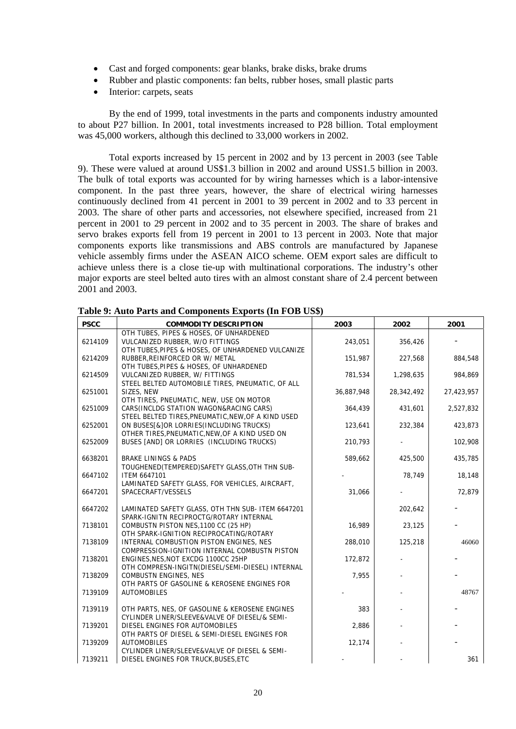- Cast and forged components: gear blanks, brake disks, brake drums
- Rubber and plastic components: fan belts, rubber hoses, small plastic parts
- Interior: carpets, seats

By the end of 1999, total investments in the parts and components industry amounted to about P27 billion. In 2001, total investments increased to P28 billion. Total employment was 45,000 workers, although this declined to 33,000 workers in 2002.

Total exports increased by 15 percent in 2002 and by 13 percent in 2003 (see Table 9). These were valued at around US\$1.3 billion in 2002 and around USS1.5 billion in 2003. The bulk of total exports was accounted for by wiring harnesses which is a labor-intensive component. In the past three years, however, the share of electrical wiring harnesses continuously declined from 41 percent in 2001 to 39 percent in 2002 and to 33 percent in 2003. The share of other parts and accessories, not elsewhere specified, increased from 21 percent in 2001 to 29 percent in 2002 and to 35 percent in 2003. The share of brakes and servo brakes exports fell from 19 percent in 2001 to 13 percent in 2003. Note that major components exports like transmissions and ABS controls are manufactured by Japanese vehicle assembly firms under the ASEAN AICO scheme. OEM export sales are difficult to achieve unless there is a close tie-up with multinational corporations. The industry's other major exports are steel belted auto tires with an almost constant share of 2.4 percent between 2001 and 2003.

| <b>PSCC</b> | <b>COMMODITY DESCRIPTION</b>                                                                 | 2003       | 2002       | 2001       |
|-------------|----------------------------------------------------------------------------------------------|------------|------------|------------|
|             | OTH TUBES, PIPES & HOSES, OF UNHARDENED                                                      |            |            |            |
| 6214109     | VULCANIZED RUBBER, W/O FITTINGS                                                              | 243,051    | 356,426    |            |
| 6214209     | OTH TUBES, PIPES & HOSES, OF UNHARDENED VULCANIZE<br>RUBBER, REINFORCED OR W/ METAL          | 151,987    | 227,568    | 884,548    |
|             | OTH TUBES, PIPES & HOSES, OF UNHARDENED                                                      |            |            |            |
| 6214509     | VULCANIZED RUBBER, W/ FITTINGS                                                               | 781,534    | 1,298,635  | 984,869    |
|             | STEEL BELTED AUTOMOBILE TIRES, PNEUMATIC, OF ALL                                             |            |            |            |
| 6251001     | SIZES, NEW<br>OTH TIRES, PNEUMATIC, NEW, USE ON MOTOR                                        | 36,887,948 | 28,342,492 | 27,423,957 |
| 6251009     | CARS(INCLDG STATION WAGON&RACING CARS)                                                       | 364,439    | 431,601    | 2,527,832  |
|             | STEEL BELTED TIRES, PNEUMATIC, NEW, OF A KIND USED                                           |            |            |            |
| 6252001     | ON BUSES[&]OR LORRIES(INCLUDING TRUCKS)                                                      | 123,641    | 232,384    | 423,873    |
| 6252009     | OTHER TIRES, PNEUMATIC, NEW, OF A KIND USED ON<br>BUSES [AND] OR LORRIES (INCLUDING TRUCKS)  | 210,793    |            | 102,908    |
|             |                                                                                              |            |            |            |
| 6638201     | <b>BRAKE LININGS &amp; PADS</b>                                                              | 589,662    | 425,500    | 435,785    |
| 6647102     | TOUGHENED(TEMPERED)SAFETY GLASS, OTH THN SUB-<br><b>ITEM 6647101</b>                         |            | 78,749     | 18,148     |
|             | LAMINATED SAFETY GLASS, FOR VEHICLES, AIRCRAFT,                                              |            |            |            |
| 6647201     | SPACECRAFT/VESSELS                                                                           | 31,066     |            | 72,879     |
|             |                                                                                              |            |            |            |
| 6647202     | LAMINATED SAFETY GLASS, OTH THN SUB- ITEM 6647201<br>SPARK-IGNITN RECIPROCTG/ROTARY INTERNAL |            | 202,642    |            |
| 7138101     | COMBUSTN PISTON NES, 1100 CC (25 HP)                                                         | 16,989     | 23,125     |            |
|             | OTH SPARK-IGNITION RECIPROCATING/ROTARY                                                      |            |            |            |
| 7138109     | INTERNAL COMBUSTION PISTON ENGINES, NES                                                      | 288,010    | 125,218    | 46060      |
| 7138201     | COMPRESSION-IGNITION INTERNAL COMBUSTN PISTON<br>ENGINES, NES, NOT EXCDG 1100CC 25HP         | 172,872    |            |            |
|             | OTH COMPRESN-INGITN(DIESEL/SEMI-DIESEL) INTERNAL                                             |            |            |            |
| 7138209     | COMBUSTN ENGINES, NES                                                                        | 7,955      |            |            |
|             | OTH PARTS OF GASOLINE & KEROSENE ENGINES FOR                                                 |            |            |            |
| 7139109     | <b>AUTOMOBILES</b>                                                                           |            |            | 48767      |
| 7139119     | OTH PARTS, NES, OF GASOLINE & KEROSENE ENGINES                                               | 383        |            |            |
|             | CYLINDER LINER/SLEEVE&VALVE OF DIESEL/& SEMI-                                                |            |            |            |
| 7139201     | DIESEL ENGINES FOR AUTOMOBILES                                                               | 2,886      |            |            |
| 7139209     | OTH PARTS OF DIESEL & SEMI-DIESEL ENGINES FOR<br><b>AUTOMOBILES</b>                          | 12,174     |            |            |
|             | CYLINDER LINER/SLEEVE&VALVE OF DIESEL & SEMI-                                                |            |            |            |
| 7139211     | DIESEL ENGINES FOR TRUCK, BUSES, ETC                                                         |            |            | 361        |

**Table 9: Auto Parts and Components Exports (In FOB US\$)**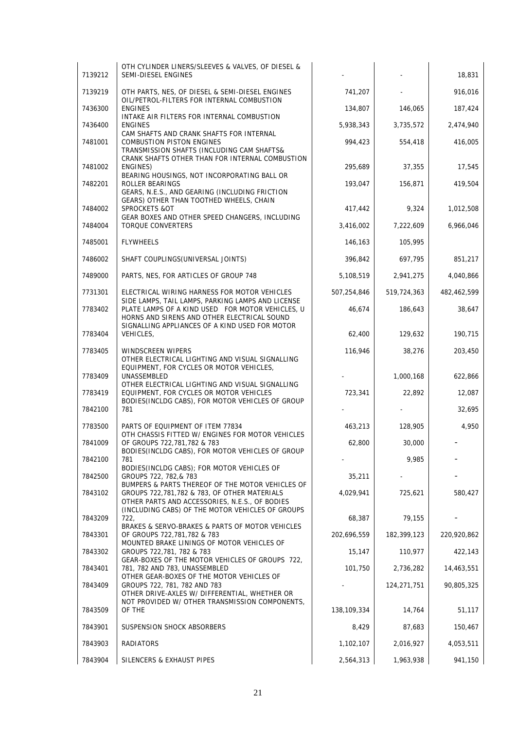| 7139212 | OTH CYLINDER LINERS/SLEEVES & VALVES, OF DIESEL &<br>SEMI-DIESEL ENGINES                          |             |             | 18,831      |
|---------|---------------------------------------------------------------------------------------------------|-------------|-------------|-------------|
| 7139219 | OTH PARTS, NES, OF DIESEL & SEMI-DIESEL ENGINES                                                   | 741,207     |             | 916,016     |
| 7436300 | OIL/PETROL-FILTERS FOR INTERNAL COMBUSTION<br><b>ENGINES</b>                                      | 134,807     | 146,065     | 187,424     |
| 7436400 | INTAKE AIR FILTERS FOR INTERNAL COMBUSTION<br><b>ENGINES</b>                                      | 5,938,343   | 3,735,572   | 2,474,940   |
| 7481001 | CAM SHAFTS AND CRANK SHAFTS FOR INTERNAL<br><b>COMBUSTION PISTON ENGINES</b>                      | 994,423     | 554,418     | 416,005     |
|         | TRANSMISSION SHAFTS (INCLUDING CAM SHAFTS&<br>CRANK SHAFTS OTHER THAN FOR INTERNAL COMBUSTION     |             |             |             |
| 7481002 | ENGINES)                                                                                          | 295,689     | 37,355      | 17,545      |
| 7482201 | BEARING HOUSINGS, NOT INCORPORATING BALL OR<br><b>ROLLER BEARINGS</b>                             | 193,047     | 156,871     | 419,504     |
|         | GEARS, N.E.S., AND GEARING (INCLUDING FRICTION<br>GEARS) OTHER THAN TOOTHED WHEELS, CHAIN         |             |             |             |
| 7484002 | SPROCKETS &OT<br>GEAR BOXES AND OTHER SPEED CHANGERS, INCLUDING                                   | 417,442     | 9,324       | 1,012,508   |
| 7484004 | <b>TORQUE CONVERTERS</b>                                                                          | 3,416,002   | 7,222,609   | 6,966,046   |
| 7485001 | <b>FLYWHEELS</b>                                                                                  | 146,163     | 105,995     |             |
| 7486002 | SHAFT COUPLINGS(UNIVERSAL JOINTS)                                                                 | 396,842     | 697,795     | 851,217     |
| 7489000 | PARTS, NES, FOR ARTICLES OF GROUP 748                                                             | 5,108,519   | 2,941,275   | 4,040,866   |
| 7731301 | ELECTRICAL WIRING HARNESS FOR MOTOR VEHICLES<br>SIDE LAMPS, TAIL LAMPS, PARKING LAMPS AND LICENSE | 507,254,846 | 519,724,363 | 482,462,599 |
| 7783402 | PLATE LAMPS OF A KIND USED FOR MOTOR VEHICLES, U<br>HORNS AND SIRENS AND OTHER ELECTRICAL SOUND   | 46.674      | 186,643     | 38,647      |
| 7783404 | SIGNALLING APPLIANCES OF A KIND USED FOR MOTOR<br>VEHICLES,                                       | 62,400      | 129,632     | 190,715     |
| 7783405 | WINDSCREEN WIPERS                                                                                 | 116,946     | 38,276      | 203,450     |
|         | OTHER ELECTRICAL LIGHTING AND VISUAL SIGNALLING<br>EQUIPMENT, FOR CYCLES OR MOTOR VEHICLES,       |             |             |             |
| 7783409 | UNASSEMBLED<br>OTHER ELECTRICAL LIGHTING AND VISUAL SIGNALLING                                    |             | 1,000,168   | 622,866     |
| 7783419 | EQUIPMENT, FOR CYCLES OR MOTOR VEHICLES<br>BODIES (INCLDG CABS), FOR MOTOR VEHICLES OF GROUP      | 723,341     | 22,892      | 12,087      |
| 7842100 | 781                                                                                               |             |             | 32,695      |
| 7783500 | PARTS OF EQUIPMENT OF ITEM 77834<br>OTH CHASSIS FITTED W/ ENGINES FOR MOTOR VEHICLES              | 463,213     | 128,905     | 4,950       |
| 7841009 | OF GROUPS 722,781,782 & 783<br>BODIES(INCLDG CABS), FOR MOTOR VEHICLES OF GROUP                   | 62,800      | 30,000      |             |
| 7842100 | 781<br>BODIES (INCLDG CABS); FOR MOTOR VEHICLES OF                                                |             | 9,985       |             |
| 7842500 | GROUPS 722, 782,& 783<br>BUMPERS & PARTS THEREOF OF THE MOTOR VEHICLES OF                         | 35,211      |             |             |
| 7843102 | GROUPS 722,781,782 & 783, OF OTHER MATERIALS<br>OTHER PARTS AND ACCESSORIES, N.E.S., OF BODIES    | 4,029,941   | 725,621     | 580,427     |
| 7843209 | (INCLUDING CABS) OF THE MOTOR VEHICLES OF GROUPS<br>722,                                          | 68,387      | 79,155      |             |
| 7843301 | BRAKES & SERVO-BRAKES & PARTS OF MOTOR VEHICLES<br>OF GROUPS 722,781,782 & 783                    | 202,696,559 | 182,399,123 | 220,920,862 |
| 7843302 | MOUNTED BRAKE LININGS OF MOTOR VEHICLES OF<br>GROUPS 722,781, 782 & 783                           | 15,147      | 110,977     | 422,143     |
| 7843401 | GEAR-BOXES OF THE MOTOR VEHICLES OF GROUPS 722,<br>781, 782 AND 783, UNASSEMBLED                  | 101,750     |             | 14,463,551  |
|         | OTHER GEAR-BOXES OF THE MOTOR VEHICLES OF                                                         |             | 2,736,282   |             |
| 7843409 | GROUPS 722, 781, 782 AND 783<br>OTHER DRIVE-AXLES W/ DIFFERENTIAL, WHETHER OR                     |             | 124,271,751 | 90,805,325  |
| 7843509 | NOT PROVIDED W/ OTHER TRANSMISSION COMPONENTS,<br>OF THE                                          | 138,109,334 | 14,764      | 51,117      |
| 7843901 | SUSPENSION SHOCK ABSORBERS                                                                        | 8,429       | 87,683      | 150,467     |
| 7843903 | RADIATORS                                                                                         | 1,102,107   | 2,016,927   | 4,053,511   |
| 7843904 | SILENCERS & EXHAUST PIPES                                                                         | 2,564,313   | 1,963,938   | 941,150     |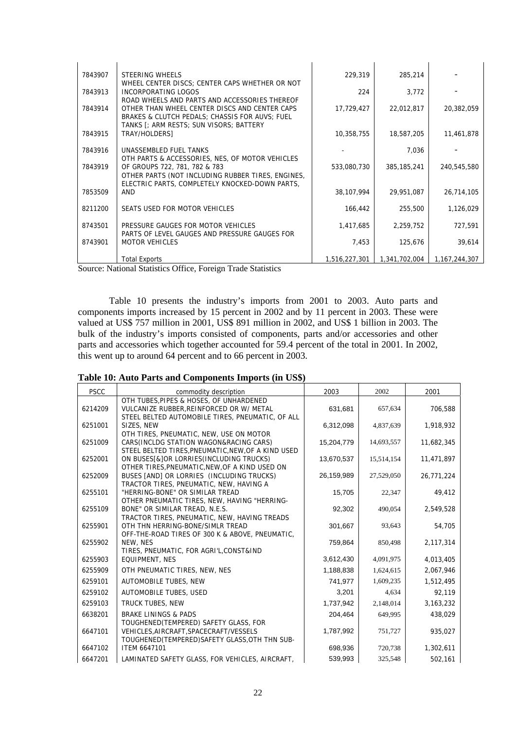| 7843907 | STEERING WHEELS                                                                                     | 229,319       | 285,214       |                  |
|---------|-----------------------------------------------------------------------------------------------------|---------------|---------------|------------------|
| 7843913 | WHEEL CENTER DISCS; CENTER CAPS WHETHER OR NOT<br>INCORPORATING LOGOS                               | 224           | 3,772         |                  |
| 7843914 | ROAD WHEELS AND PARTS AND ACCESSORIES THEREOF<br>OTHER THAN WHEEL CENTER DISCS AND CENTER CAPS      | 17,729,427    | 22,012,817    | 20,382,059       |
|         | BRAKES & CLUTCH PEDALS; CHASSIS FOR AUVS; FUEL<br>TANKS [: ARM RESTS; SUN VISORS; BATTERY           |               |               |                  |
| 7843915 | TRAY/HOLDERS]                                                                                       | 10,358,755    | 18,587,205    | 11,461,878       |
| 7843916 | UNASSEMBLED FUEL TANKS                                                                              |               | 7,036         |                  |
| 7843919 | OTH PARTS & ACCESSORIES, NES, OF MOTOR VEHICLES<br>OF GROUPS 722, 781, 782 & 783                    | 533,080,730   | 385, 185, 241 | 240,545,580      |
|         | OTHER PARTS (NOT INCLUDING RUBBER TIRES, ENGINES,<br>ELECTRIC PARTS, COMPLETELY KNOCKED-DOWN PARTS, |               |               |                  |
| 7853509 | <b>AND</b>                                                                                          | 38,107,994    | 29,951,087    | 26,714,105       |
| 8211200 | SEATS USED FOR MOTOR VEHICLES                                                                       | 166,442       | 255,500       | 1,126,029        |
| 8743501 | PRESSURE GAUGES FOR MOTOR VEHICLES                                                                  | 1,417,685     | 2,259,752     | 727,591          |
| 8743901 | PARTS OF LEVEL GAUGES AND PRESSURE GAUGES FOR<br><b>MOTOR VEHICLES</b>                              | 7,453         | 125,676       | 39,614           |
|         | <b>Total Exports</b>                                                                                | 1,516,227,301 | 1,341,702,004 | 1, 167, 244, 307 |

Source: National Statistics Office, Foreign Trade Statistics

 Table 10 presents the industry's imports from 2001 to 2003. Auto parts and components imports increased by 15 percent in 2002 and by 11 percent in 2003. These were valued at US\$ 757 million in 2001, US\$ 891 million in 2002, and US\$ 1 billion in 2003. The bulk of the industry's imports consisted of components, parts and/or accessories and other parts and accessories which together accounted for 59.4 percent of the total in 2001. In 2002, this went up to around 64 percent and to 66 percent in 2003.

| Table 10: Auto Parts and Components Imports (in US\$) |  |  |
|-------------------------------------------------------|--|--|
|-------------------------------------------------------|--|--|

| <b>PSCC</b> | commodity description                                                            | 2003       | 2002       | 2001       |
|-------------|----------------------------------------------------------------------------------|------------|------------|------------|
|             | OTH TUBES, PIPES & HOSES, OF UNHARDENED                                          |            |            |            |
| 6214209     | VULCANIZE RUBBER, REINFORCED OR W/ METAL                                         | 631,681    | 657,634    | 706,588    |
|             | STEEL BELTED AUTOMOBILE TIRES, PNEUMATIC, OF ALL                                 |            |            |            |
| 6251001     | SIZES, NEW                                                                       | 6,312,098  | 4,837,639  | 1.918.932  |
|             | OTH TIRES, PNEUMATIC, NEW, USE ON MOTOR                                          |            |            |            |
| 6251009     | CARS(INCLDG STATION WAGON&RACING CARS)                                           | 15,204,779 | 14,693,557 | 11,682,345 |
|             | STEEL BELTED TIRES, PNEUMATIC, NEW, OF A KIND USED                               |            |            |            |
| 6252001     | ON BUSES[&]OR LORRIES(INCLUDING TRUCKS)                                          | 13,670,537 | 15,514,154 | 11,471,897 |
|             | OTHER TIRES. PNEUMATIC. NEW. OF A KIND USED ON                                   |            |            |            |
| 6252009     | BUSES [AND] OR LORRIES (INCLUDING TRUCKS)                                        | 26,159,989 | 27,529,050 | 26,771,224 |
|             | TRACTOR TIRES, PNEUMATIC, NEW, HAVING A                                          |            |            |            |
| 6255101     | "HERRING-BONE" OR SIMILAR TREAD                                                  | 15,705     | 22,347     | 49.412     |
|             | OTHER PNEUMATIC TIRES, NEW, HAVING "HERRING-                                     |            |            |            |
| 6255109     | BONE" OR SIMILAR TREAD, N.E.S.                                                   | 92,302     | 490,054    | 2,549,528  |
| 6255901     | TRACTOR TIRES, PNEUMATIC, NEW, HAVING TREADS<br>OTH THN HERRING-BONE/SIMLR TREAD |            | 93,643     |            |
|             | OFF-THE-ROAD TIRES OF 300 K & ABOVE, PNEUMATIC,                                  | 301,667    |            | 54,705     |
| 6255902     | NEW, NES                                                                         | 759,864    | 850,498    | 2,117,314  |
|             | TIRES, PNEUMATIC, FOR AGRI'L, CONST&IND                                          |            |            |            |
| 6255903     | <b>EQUIPMENT, NES</b>                                                            | 3,612,430  | 4,091,975  | 4,013,405  |
|             |                                                                                  |            |            |            |
| 6255909     | OTH PNEUMATIC TIRES, NEW, NES                                                    | 1,188,838  | 1,624,615  | 2,067,946  |
| 6259101     | AUTOMOBILE TUBES, NEW                                                            | 741,977    | 1,609,235  | 1,512,495  |
| 6259102     | <b>AUTOMOBILE TUBES, USED</b>                                                    | 3,201      | 4.634      | 92,119     |
| 6259103     | TRUCK TUBES, NEW                                                                 | 1,737,942  | 2,148,014  | 3,163,232  |
| 6638201     | <b>BRAKE LININGS &amp; PADS</b>                                                  | 204.464    | 649,995    | 438.029    |
|             | TOUGHENED(TEMPERED) SAFETY GLASS, FOR                                            |            |            |            |
| 6647101     | VEHICLES, AIRCRAFT, SPACECRAFT/VESSELS                                           | 1,787,992  | 751,727    | 935,027    |
|             | TOUGHENED(TEMPERED)SAFETY GLASS, OTH THN SUB-                                    |            |            |            |
| 6647102     | <b>ITEM 6647101</b>                                                              | 698,936    | 720,738    | 1,302,611  |
| 6647201     | LAMINATED SAFETY GLASS, FOR VEHICLES, AIRCRAFT,                                  | 539,993    | 325,548    | 502,161    |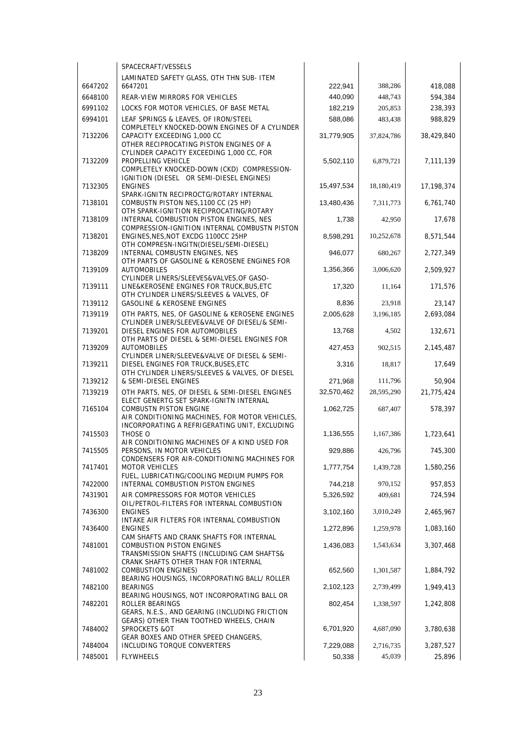|         | SPACECRAFT/VESSELS                                                                                                               |            |            |            |
|---------|----------------------------------------------------------------------------------------------------------------------------------|------------|------------|------------|
| 6647202 | LAMINATED SAFETY GLASS, OTH THN SUB- ITEM<br>6647201                                                                             | 222,941    | 388,286    | 418,088    |
| 6648100 | <b>REAR-VIEW MIRRORS FOR VEHICLES</b>                                                                                            | 440,090    | 448,743    | 594,384    |
| 6991102 | LOCKS FOR MOTOR VEHICLES, OF BASE METAL                                                                                          | 182,219    | 205,853    | 238,393    |
| 6994101 | LEAF SPRINGS & LEAVES, OF IRON/STEEL                                                                                             | 588,086    | 483,438    | 988.829    |
| 7132206 | COMPLETELY KNOCKED-DOWN ENGINES OF A CYLINDER<br>CAPACITY EXCEEDING 1,000 CC<br>OTHER RECIPROCATING PISTON ENGINES OF A          | 31,779,905 | 37,824,786 | 38,429,840 |
| 7132209 | CYLINDER CAPACITY EXCEEDING 1,000 CC, FOR<br>PROPELLING VEHICLE<br>COMPLETELY KNOCKED-DOWN (CKD) COMPRESSION-                    | 5,502,110  | 6,879,721  | 7,111,139  |
| 7132305 | IGNITION (DIESEL OR SEMI-DIESEL ENGINES)<br><b>ENGINES</b><br>SPARK-IGNITN RECIPROCTG/ROTARY INTERNAL                            | 15,497,534 | 18,180,419 | 17,198,374 |
| 7138101 | COMBUSTN PISTON NES, 1100 CC (25 HP)<br>OTH SPARK-IGNITION RECIPROCATING/ROTARY                                                  | 13,480,436 | 7,311,773  | 6,761,740  |
| 7138109 | INTERNAL COMBUSTION PISTON ENGINES, NES<br>COMPRESSION-IGNITION INTERNAL COMBUSTN PISTON                                         | 1,738      | 42,950     | 17,678     |
| 7138201 | ENGINES, NES, NOT EXCDG 1100CC 25HP<br>OTH COMPRESN-INGITN(DIESEL/SEMI-DIESEL)                                                   | 8,598,291  | 10,252,678 | 8,571,544  |
| 7138209 | INTERNAL COMBUSTN ENGINES, NES<br>OTH PARTS OF GASOLINE & KEROSENE ENGINES FOR                                                   | 946,077    | 680,267    | 2,727,349  |
| 7139109 | <b>AUTOMOBILES</b><br>CYLINDER LINERS/SLEEVES&VALVES, OF GASO-                                                                   | 1,356,366  | 3,006,620  | 2,509,927  |
| 7139111 | LINE&KEROSENE ENGINES FOR TRUCK, BUS, ETC<br>OTH CYLINDER LINERS/SLEEVES & VALVES, OF                                            | 17,320     | 11,164     | 171,576    |
| 7139112 | <b>GASOLINE &amp; KEROSENE ENGINES</b>                                                                                           | 8,836      | 23,918     | 23,147     |
| 7139119 | OTH PARTS, NES, OF GASOLINE & KEROSENE ENGINES<br>CYLINDER LINER/SLEEVE&VALVE OF DIESEL/& SEMI-                                  | 2,005,628  | 3,196,185  | 2,693,084  |
| 7139201 | DIESEL ENGINES FOR AUTOMOBILES<br>OTH PARTS OF DIESEL & SEMI-DIESEL ENGINES FOR                                                  | 13,768     | 4,502      | 132,671    |
| 7139209 | <b>AUTOMOBILES</b><br>CYLINDER LINER/SLEEVE&VALVE OF DIESEL & SEMI-                                                              | 427,453    | 902,515    | 2,145,487  |
| 7139211 | DIESEL ENGINES FOR TRUCK, BUSES, ETC<br>OTH CYLINDER LINERS/SLEEVES & VALVES, OF DIESEL                                          | 3,316      | 18,817     | 17,649     |
| 7139212 | & SEMI-DIESEL ENGINES                                                                                                            | 271,968    | 111,796    | 50,904     |
| 7139219 | OTH PARTS, NES, OF DIESEL & SEMI-DIESEL ENGINES<br>ELECT GENERTG SET SPARK-IGNITN INTERNAL                                       | 32,570,462 | 28,595,290 | 21,775,424 |
| 7165104 | <b>COMBUSTN PISTON ENGINE</b><br>AIR CONDITIONING MACHINES, FOR MOTOR VEHICLES,<br>INCORPORATING A REFRIGERATING UNIT, EXCLUDING | 1,062,725  | 687,407    | 578,397    |
| 7415503 | THOSE O<br>AIR CONDITIONING MACHINES OF A KIND USED FOR                                                                          | 1,136,555  | 1,167,386  | 1,723,641  |
| 7415505 | PERSONS, IN MOTOR VEHICLES<br>CONDENSERS FOR AIR-CONDITIONING MACHINES FOR                                                       | 929,886    | 426,796    | 745,300    |
| 7417401 | <b>MOTOR VEHICLES</b><br>FUEL, LUBRICATING/COOLING MEDIUM PUMPS FOR                                                              | 1,777,754  | 1,439,728  | 1,580,256  |
| 7422000 | INTERNAL COMBUSTION PISTON ENGINES                                                                                               | 744,218    | 970,152    | 957,853    |
| 7431901 | AIR COMPRESSORS FOR MOTOR VEHICLES<br>OIL/PETROL-FILTERS FOR INTERNAL COMBUSTION                                                 | 5,326,592  | 409,681    | 724,594    |
| 7436300 | <b>ENGINES</b><br>INTAKE AIR FILTERS FOR INTERNAL COMBUSTION                                                                     | 3,102,160  | 3,010,249  | 2,465,967  |
| 7436400 | <b>ENGINES</b><br>CAM SHAFTS AND CRANK SHAFTS FOR INTERNAL                                                                       | 1,272,896  | 1,259,978  | 1,083,160  |
| 7481001 | <b>COMBUSTION PISTON ENGINES</b><br>TRANSMISSION SHAFTS (INCLUDING CAM SHAFTS&<br>CRANK SHAFTS OTHER THAN FOR INTERNAL           | 1,436,083  | 1,543,634  | 3,307,468  |
| 7481002 | <b>COMBUSTION ENGINES)</b><br>BEARING HOUSINGS, INCORPORATING BALL/ ROLLER                                                       | 652,560    | 1,301,587  | 1,884,792  |
| 7482100 | <b>BEARINGS</b><br>BEARING HOUSINGS, NOT INCORPORATING BALL OR                                                                   | 2,102,123  | 2,739,499  | 1,949,413  |
| 7482201 | ROLLER BEARINGS<br>GEARS, N.E.S., AND GEARING (INCLUDING FRICTION<br>GEARS) OTHER THAN TOOTHED WHEELS, CHAIN                     | 802,454    | 1,338,597  | 1,242,808  |
| 7484002 | SPROCKETS & OT<br>GEAR BOXES AND OTHER SPEED CHANGERS,                                                                           | 6,701,920  | 4,687,090  | 3,780,638  |
| 7484004 | INCLUDING TORQUE CONVERTERS                                                                                                      | 7,229,088  | 2,716,735  | 3,287,527  |
| 7485001 | <b>FLYWHEELS</b>                                                                                                                 | 50,338     | 45,039     | 25,896     |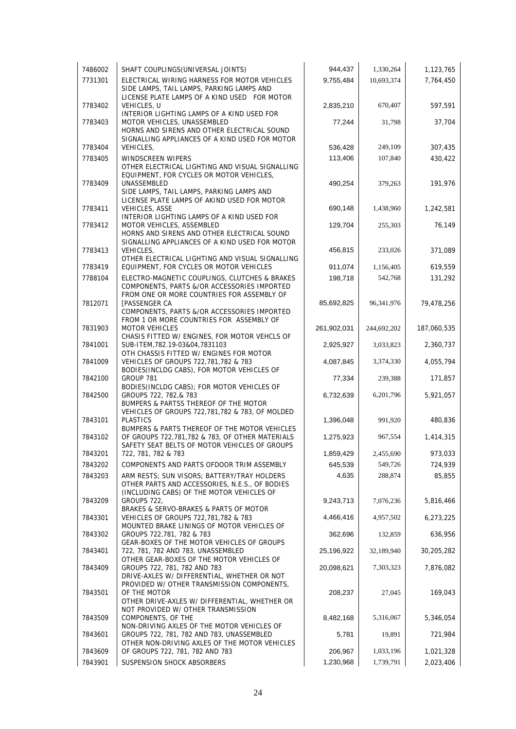| 7486002 | SHAFT COUPLINGS (UNIVERSAL JOINTS)                                                                                                         | 944,437     | 1,330,264    | 1,123,765   |
|---------|--------------------------------------------------------------------------------------------------------------------------------------------|-------------|--------------|-------------|
| 7731301 | ELECTRICAL WIRING HARNESS FOR MOTOR VEHICLES<br>SIDE LAMPS, TAIL LAMPS, PARKING LAMPS AND<br>LICENSE PLATE LAMPS OF A KIND USED FOR MOTOR  | 9,755,484   | 10,693,374   | 7,764,450   |
| 7783402 | <b>VEHICLES, U</b><br>INTERIOR LIGHTING LAMPS OF A KIND USED FOR                                                                           | 2,835,210   | 670,407      | 597,591     |
| 7783403 | MOTOR VEHICLES, UNASSEMBLED<br>HORNS AND SIRENS AND OTHER ELECTRICAL SOUND<br>SIGNALLING APPLIANCES OF A KIND USED FOR MOTOR               | 77,244      | 31,798       | 37,704      |
| 7783404 | VEHICLES,                                                                                                                                  | 536,428     | 249,109      | 307,435     |
| 7783405 | WINDSCREEN WIPERS<br>OTHER ELECTRICAL LIGHTING AND VISUAL SIGNALLING<br>EQUIPMENT, FOR CYCLES OR MOTOR VEHICLES,                           | 113,406     | 107,840      | 430,422     |
| 7783409 | UNASSEMBLED<br>SIDE LAMPS, TAIL LAMPS, PARKING LAMPS AND<br>LICENSE PLATE LAMPS OF AKIND USED FOR MOTOR                                    | 490,254     | 379,263      | 191,976     |
| 7783411 | <b>VEHICLES, ASSE</b><br>INTERIOR LIGHTING LAMPS OF A KIND USED FOR                                                                        | 690,148     | 1,438,960    | 1,242,581   |
| 7783412 | MOTOR VEHICLES, ASSEMBLED<br>HORNS AND SIRENS AND OTHER ELECTRICAL SOUND<br>SIGNALLING APPLIANCES OF A KIND USED FOR MOTOR                 | 129,704     | 255,303      | 76,149      |
| 7783413 | <b>VEHICLES.</b><br>OTHER ELECTRICAL LIGHTING AND VISUAL SIGNALLING                                                                        | 456,815     | 233,026      | 371,089     |
| 7783419 | EQUIPMENT, FOR CYCLES OR MOTOR VEHICLES                                                                                                    | 911,074     | 1,156,405    | 619,559     |
| 7788104 | ELECTRO-MAGNETIC COUPLINGS, CLUTCHES & BRAKES<br>COMPONENTS, PARTS &/OR ACCESSORIES IMPORTED<br>FROM ONE OR MORE COUNTRIES FOR ASSEMBLY OF | 198,718     | 542,768      | 131,292     |
| 7812071 | [PASSENGER CA<br>COMPONENTS, PARTS &/OR ACCESSORIES IMPORTED                                                                               | 85,692,825  | 96, 341, 976 | 79,478,256  |
| 7831903 | FROM 1 OR MORE COUNTRIES FOR ASSEMBLY OF<br><b>MOTOR VEHICLES</b><br>CHASIS FITTED W/ ENGINES, FOR MOTOR VEHCLS OF                         | 261,902,031 | 244,692,202  | 187,060,535 |
| 7841001 | SUB-ITEM, 782.19-03&04, 7831103<br>OTH CHASSIS FITTED W/ ENGINES FOR MOTOR                                                                 | 2,925,927   | 3,033,823    | 2,360,737   |
| 7841009 | VEHICLES OF GROUPS 722,781,782 & 783<br>BODIES(INCLDG CABS), FOR MOTOR VEHICLES OF                                                         | 4,087,845   | 3,374,330    | 4,055,794   |
| 7842100 | GROUP 781<br>BODIES(INCLDG CABS); FOR MOTOR VEHICLES OF                                                                                    | 77,334      | 239,388      | 171,857     |
| 7842500 | GROUPS 722, 782,& 783<br>BUMPERS & PARTSS THEREOF OF THE MOTOR                                                                             | 6,732,639   | 6,201,796    | 5,921,057   |
| 7843101 | VEHICLES OF GROUPS 722,781,782 & 783, OF MOLDED<br><b>PLASTICS</b><br>BUMPERS & PARTS THEREOF OF THE MOTOR VEHICLES                        | 1,396,048   | 991,920      | 480,836     |
| 7843102 | OF GROUPS 722,781,782 & 783, OF OTHER MATERIALS<br>SAFETY SEAT BELTS OF MOTOR VEHICLES OF GROUPS                                           | 1,275,923   | 967,554      | 1,414,315   |
| 7843201 | 722, 781, 782 & 783                                                                                                                        | 1,859,429   | 2,455,690    | 973,033     |
| 7843202 | COMPONENTS AND PARTS OFDOOR TRIM ASSEMBLY                                                                                                  | 645,539     | 549,726      | 724,939     |
| 7843203 | ARM RESTS; SUN VISORS; BATTERY/TRAY HOLDERS<br>OTHER PARTS AND ACCESSORIES, N.E.S., OF BODIES<br>(INCLUDING CABS) OF THE MOTOR VEHICLES OF | 4,635       | 288,874      | 85,855      |
| 7843209 | GROUPS 722.<br>BRAKES & SERVO-BRAKES & PARTS OF MOTOR                                                                                      | 9,243,713   | 7,076,236    | 5,816,466   |
| 7843301 | VEHICLES OF GROUPS 722,781,782 & 783<br>MOUNTED BRAKE LININGS OF MOTOR VEHICLES OF                                                         | 4,466,416   | 4,957,502    | 6,273,225   |
| 7843302 | GROUPS 722,781, 782 & 783<br>GEAR-BOXES OF THE MOTOR VEHICLES OF GROUPS                                                                    | 362,696     | 132,859      | 636,956     |
| 7843401 | 722, 781, 782 AND 783, UNASSEMBLED<br>OTHER GEAR-BOXES OF THE MOTOR VEHICLES OF                                                            | 25,196,922  | 32,189,940   | 30,205,282  |
| 7843409 | GROUPS 722, 781, 782 AND 783<br>DRIVE-AXLES W/ DIFFERENTIAL, WHETHER OR NOT                                                                | 20,098,621  | 7,303,323    | 7,876,082   |
| 7843501 | PROVIDED W/ OTHER TRANSMISSION COMPONENTS,<br>OF THE MOTOR<br>OTHER DRIVE-AXLES W/ DIFFERENTIAL, WHETHER OR                                | 208,237     | 27,045       | 169,043     |
| 7843509 | NOT PROVIDED W/ OTHER TRANSMISSION<br>COMPONENTS, OF THE<br>NON-DRIVING AXLES OF THE MOTOR VEHICLES OF                                     | 8,482,168   | 5,316,067    | 5,346,054   |
| 7843601 | GROUPS 722, 781, 782 AND 783, UNASSEMBLED<br>OTHER NON-DRIVING AXLES OF THE MOTOR VEHICLES                                                 | 5,781       | 19,891       | 721,984     |
| 7843609 | OF GROUPS 722, 781, 782 AND 783                                                                                                            | 206,967     | 1,033,196    | 1,021,328   |
| 7843901 | SUSPENSION SHOCK ABSORBERS                                                                                                                 | 1,230,968   | 1,739,791    | 2,023,406   |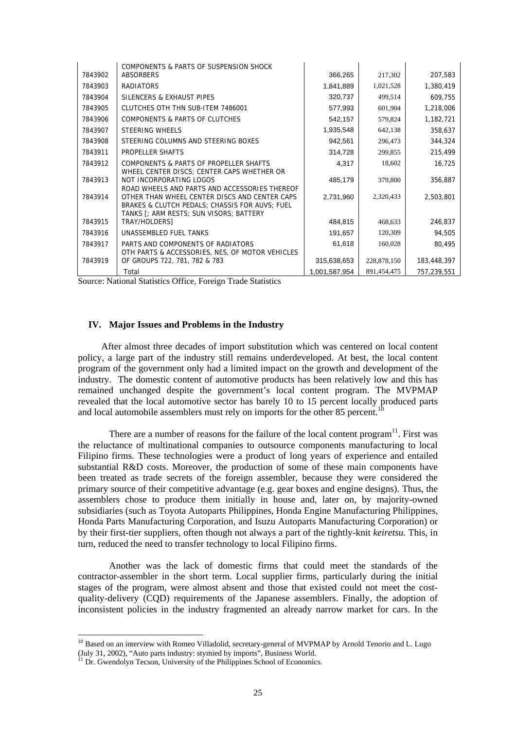| 7843902 | COMPONENTS & PARTS OF SUSPENSION SHOCK<br><b>ABSORBERS</b>                                                                                 | 366,265       | 217,302     | 207,583     |
|---------|--------------------------------------------------------------------------------------------------------------------------------------------|---------------|-------------|-------------|
| 7843903 | <b>RADIATORS</b>                                                                                                                           | 1,841,889     | 1,021,528   | 1,380,419   |
| 7843904 | SILENCERS & EXHAUST PIPES                                                                                                                  | 320,737       | 499,514     | 609,755     |
| 7843905 | CLUTCHES OTH THN SUB-ITEM 7486001                                                                                                          | 577,993       | 601,904     | 1,218,006   |
| 7843906 | COMPONENTS & PARTS OF CLUTCHES                                                                                                             | 542,157       | 579,824     | 1,182,721   |
| 7843907 | <b>STEERING WHEELS</b>                                                                                                                     | 1,935,548     | 642,138     | 358,637     |
| 7843908 | STEERING COLUMNS AND STEERING BOXES                                                                                                        | 942,561       | 296,473     | 344,324     |
| 7843911 | PROPELLER SHAFTS                                                                                                                           | 314,728       | 299,855     | 215,499     |
| 7843912 | COMPONENTS & PARTS OF PROPELLER SHAFTS<br>WHEEL CENTER DISCS; CENTER CAPS WHETHER OR                                                       | 4,317         | 18,602      | 16,725      |
| 7843913 | NOT INCORPORATING LOGOS<br>ROAD WHEELS AND PARTS AND ACCESSORIES THEREOF                                                                   | 485,179       | 379,800     | 356,887     |
| 7843914 | OTHER THAN WHEEL CENTER DISCS AND CENTER CAPS<br>BRAKES & CLUTCH PEDALS; CHASSIS FOR AUVS; FUEL<br>TANKS [; ARM RESTS; SUN VISORS; BATTERY | 2,731,960     | 2,320,433   | 2,503,801   |
| 7843915 | TRAY/HOLDERS]                                                                                                                              | 484,815       | 468,633     | 246,837     |
| 7843916 | UNASSEMBLED FUEL TANKS                                                                                                                     | 191,657       | 120,309     | 94,505      |
| 7843917 | PARTS AND COMPONENTS OF RADIATORS<br>OTH PARTS & ACCESSORIES, NES, OF MOTOR VEHICLES                                                       | 61,618        | 160,028     | 80,495      |
| 7843919 | OF GROUPS 722, 781, 782 & 783                                                                                                              | 315,638,653   | 228,878,150 | 183,448,397 |
|         | Total                                                                                                                                      | 1,001,587,954 | 891,454,475 | 757,239,551 |

Source: National Statistics Office, Foreign Trade Statistics

#### **IV. Major Issues and Problems in the Industry**

After almost three decades of import substitution which was centered on local content policy, a large part of the industry still remains underdeveloped. At best, the local content program of the government only had a limited impact on the growth and development of the industry. The domestic content of automotive products has been relatively low and this has remained unchanged despite the government's local content program. The MVPMAP revealed that the local automotive sector has barely 10 to 15 percent locally produced parts and local automobile assemblers must rely on imports for the other 85 percent.<sup>10</sup>

There are a number of reasons for the failure of the local content program $11$ . First was the reluctance of multinational companies to outsource components manufacturing to local Filipino firms. These technologies were a product of long years of experience and entailed substantial R&D costs. Moreover, the production of some of these main components have been treated as trade secrets of the foreign assembler, because they were considered the primary source of their competitive advantage (e.g. gear boxes and engine designs). Thus, the assemblers chose to produce them initially in house and, later on, by majority-owned subsidiaries (such as Toyota Autoparts Philippines, Honda Engine Manufacturing Philippines, Honda Parts Manufacturing Corporation, and Isuzu Autoparts Manufacturing Corporation) or by their first-tier suppliers, often though not always a part of the tightly-knit *keiretsu.* This, in turn, reduced the need to transfer technology to local Filipino firms.

 Another was the lack of domestic firms that could meet the standards of the contractor-assembler in the short term. Local supplier firms, particularly during the initial stages of the program, were almost absent and those that existed could not meet the costquality-delivery (CQD) requirements of the Japanese assemblers. Finally, the adoption of inconsistent policies in the industry fragmented an already narrow market for cars. In the

1

 $10$  Based on an interview with Romeo Villadolid, secretary-general of MVPMAP by Arnold Tenorio and L. Lugo (July 31, 2002), "Auto parts industry: stymied by imports", Business World.

 $\overline{M}$  Dr. Gwendolyn Tecson, University of the Philippines School of Economics.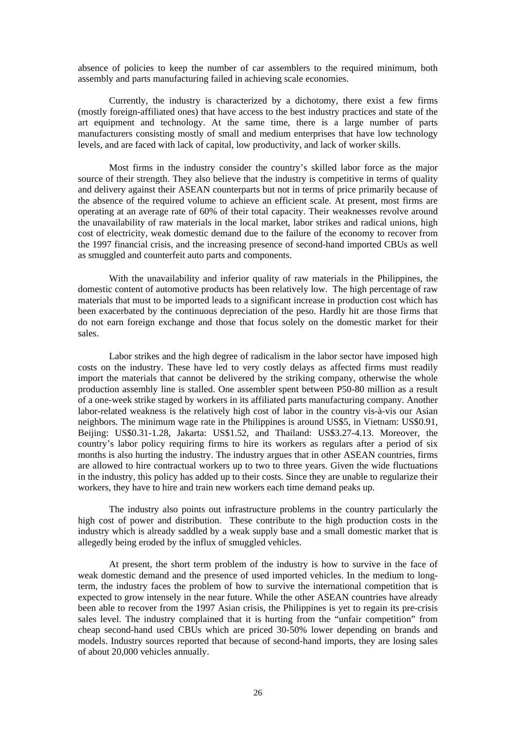absence of policies to keep the number of car assemblers to the required minimum, both assembly and parts manufacturing failed in achieving scale economies.

Currently, the industry is characterized by a dichotomy, there exist a few firms (mostly foreign-affiliated ones) that have access to the best industry practices and state of the art equipment and technology. At the same time, there is a large number of parts manufacturers consisting mostly of small and medium enterprises that have low technology levels, and are faced with lack of capital, low productivity, and lack of worker skills.

Most firms in the industry consider the country's skilled labor force as the major source of their strength. They also believe that the industry is competitive in terms of quality and delivery against their ASEAN counterparts but not in terms of price primarily because of the absence of the required volume to achieve an efficient scale. At present, most firms are operating at an average rate of 60% of their total capacity. Their weaknesses revolve around the unavailability of raw materials in the local market, labor strikes and radical unions, high cost of electricity, weak domestic demand due to the failure of the economy to recover from the 1997 financial crisis, and the increasing presence of second-hand imported CBUs as well as smuggled and counterfeit auto parts and components.

With the unavailability and inferior quality of raw materials in the Philippines, the domestic content of automotive products has been relatively low. The high percentage of raw materials that must to be imported leads to a significant increase in production cost which has been exacerbated by the continuous depreciation of the peso. Hardly hit are those firms that do not earn foreign exchange and those that focus solely on the domestic market for their sales.

Labor strikes and the high degree of radicalism in the labor sector have imposed high costs on the industry. These have led to very costly delays as affected firms must readily import the materials that cannot be delivered by the striking company, otherwise the whole production assembly line is stalled. One assembler spent between P50-80 million as a result of a one-week strike staged by workers in its affiliated parts manufacturing company. Another labor-related weakness is the relatively high cost of labor in the country vis-à-vis our Asian neighbors. The minimum wage rate in the Philippines is around US\$5, in Vietnam: US\$0.91, Beijing: US\$0.31-1.28, Jakarta: US\$1.52, and Thailand: US\$3.27-4.13. Moreover, the country's labor policy requiring firms to hire its workers as regulars after a period of six months is also hurting the industry. The industry argues that in other ASEAN countries, firms are allowed to hire contractual workers up to two to three years. Given the wide fluctuations in the industry, this policy has added up to their costs. Since they are unable to regularize their workers, they have to hire and train new workers each time demand peaks up.

The industry also points out infrastructure problems in the country particularly the high cost of power and distribution. These contribute to the high production costs in the industry which is already saddled by a weak supply base and a small domestic market that is allegedly being eroded by the influx of smuggled vehicles.

At present, the short term problem of the industry is how to survive in the face of weak domestic demand and the presence of used imported vehicles. In the medium to longterm, the industry faces the problem of how to survive the international competition that is expected to grow intensely in the near future. While the other ASEAN countries have already been able to recover from the 1997 Asian crisis, the Philippines is yet to regain its pre-crisis sales level. The industry complained that it is hurting from the "unfair competition" from cheap second-hand used CBUs which are priced 30-50% lower depending on brands and models. Industry sources reported that because of second-hand imports, they are losing sales of about 20,000 vehicles annually.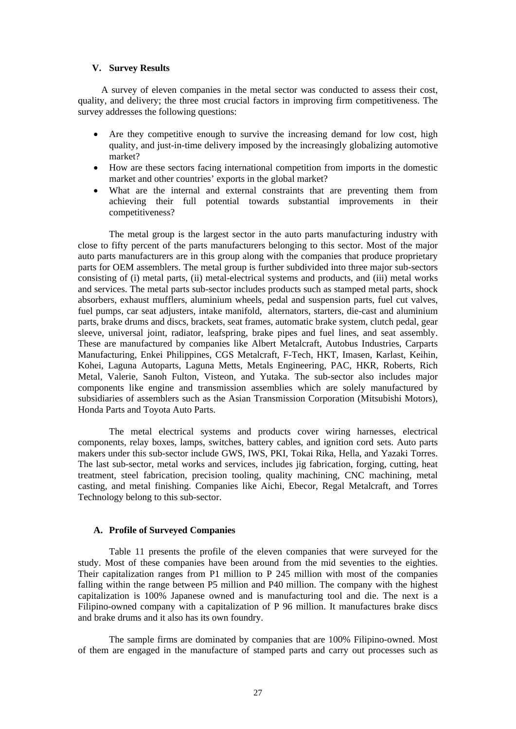#### **V. Survey Results**

A survey of eleven companies in the metal sector was conducted to assess their cost, quality, and delivery; the three most crucial factors in improving firm competitiveness. The survey addresses the following questions:

- Are they competitive enough to survive the increasing demand for low cost, high quality, and just-in-time delivery imposed by the increasingly globalizing automotive market?
- How are these sectors facing international competition from imports in the domestic market and other countries' exports in the global market?
- What are the internal and external constraints that are preventing them from achieving their full potential towards substantial improvements in their competitiveness?

The metal group is the largest sector in the auto parts manufacturing industry with close to fifty percent of the parts manufacturers belonging to this sector. Most of the major auto parts manufacturers are in this group along with the companies that produce proprietary parts for OEM assemblers. The metal group is further subdivided into three major sub-sectors consisting of (i) metal parts, (ii) metal-electrical systems and products, and (iii) metal works and services. The metal parts sub-sector includes products such as stamped metal parts, shock absorbers, exhaust mufflers, aluminium wheels, pedal and suspension parts, fuel cut valves, fuel pumps, car seat adjusters, intake manifold, alternators, starters, die-cast and aluminium parts, brake drums and discs, brackets, seat frames, automatic brake system, clutch pedal, gear sleeve, universal joint, radiator, leafspring, brake pipes and fuel lines, and seat assembly. These are manufactured by companies like Albert Metalcraft, Autobus Industries, Carparts Manufacturing, Enkei Philippines, CGS Metalcraft, F-Tech, HKT, Imasen, Karlast, Keihin, Kohei, Laguna Autoparts, Laguna Metts, Metals Engineering, PAC, HKR, Roberts, Rich Metal, Valerie, Sanoh Fulton, Visteon, and Yutaka. The sub-sector also includes major components like engine and transmission assemblies which are solely manufactured by subsidiaries of assemblers such as the Asian Transmission Corporation (Mitsubishi Motors), Honda Parts and Toyota Auto Parts.

The metal electrical systems and products cover wiring harnesses, electrical components, relay boxes, lamps, switches, battery cables, and ignition cord sets. Auto parts makers under this sub-sector include GWS, IWS, PKI, Tokai Rika, Hella, and Yazaki Torres. The last sub-sector, metal works and services, includes jig fabrication, forging, cutting, heat treatment, steel fabrication, precision tooling, quality machining, CNC machining, metal casting, and metal finishing. Companies like Aichi, Ebecor, Regal Metalcraft, and Torres Technology belong to this sub-sector.

#### **A. Profile of Surveyed Companies**

Table 11 presents the profile of the eleven companies that were surveyed for the study. Most of these companies have been around from the mid seventies to the eighties. Their capitalization ranges from P1 million to P 245 million with most of the companies falling within the range between P5 million and P40 million. The company with the highest capitalization is 100% Japanese owned and is manufacturing tool and die. The next is a Filipino-owned company with a capitalization of P 96 million. It manufactures brake discs and brake drums and it also has its own foundry.

The sample firms are dominated by companies that are 100% Filipino-owned. Most of them are engaged in the manufacture of stamped parts and carry out processes such as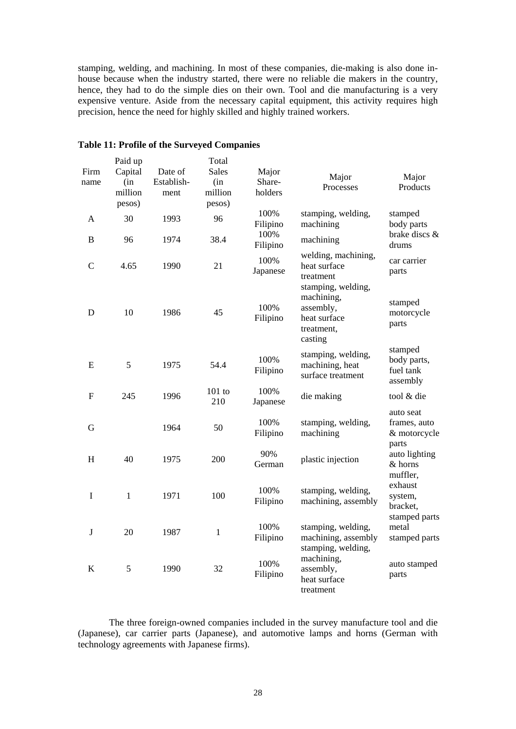stamping, welding, and machining. In most of these companies, die-making is also done inhouse because when the industry started, there were no reliable die makers in the country, hence, they had to do the simple dies on their own. Tool and die manufacturing is a very expensive venture. Aside from the necessary capital equipment, this activity requires high precision, hence the need for highly skilled and highly trained workers.

| Firm<br>name | Paid up<br>Capital<br>(in<br>million<br>pesos) | Date of<br>Establish-<br>ment | Total<br><b>Sales</b><br>(in<br>million<br>pesos) | Major<br>Share-<br>holders | Major<br>Processes                                                                     | Major<br>Products                                  |
|--------------|------------------------------------------------|-------------------------------|---------------------------------------------------|----------------------------|----------------------------------------------------------------------------------------|----------------------------------------------------|
| A            | 30                                             | 1993                          | 96                                                | 100%<br>Filipino           | stamping, welding,<br>machining                                                        | stamped<br>body parts                              |
| B            | 96                                             | 1974                          | 38.4                                              | 100%<br>Filipino           | machining                                                                              | brake discs &<br>drums                             |
| $\mathbf C$  | 4.65                                           | 1990                          | 21                                                | 100%<br>Japanese           | welding, machining,<br>heat surface<br>treatment                                       | car carrier<br>parts                               |
| D            | 10                                             | 1986                          | 45                                                | 100%<br>Filipino           | stamping, welding,<br>machining,<br>assembly,<br>heat surface<br>treatment,<br>casting | stamped<br>motorcycle<br>parts                     |
| ${\bf E}$    | 5                                              | 1975                          | 54.4                                              | 100%<br>Filipino           | stamping, welding,<br>machining, heat<br>surface treatment                             | stamped<br>body parts,<br>fuel tank<br>assembly    |
| $\mathbf F$  | 245                                            | 1996                          | $101$ to<br>210                                   | 100%<br>Japanese           | die making                                                                             | tool & die                                         |
| G            |                                                | 1964                          | 50                                                | 100%<br>Filipino           | stamping, welding,<br>machining                                                        | auto seat<br>frames, auto<br>& motorcycle<br>parts |
| H            | 40                                             | 1975                          | 200                                               | 90%<br>German              | plastic injection                                                                      | auto lighting<br>& horns<br>muffler,               |
| $\mathbf I$  | $\mathbf{1}$                                   | 1971                          | 100                                               | 100%<br>Filipino           | stamping, welding,<br>machining, assembly                                              | exhaust<br>system,<br>bracket,<br>stamped parts    |
| $\bf J$      | 20                                             | 1987                          | $\mathbf{1}$                                      | 100%<br>Filipino           | stamping, welding,<br>machining, assembly<br>stamping, welding,                        | metal<br>stamped parts                             |
| $\bf K$      | 5                                              | 1990                          | 32                                                | 100%<br>Filipino           | machining,<br>assembly,<br>heat surface<br>treatment                                   | auto stamped<br>parts                              |

#### **Table 11: Profile of the Surveyed Companies**

The three foreign-owned companies included in the survey manufacture tool and die (Japanese), car carrier parts (Japanese), and automotive lamps and horns (German with technology agreements with Japanese firms).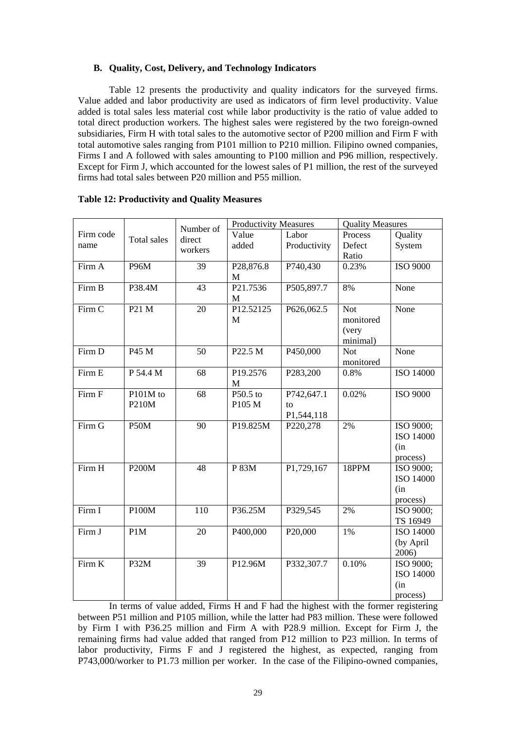#### **B. Quality, Cost, Delivery, and Technology Indicators**

Table 12 presents the productivity and quality indicators for the surveyed firms. Value added and labor productivity are used as indicators of firm level productivity. Value added is total sales less material cost while labor productivity is the ratio of value added to total direct production workers. The highest sales were registered by the two foreign-owned subsidiaries, Firm H with total sales to the automotive sector of P200 million and Firm F with total automotive sales ranging from P101 million to P210 million. Filipino owned companies, Firms I and A followed with sales amounting to P100 million and P96 million, respectively. Except for Firm J, which accounted for the lowest sales of P1 million, the rest of the surveyed firms had total sales between P20 million and P55 million.

|                      |                    | Number of         | <b>Productivity Measures</b> |                                | <b>Quality Measures</b>                      |                                           |
|----------------------|--------------------|-------------------|------------------------------|--------------------------------|----------------------------------------------|-------------------------------------------|
| Firm code<br>name    | <b>Total sales</b> | direct<br>workers | Value<br>added               | Labor<br>Productivity          | Process<br>Defect<br>Ratio                   | Quality<br>System                         |
| Firm A               | <b>P96M</b>        | 39                | P28,876.8<br>M               | P740,430                       | 0.23%                                        | <b>ISO 9000</b>                           |
| Firm B               | P38.4M             | 43                | P21.7536<br>M                | P505,897.7                     | 8%                                           | None                                      |
| Firm C               | P21 M              | 20                | P12.52125<br>M               | P626,062.5                     | <b>Not</b><br>monitored<br>(very<br>minimal) | None                                      |
| Firm D               | P45 M              | 50                | P <sub>22.5</sub> M          | P450,000                       | <b>Not</b><br>monitored                      | None                                      |
| Firm E               | P 54.4 M           | 68                | P19.2576<br>M                | P283,200                       | 0.8%                                         | ISO 14000                                 |
| Firm F               | P101M to<br>P210M  | 68                | P50.5 to<br>P105 M           | P742,647.1<br>to<br>P1,544,118 | 0.02%                                        | <b>ISO 9000</b>                           |
| Firm G               | P50M               | 90                | P19.825M                     | P220,278                       | 2%                                           | ISO 9000;<br>ISO 14000<br>(in<br>process) |
| Firm H               | <b>P200M</b>       | 48                | P 83M                        | P1,729,167                     | 18PPM                                        | ISO 9000;<br>ISO 14000<br>(in<br>process) |
| $\overline{F}$ irm I | P100M              | 110               | P36.25M                      | P329,545                       | 2%                                           | ISO 9000;<br>TS 16949                     |
| Firm J               | P1M                | 20                | P400,000                     | P20,000                        | 1%                                           | <b>ISO 14000</b><br>(by April<br>2006)    |
| Firm K               | P32M               | 39                | P12.96M                      | P332,307.7                     | 0.10%                                        | ISO 9000;<br>ISO 14000<br>(in<br>process) |

In terms of value added, Firms H and F had the highest with the former registering between P51 million and P105 million, while the latter had P83 million. These were followed by Firm I with P36.25 million and Firm A with P28.9 million. Except for Firm J, the remaining firms had value added that ranged from P12 million to P23 million. In terms of labor productivity, Firms F and J registered the highest, as expected, ranging from P743,000/worker to P1.73 million per worker. In the case of the Filipino-owned companies,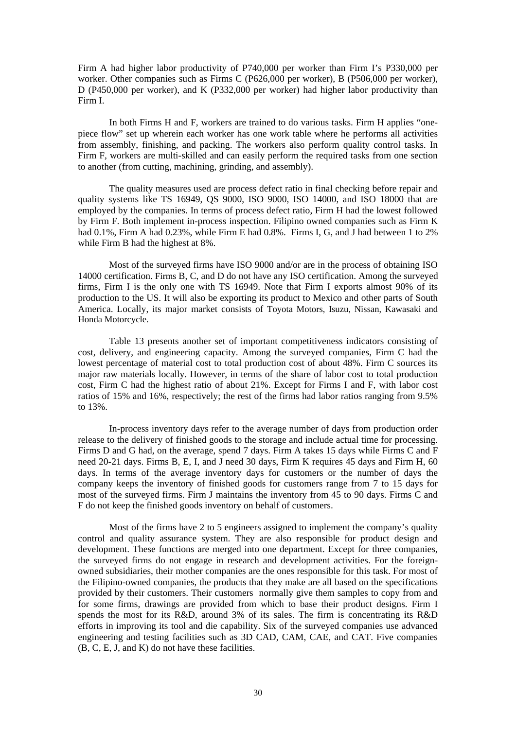Firm A had higher labor productivity of P740,000 per worker than Firm I's P330,000 per worker. Other companies such as Firms C (P626,000 per worker), B (P506,000 per worker), D (P450,000 per worker), and K (P332,000 per worker) had higher labor productivity than Firm I.

In both Firms H and F, workers are trained to do various tasks. Firm H applies "onepiece flow" set up wherein each worker has one work table where he performs all activities from assembly, finishing, and packing. The workers also perform quality control tasks. In Firm F, workers are multi-skilled and can easily perform the required tasks from one section to another (from cutting, machining, grinding, and assembly).

The quality measures used are process defect ratio in final checking before repair and quality systems like TS 16949, QS 9000, ISO 9000, ISO 14000, and ISO 18000 that are employed by the companies. In terms of process defect ratio, Firm H had the lowest followed by Firm F. Both implement in-process inspection. Filipino owned companies such as Firm K had 0.1%, Firm A had 0.23%, while Firm E had 0.8%. Firms I, G, and J had between 1 to 2% while Firm B had the highest at 8%.

Most of the surveyed firms have ISO 9000 and/or are in the process of obtaining ISO 14000 certification. Firms B, C, and D do not have any ISO certification. Among the surveyed firms, Firm I is the only one with TS 16949. Note that Firm I exports almost 90% of its production to the US. It will also be exporting its product to Mexico and other parts of South America. Locally, its major market consists of Toyota Motors, Isuzu, Nissan, Kawasaki and Honda Motorcycle.

Table 13 presents another set of important competitiveness indicators consisting of cost, delivery, and engineering capacity. Among the surveyed companies, Firm C had the lowest percentage of material cost to total production cost of about 48%. Firm C sources its major raw materials locally. However, in terms of the share of labor cost to total production cost, Firm C had the highest ratio of about 21%. Except for Firms I and F, with labor cost ratios of 15% and 16%, respectively; the rest of the firms had labor ratios ranging from 9.5% to 13%.

 In-process inventory days refer to the average number of days from production order release to the delivery of finished goods to the storage and include actual time for processing. Firms D and G had, on the average, spend 7 days. Firm A takes 15 days while Firms C and F need 20-21 days. Firms B, E, I, and J need 30 days, Firm K requires 45 days and Firm H, 60 days. In terms of the average inventory days for customers or the number of days the company keeps the inventory of finished goods for customers range from 7 to 15 days for most of the surveyed firms. Firm J maintains the inventory from 45 to 90 days. Firms C and F do not keep the finished goods inventory on behalf of customers.

 Most of the firms have 2 to 5 engineers assigned to implement the company's quality control and quality assurance system. They are also responsible for product design and development. These functions are merged into one department. Except for three companies, the surveyed firms do not engage in research and development activities. For the foreignowned subsidiaries, their mother companies are the ones responsible for this task. For most of the Filipino-owned companies, the products that they make are all based on the specifications provided by their customers. Their customers normally give them samples to copy from and for some firms, drawings are provided from which to base their product designs. Firm I spends the most for its R&D, around 3% of its sales. The firm is concentrating its R&D efforts in improving its tool and die capability. Six of the surveyed companies use advanced engineering and testing facilities such as 3D CAD, CAM, CAE, and CAT. Five companies (B, C, E, J, and K) do not have these facilities.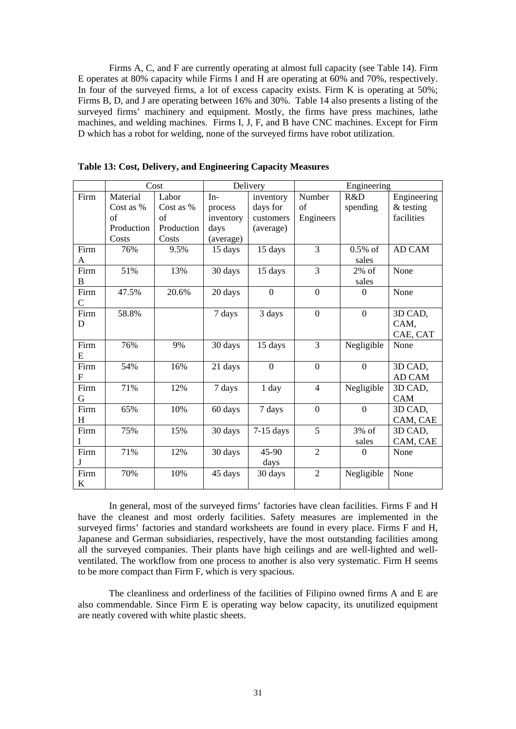Firms A, C, and F are currently operating at almost full capacity (see Table 14). Firm E operates at 80% capacity while Firms I and H are operating at 60% and 70%, respectively. In four of the surveyed firms, a lot of excess capacity exists. Firm K is operating at 50%; Firms B, D, and J are operating between 16% and 30%. Table 14 also presents a listing of the surveyed firms' machinery and equipment. Mostly, the firms have press machines, lathe machines, and welding machines. Firms I, J, F, and B have CNC machines. Except for Firm D which has a robot for welding, none of the surveyed firms have robot utilization.

|                |             | Cost       |           | Delivery         | Engineering      |                |             |
|----------------|-------------|------------|-----------|------------------|------------------|----------------|-------------|
| Firm           | Material    | Labor      | $In-$     | inventory        | Number           | R&D            | Engineering |
|                | Cost as $%$ | Cost as %  | process   | days for         | of               | spending       | $&$ testing |
|                | of          | of         | inventory | customers        | Engineers        |                | facilities  |
|                | Production  | Production | days      | (average)        |                  |                |             |
|                | Costs       | Costs      | (average) |                  |                  |                |             |
| Firm           | 76%         | 9.5%       | 15 days   | 15 days          | $\overline{3}$   | $0.5\%$ of     | AD CAM      |
| A              |             |            |           |                  |                  | sales          |             |
| Firm           | 51%         | 13%        | 30 days   | 15 days          | 3                | $2\%$ of       | None        |
| B              |             |            |           |                  |                  | sales          |             |
| Firm           | 47.5%       | 20.6%      | 20 days   | $\overline{0}$   | $\overline{0}$   | $\Omega$       | None        |
| $\overline{C}$ |             |            |           |                  |                  |                |             |
| Firm           | 58.8%       |            | 7 days    | 3 days           | $\overline{0}$   | $\mathbf{0}$   | 3D CAD,     |
| D              |             |            |           |                  |                  |                | CAM,        |
|                |             |            |           |                  |                  |                | CAE, CAT    |
| Firm           | 76%         | 9%         | 30 days   | 15 days          | $\overline{3}$   | Negligible     | None        |
| E              |             |            |           |                  |                  |                |             |
| Firm           | 54%         | 16%        | 21 days   | $\boldsymbol{0}$ | $\boldsymbol{0}$ | $\overline{0}$ | 3D CAD.     |
| F              |             |            |           |                  |                  |                | AD CAM      |
| Firm           | 71%         | 12%        | 7 days    | 1 day            | $\overline{4}$   | Negligible     | 3D CAD,     |
| G              |             |            |           |                  |                  |                | CAM         |
| Firm           | 65%         | 10%        | 60 days   | 7 days           | $\boldsymbol{0}$ | $\overline{0}$ | 3D CAD,     |
| H              |             |            |           |                  |                  |                | CAM, CAE    |
| Firm           | 75%         | 15%        | 30 days   | $7-15$ days      | $\overline{5}$   | 3% of          | 3D CAD,     |
| I              |             |            |           |                  |                  | sales          | CAM, CAE    |
| Firm           | 71%         | 12%        | 30 days   | 45-90            | $\overline{2}$   | $\theta$       | None        |
| J              |             |            |           | days             |                  |                |             |
| Firm           | 70%         | 10%        | 45 days   | 30 days          | $\overline{2}$   | Negligible     | None        |
| K              |             |            |           |                  |                  |                |             |

**Table 13: Cost, Delivery, and Engineering Capacity Measures** 

 In general, most of the surveyed firms' factories have clean facilities. Firms F and H have the cleanest and most orderly facilities. Safety measures are implemented in the surveyed firms' factories and standard worksheets are found in every place. Firms F and H, Japanese and German subsidiaries, respectively, have the most outstanding facilities among all the surveyed companies. Their plants have high ceilings and are well-lighted and wellventilated. The workflow from one process to another is also very systematic. Firm H seems to be more compact than Firm F, which is very spacious.

The cleanliness and orderliness of the facilities of Filipino owned firms A and E are also commendable. Since Firm E is operating way below capacity, its unutilized equipment are neatly covered with white plastic sheets.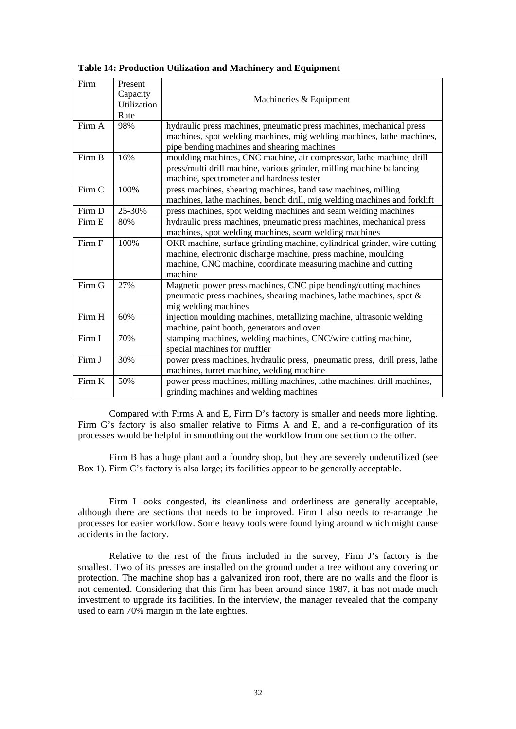| Firm   | Present<br>Capacity<br>Utilization<br>Rate | Machineries & Equipment                                                                                                                                                                                                 |  |
|--------|--------------------------------------------|-------------------------------------------------------------------------------------------------------------------------------------------------------------------------------------------------------------------------|--|
| Firm A | 98%                                        | hydraulic press machines, pneumatic press machines, mechanical press<br>machines, spot welding machines, mig welding machines, lathe machines,<br>pipe bending machines and shearing machines                           |  |
| Firm B | 16%                                        | moulding machines, CNC machine, air compressor, lathe machine, drill<br>press/multi drill machine, various grinder, milling machine balancing<br>machine, spectrometer and hardness tester                              |  |
| Firm C | 100%                                       | press machines, shearing machines, band saw machines, milling<br>machines, lathe machines, bench drill, mig welding machines and forklift                                                                               |  |
| Firm D | 25-30%                                     | press machines, spot welding machines and seam welding machines                                                                                                                                                         |  |
| Firm E | 80%                                        | hydraulic press machines, pneumatic press machines, mechanical press<br>machines, spot welding machines, seam welding machines                                                                                          |  |
| Firm F | 100%                                       | OKR machine, surface grinding machine, cylindrical grinder, wire cutting<br>machine, electronic discharge machine, press machine, moulding<br>machine, CNC machine, coordinate measuring machine and cutting<br>machine |  |
| Firm G | 27%                                        | Magnetic power press machines, CNC pipe bending/cutting machines<br>pneumatic press machines, shearing machines, lathe machines, spot &<br>mig welding machines                                                         |  |
| Firm H | 60%                                        | injection moulding machines, metallizing machine, ultrasonic welding<br>machine, paint booth, generators and oven                                                                                                       |  |
| Firm I | 70%                                        | stamping machines, welding machines, CNC/wire cutting machine,<br>special machines for muffler                                                                                                                          |  |
| Firm J | 30%                                        | power press machines, hydraulic press, pneumatic press, drill press, lathe<br>machines, turret machine, welding machine                                                                                                 |  |
| Firm K | 50%                                        | power press machines, milling machines, lathe machines, drill machines,<br>grinding machines and welding machines                                                                                                       |  |

#### **Table 14: Production Utilization and Machinery and Equipment**

Compared with Firms A and E, Firm D's factory is smaller and needs more lighting. Firm G's factory is also smaller relative to Firms A and E, and a re-configuration of its processes would be helpful in smoothing out the workflow from one section to the other.

Firm B has a huge plant and a foundry shop, but they are severely underutilized (see Box 1). Firm C's factory is also large; its facilities appear to be generally acceptable.

Firm I looks congested, its cleanliness and orderliness are generally acceptable, although there are sections that needs to be improved. Firm I also needs to re-arrange the processes for easier workflow. Some heavy tools were found lying around which might cause accidents in the factory.

Relative to the rest of the firms included in the survey, Firm J's factory is the smallest. Two of its presses are installed on the ground under a tree without any covering or protection. The machine shop has a galvanized iron roof, there are no walls and the floor is not cemented. Considering that this firm has been around since 1987, it has not made much investment to upgrade its facilities. In the interview, the manager revealed that the company used to earn 70% margin in the late eighties.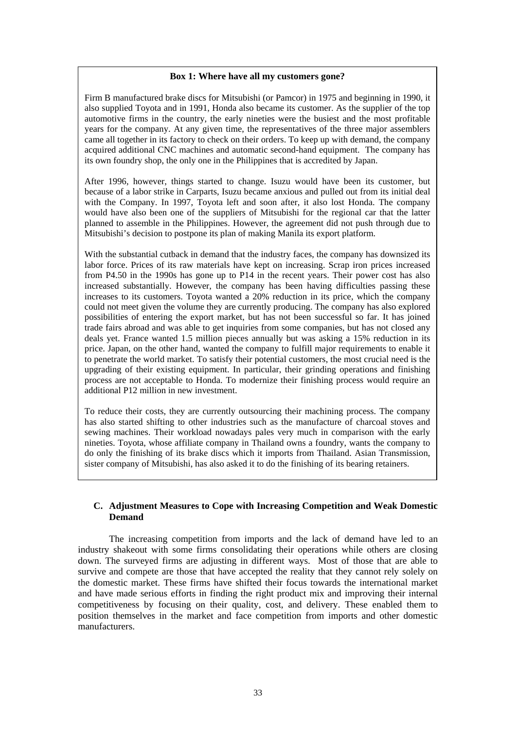#### **Box 1: Where have all my customers gone?**

Firm B manufactured brake discs for Mitsubishi (or Pamcor) in 1975 and beginning in 1990, it also supplied Toyota and in 1991, Honda also became its customer. As the supplier of the top automotive firms in the country, the early nineties were the busiest and the most profitable years for the company. At any given time, the representatives of the three major assemblers came all together in its factory to check on their orders. To keep up with demand, the company acquired additional CNC machines and automatic second-hand equipment. The company has its own foundry shop, the only one in the Philippines that is accredited by Japan.

After 1996, however, things started to change. Isuzu would have been its customer, but because of a labor strike in Carparts, Isuzu became anxious and pulled out from its initial deal with the Company. In 1997, Toyota left and soon after, it also lost Honda. The company would have also been one of the suppliers of Mitsubishi for the regional car that the latter planned to assemble in the Philippines. However, the agreement did not push through due to Mitsubishi's decision to postpone its plan of making Manila its export platform.

With the substantial cutback in demand that the industry faces, the company has downsized its labor force. Prices of its raw materials have kept on increasing. Scrap iron prices increased from P4.50 in the 1990s has gone up to P14 in the recent years. Their power cost has also increased substantially. However, the company has been having difficulties passing these increases to its customers. Toyota wanted a 20% reduction in its price, which the company could not meet given the volume they are currently producing. The company has also explored possibilities of entering the export market, but has not been successful so far. It has joined trade fairs abroad and was able to get inquiries from some companies, but has not closed any deals yet. France wanted 1.5 million pieces annually but was asking a 15% reduction in its price. Japan, on the other hand, wanted the company to fulfill major requirements to enable it to penetrate the world market. To satisfy their potential customers, the most crucial need is the upgrading of their existing equipment. In particular, their grinding operations and finishing process are not acceptable to Honda. To modernize their finishing process would require an additional P12 million in new investment.

To reduce their costs, they are currently outsourcing their machining process. The company has also started shifting to other industries such as the manufacture of charcoal stoves and sewing machines. Their workload nowadays pales very much in comparison with the early nineties. Toyota, whose affiliate company in Thailand owns a foundry, wants the company to do only the finishing of its brake discs which it imports from Thailand. Asian Transmission, sister company of Mitsubishi, has also asked it to do the finishing of its bearing retainers.

#### **C. Adjustment Measures to Cope with Increasing Competition and Weak Domestic Demand**

 The increasing competition from imports and the lack of demand have led to an industry shakeout with some firms consolidating their operations while others are closing down. The surveyed firms are adjusting in different ways. Most of those that are able to survive and compete are those that have accepted the reality that they cannot rely solely on the domestic market. These firms have shifted their focus towards the international market and have made serious efforts in finding the right product mix and improving their internal competitiveness by focusing on their quality, cost, and delivery. These enabled them to position themselves in the market and face competition from imports and other domestic manufacturers.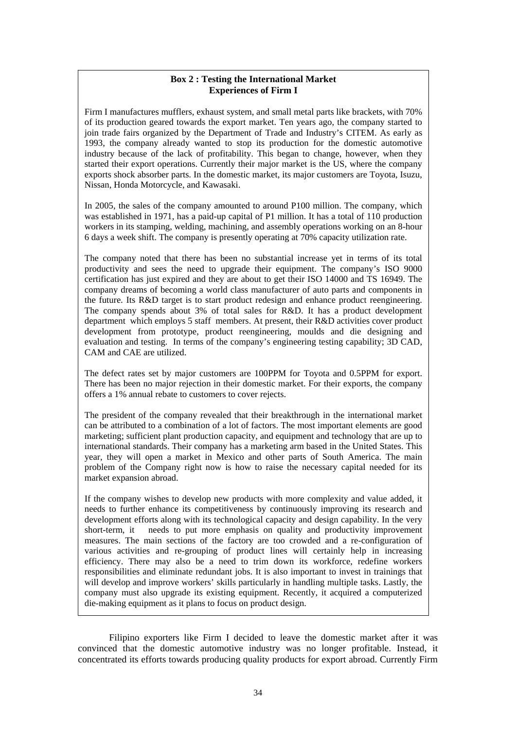#### **Box 2 : Testing the International Market Experiences of Firm I**

Firm I manufactures mufflers, exhaust system, and small metal parts like brackets, with 70% of its production geared towards the export market. Ten years ago, the company started to join trade fairs organized by the Department of Trade and Industry's CITEM. As early as 1993, the company already wanted to stop its production for the domestic automotive industry because of the lack of profitability. This began to change, however, when they started their export operations. Currently their major market is the US, where the company exports shock absorber parts. In the domestic market, its major customers are Toyota, Isuzu, Nissan, Honda Motorcycle, and Kawasaki.

In 2005, the sales of the company amounted to around P100 million. The company, which was established in 1971, has a paid-up capital of P1 million. It has a total of 110 production workers in its stamping, welding, machining, and assembly operations working on an 8-hour 6 days a week shift. The company is presently operating at 70% capacity utilization rate.

The company noted that there has been no substantial increase yet in terms of its total productivity and sees the need to upgrade their equipment. The company's ISO 9000 certification has just expired and they are about to get their ISO 14000 and TS 16949. The company dreams of becoming a world class manufacturer of auto parts and components in the future. Its R&D target is to start product redesign and enhance product reengineering. The company spends about 3% of total sales for R&D. It has a product development department which employs 5 staff members. At present, their R&D activities cover product development from prototype, product reengineering, moulds and die designing and evaluation and testing. In terms of the company's engineering testing capability; 3D CAD, CAM and CAE are utilized.

The defect rates set by major customers are 100PPM for Toyota and 0.5PPM for export. There has been no major rejection in their domestic market. For their exports, the company offers a 1% annual rebate to customers to cover rejects.

The president of the company revealed that their breakthrough in the international market can be attributed to a combination of a lot of factors. The most important elements are good marketing; sufficient plant production capacity, and equipment and technology that are up to international standards. Their company has a marketing arm based in the United States. This year, they will open a market in Mexico and other parts of South America. The main problem of the Company right now is how to raise the necessary capital needed for its market expansion abroad.

If the company wishes to develop new products with more complexity and value added, it needs to further enhance its competitiveness by continuously improving its research and development efforts along with its technological capacity and design capability. In the very short-term, it needs to put more emphasis on quality and productivity improvement measures. The main sections of the factory are too crowded and a re-configuration of various activities and re-grouping of product lines will certainly help in increasing efficiency. There may also be a need to trim down its workforce, redefine workers responsibilities and eliminate redundant jobs. It is also important to invest in trainings that will develop and improve workers' skills particularly in handling multiple tasks. Lastly, the company must also upgrade its existing equipment. Recently, it acquired a computerized die-making equipment as it plans to focus on product design.

Filipino exporters like Firm I decided to leave the domestic market after it was convinced that the domestic automotive industry was no longer profitable. Instead, it concentrated its efforts towards producing quality products for export abroad. Currently Firm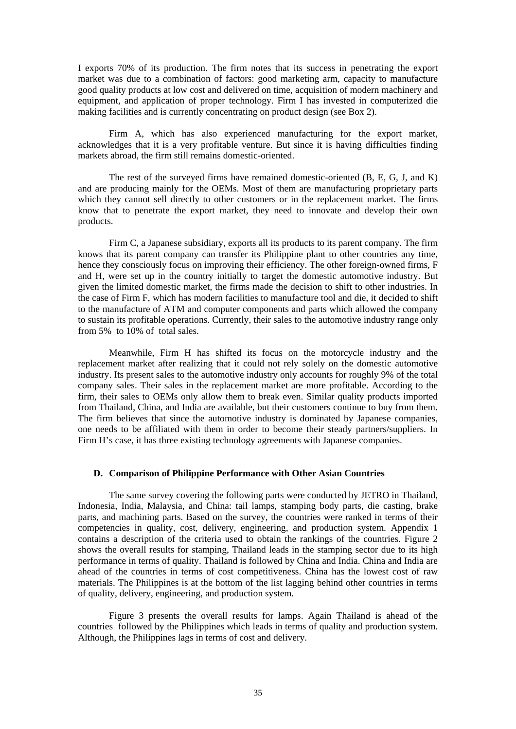I exports 70% of its production. The firm notes that its success in penetrating the export market was due to a combination of factors: good marketing arm, capacity to manufacture good quality products at low cost and delivered on time, acquisition of modern machinery and equipment, and application of proper technology. Firm I has invested in computerized die making facilities and is currently concentrating on product design (see Box 2).

Firm A, which has also experienced manufacturing for the export market, acknowledges that it is a very profitable venture. But since it is having difficulties finding markets abroad, the firm still remains domestic-oriented.

The rest of the surveyed firms have remained domestic-oriented (B, E, G, J, and K) and are producing mainly for the OEMs. Most of them are manufacturing proprietary parts which they cannot sell directly to other customers or in the replacement market. The firms know that to penetrate the export market, they need to innovate and develop their own products.

Firm C, a Japanese subsidiary, exports all its products to its parent company. The firm knows that its parent company can transfer its Philippine plant to other countries any time, hence they consciously focus on improving their efficiency. The other foreign-owned firms, F and H, were set up in the country initially to target the domestic automotive industry. But given the limited domestic market, the firms made the decision to shift to other industries. In the case of Firm F, which has modern facilities to manufacture tool and die, it decided to shift to the manufacture of ATM and computer components and parts which allowed the company to sustain its profitable operations. Currently, their sales to the automotive industry range only from 5% to 10% of total sales.

Meanwhile, Firm H has shifted its focus on the motorcycle industry and the replacement market after realizing that it could not rely solely on the domestic automotive industry. Its present sales to the automotive industry only accounts for roughly 9% of the total company sales. Their sales in the replacement market are more profitable. According to the firm, their sales to OEMs only allow them to break even. Similar quality products imported from Thailand, China, and India are available, but their customers continue to buy from them. The firm believes that since the automotive industry is dominated by Japanese companies, one needs to be affiliated with them in order to become their steady partners/suppliers. In Firm H's case, it has three existing technology agreements with Japanese companies.

#### **D. Comparison of Philippine Performance with Other Asian Countries**

The same survey covering the following parts were conducted by JETRO in Thailand, Indonesia, India, Malaysia, and China: tail lamps, stamping body parts, die casting, brake parts, and machining parts. Based on the survey, the countries were ranked in terms of their competencies in quality, cost, delivery, engineering, and production system. Appendix 1 contains a description of the criteria used to obtain the rankings of the countries. Figure 2 shows the overall results for stamping, Thailand leads in the stamping sector due to its high performance in terms of quality. Thailand is followed by China and India. China and India are ahead of the countries in terms of cost competitiveness. China has the lowest cost of raw materials. The Philippines is at the bottom of the list lagging behind other countries in terms of quality, delivery, engineering, and production system.

Figure 3 presents the overall results for lamps. Again Thailand is ahead of the countries followed by the Philippines which leads in terms of quality and production system. Although, the Philippines lags in terms of cost and delivery.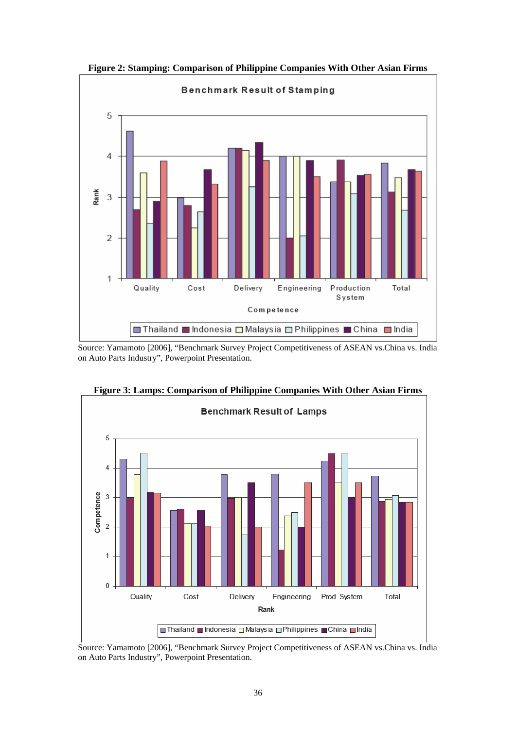

**Figure 2: Stamping: Comparison of Philippine Companies With Other Asian Firms**

Source: Yamamoto [2006], "Benchmark Survey Project Competitiveness of ASEAN vs.China vs. India on Auto Parts Industry", Powerpoint Presentation.



**Figure 3: Lamps: Comparison of Philippine Companies With Other Asian Firms** 

Source: Yamamoto [2006], "Benchmark Survey Project Competitiveness of ASEAN vs.China vs. India on Auto Parts Industry", Powerpoint Presentation.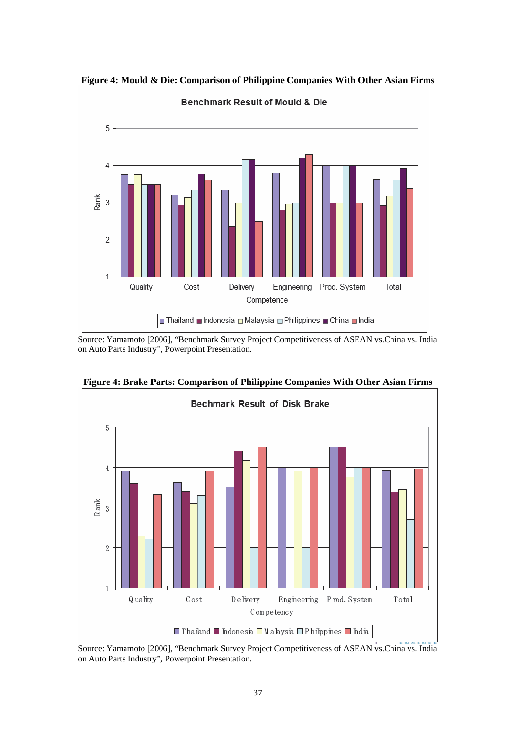

**Figure 4: Mould & Die: Comparison of Philippine Companies With Other Asian Firms** 

Source: Yamamoto [2006], "Benchmark Survey Project Competitiveness of ASEAN vs.China vs. India on Auto Parts Industry", Powerpoint Presentation.



**Figure 4: Brake Parts: Comparison of Philippine Companies With Other Asian Firms** 

Source: Yamamoto [2006], "Benchmark Survey Project Competitiveness of ASEAN vs.China vs. India on Auto Parts Industry", Powerpoint Presentation.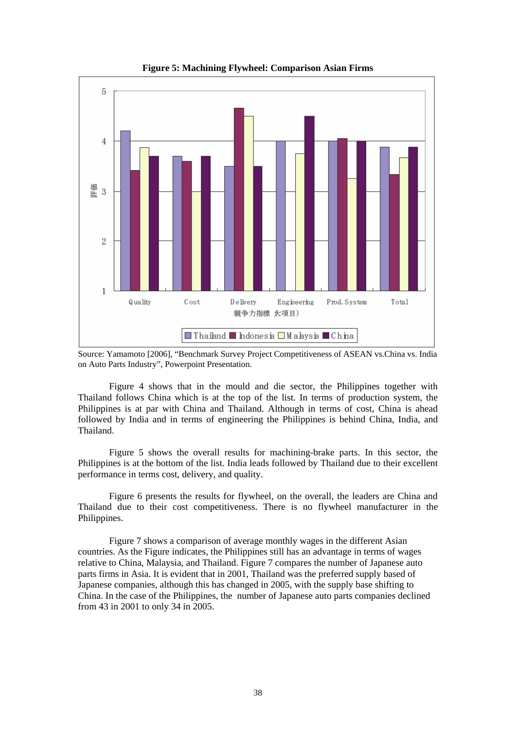

**Figure 5: Machining Flywheel: Comparison Asian Firms**

Source: Yamamoto [2006], "Benchmark Survey Project Competitiveness of ASEAN vs.China vs. India on Auto Parts Industry", Powerpoint Presentation.

Figure 4 shows that in the mould and die sector, the Philippines together with Thailand follows China which is at the top of the list. In terms of production system, the Philippines is at par with China and Thailand. Although in terms of cost, China is ahead followed by India and in terms of engineering the Philippines is behind China, India, and Thailand.

Figure 5 shows the overall results for machining-brake parts. In this sector, the Philippines is at the bottom of the list. India leads followed by Thailand due to their excellent performance in terms cost, delivery, and quality.

Figure 6 presents the results for flywheel, on the overall, the leaders are China and Thailand due to their cost competitiveness. There is no flywheel manufacturer in the Philippines.

Figure 7 shows a comparison of average monthly wages in the different Asian countries. As the Figure indicates, the Philippines still has an advantage in terms of wages relative to China, Malaysia, and Thailand. Figure 7 compares the number of Japanese auto parts firms in Asia. It is evident that in 2001, Thailand was the preferred supply based of Japanese companies, although this has changed in 2005, with the supply base shifting to China. In the case of the Philippines, the number of Japanese auto parts companies declined from 43 in 2001 to only 34 in 2005.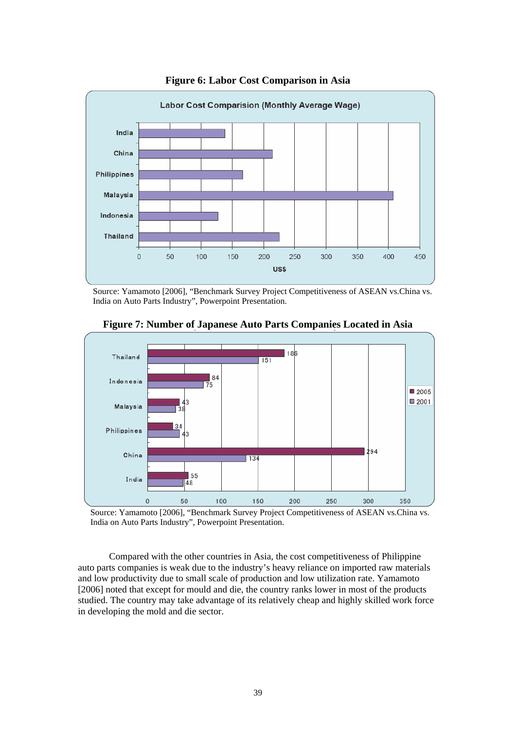

**Figure 6: Labor Cost Comparison in Asia** 

Source: Yamamoto [2006], "Benchmark Survey Project Competitiveness of ASEAN vs.China vs. India on Auto Parts Industry", Powerpoint Presentation.



**Figure 7: Number of Japanese Auto Parts Companies Located in Asia**

Source: Yamamoto [2006], "Benchmark Survey Project Competitiveness of ASEAN vs.China vs. India on Auto Parts Industry", Powerpoint Presentation.

Compared with the other countries in Asia, the cost competitiveness of Philippine auto parts companies is weak due to the industry's heavy reliance on imported raw materials and low productivity due to small scale of production and low utilization rate. Yamamoto [2006] noted that except for mould and die, the country ranks lower in most of the products studied. The country may take advantage of its relatively cheap and highly skilled work force in developing the mold and die sector.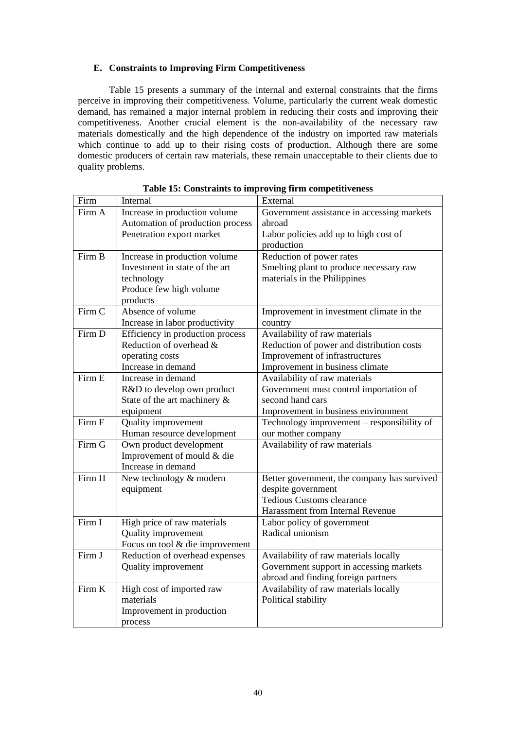#### **E. Constraints to Improving Firm Competitiveness**

Table 15 presents a summary of the internal and external constraints that the firms perceive in improving their competitiveness. Volume, particularly the current weak domestic demand, has remained a major internal problem in reducing their costs and improving their competitiveness. Another crucial element is the non-availability of the necessary raw materials domestically and the high dependence of the industry on imported raw materials which continue to add up to their rising costs of production. Although there are some domestic producers of certain raw materials, these remain unacceptable to their clients due to quality problems.

| Firm   | Internal                         | External                                               |
|--------|----------------------------------|--------------------------------------------------------|
| Firm A | Increase in production volume    | Government assistance in accessing markets             |
|        | Automation of production process | abroad                                                 |
|        | Penetration export market        | Labor policies add up to high cost of                  |
|        |                                  | production                                             |
| Firm B | Increase in production volume    | Reduction of power rates                               |
|        | Investment in state of the art   | Smelting plant to produce necessary raw                |
|        | technology                       | materials in the Philippines                           |
|        | Produce few high volume          |                                                        |
|        | products                         |                                                        |
| Firm C | Absence of volume                | Improvement in investment climate in the               |
|        | Increase in labor productivity   | country                                                |
| Firm D | Efficiency in production process | Availability of raw materials                          |
|        | Reduction of overhead &          | Reduction of power and distribution costs              |
|        | operating costs                  | Improvement of infrastructures                         |
|        | Increase in demand               | Improvement in business climate                        |
| Firm E | Increase in demand               | Availability of raw materials                          |
|        | R&D to develop own product       | Government must control importation of                 |
|        | State of the art machinery &     | second hand cars                                       |
|        | equipment                        | Improvement in business environment                    |
| Firm F | Quality improvement              | Technology improvement - responsibility of             |
|        | Human resource development       | our mother company                                     |
| Firm G | Own product development          | Availability of raw materials                          |
|        | Improvement of mould & die       |                                                        |
| Firm H | Increase in demand               |                                                        |
|        | New technology & modern          | Better government, the company has survived            |
|        | equipment                        | despite government<br><b>Tedious Customs clearance</b> |
|        |                                  | Harassment from Internal Revenue                       |
| Firm I | High price of raw materials      |                                                        |
|        | Quality improvement              | Labor policy of government<br>Radical unionism         |
|        | Focus on tool & die improvement  |                                                        |
| Firm J | Reduction of overhead expenses   | Availability of raw materials locally                  |
|        | Quality improvement              | Government support in accessing markets                |
|        |                                  | abroad and finding foreign partners                    |
| Firm K | High cost of imported raw        | Availability of raw materials locally                  |
|        | materials                        | Political stability                                    |
|        | Improvement in production        |                                                        |
|        | process                          |                                                        |

**Table 15: Constraints to improving firm competitiveness**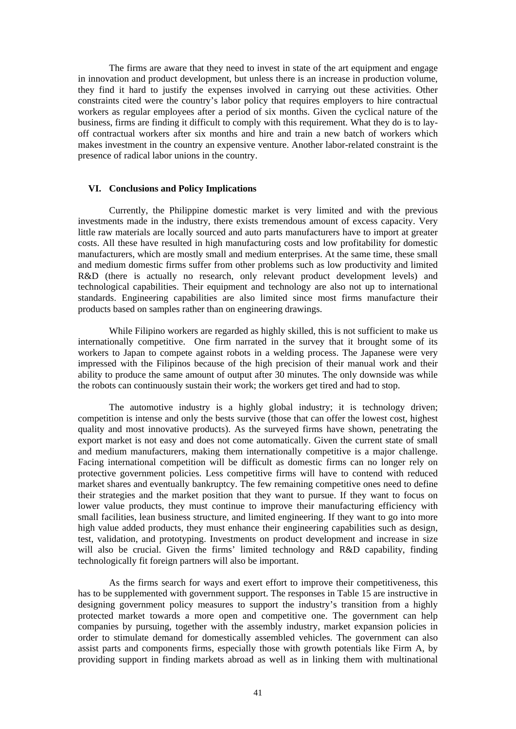The firms are aware that they need to invest in state of the art equipment and engage in innovation and product development, but unless there is an increase in production volume, they find it hard to justify the expenses involved in carrying out these activities. Other constraints cited were the country's labor policy that requires employers to hire contractual workers as regular employees after a period of six months. Given the cyclical nature of the business, firms are finding it difficult to comply with this requirement. What they do is to layoff contractual workers after six months and hire and train a new batch of workers which makes investment in the country an expensive venture. Another labor-related constraint is the presence of radical labor unions in the country.

#### **VI. Conclusions and Policy Implications**

Currently, the Philippine domestic market is very limited and with the previous investments made in the industry, there exists tremendous amount of excess capacity. Very little raw materials are locally sourced and auto parts manufacturers have to import at greater costs. All these have resulted in high manufacturing costs and low profitability for domestic manufacturers, which are mostly small and medium enterprises. At the same time, these small and medium domestic firms suffer from other problems such as low productivity and limited R&D (there is actually no research, only relevant product development levels) and technological capabilities. Their equipment and technology are also not up to international standards. Engineering capabilities are also limited since most firms manufacture their products based on samples rather than on engineering drawings.

While Filipino workers are regarded as highly skilled, this is not sufficient to make us internationally competitive. One firm narrated in the survey that it brought some of its workers to Japan to compete against robots in a welding process. The Japanese were very impressed with the Filipinos because of the high precision of their manual work and their ability to produce the same amount of output after 30 minutes. The only downside was while the robots can continuously sustain their work; the workers get tired and had to stop.

The automotive industry is a highly global industry; it is technology driven; competition is intense and only the bests survive (those that can offer the lowest cost, highest quality and most innovative products). As the surveyed firms have shown, penetrating the export market is not easy and does not come automatically. Given the current state of small and medium manufacturers, making them internationally competitive is a major challenge. Facing international competition will be difficult as domestic firms can no longer rely on protective government policies. Less competitive firms will have to contend with reduced market shares and eventually bankruptcy. The few remaining competitive ones need to define their strategies and the market position that they want to pursue. If they want to focus on lower value products, they must continue to improve their manufacturing efficiency with small facilities, lean business structure, and limited engineering. If they want to go into more high value added products, they must enhance their engineering capabilities such as design, test, validation, and prototyping. Investments on product development and increase in size will also be crucial. Given the firms' limited technology and R&D capability, finding technologically fit foreign partners will also be important.

As the firms search for ways and exert effort to improve their competitiveness, this has to be supplemented with government support. The responses in Table 15 are instructive in designing government policy measures to support the industry's transition from a highly protected market towards a more open and competitive one. The government can help companies by pursuing, together with the assembly industry, market expansion policies in order to stimulate demand for domestically assembled vehicles. The government can also assist parts and components firms, especially those with growth potentials like Firm A, by providing support in finding markets abroad as well as in linking them with multinational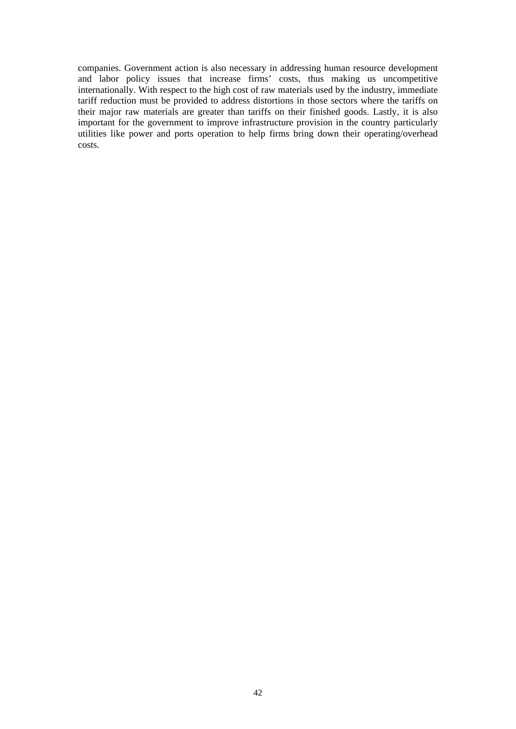companies. Government action is also necessary in addressing human resource development and labor policy issues that increase firms' costs, thus making us uncompetitive internationally. With respect to the high cost of raw materials used by the industry, immediate tariff reduction must be provided to address distortions in those sectors where the tariffs on their major raw materials are greater than tariffs on their finished goods. Lastly, it is also important for the government to improve infrastructure provision in the country particularly utilities like power and ports operation to help firms bring down their operating/overhead costs.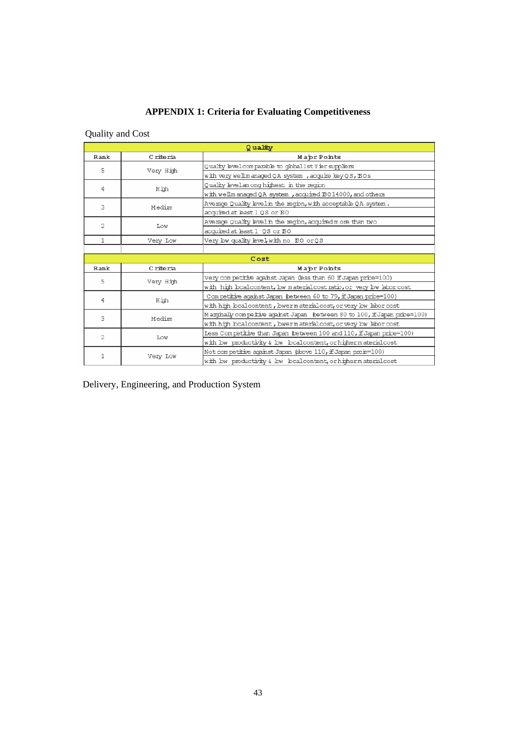# **APPENDIX 1: Criteria for Evaluating Competitiveness**

### Quality and Cost

| Q uality       |           |                                                                             |  |  |
|----------------|-----------|-----------------------------------------------------------------------------|--|--|
| Rank           | C riteria | Mapr Points                                                                 |  |  |
| 5              | Very High | Quality level comparable to gbballst Tier suppliers                         |  |  |
|                |           | with very wellm anaged QA system, acquire key QS, EOs                       |  |  |
| 4              | High      | Quality level among highest in the region                                   |  |  |
|                |           | with wellmanaged QA system, acquired B014000, and others                    |  |  |
| 3              | Medium    | Average Quality level in the region, with acceptable QA system.             |  |  |
|                |           | acquired at least 1 QS or BO                                                |  |  |
| $\overline{c}$ | Low       | Average Quality level in the region, acquired more than two                 |  |  |
|                |           | acquired at bast 1 QS or BO                                                 |  |  |
| $\mathbf{1}$   | Very Low  | Very bw quality level, with no BO or QS                                     |  |  |
|                |           |                                                                             |  |  |
|                |           | Cost                                                                        |  |  |
| Rank           | C riteria | Mapr Points                                                                 |  |  |
| 5              | Very High | Very competitive against Japan (less than 60 if Japan price=100)            |  |  |
|                |           | with high boalcontent, bw materialcost ratio, or very bw labor cost         |  |  |
| 4              | High      | Competitive against Japan (between 60 to 79, if Japan price=100)            |  |  |
|                |           | with high bcalcontent, bwerm aterial cost, or very bw labor cost            |  |  |
| 3              | Medium    | Marginally compeitive against Japan (petween 80 to 100, if Japan price=100) |  |  |
|                |           | with high bcalcontent , bwerm aterial cost, or very bw labor cost           |  |  |
|                |           |                                                                             |  |  |
|                |           | Less Competitive than Japan (between 100 and 110, if Japan price=100)       |  |  |
| $\mathfrak{D}$ | Low       | with bw productivity & bw bcalcontent, or higher material cost              |  |  |
| 1              | Very Low  | Not competitive against Japan (above 110, if Japan proie=100)               |  |  |

Delivery, Engineering, and Production System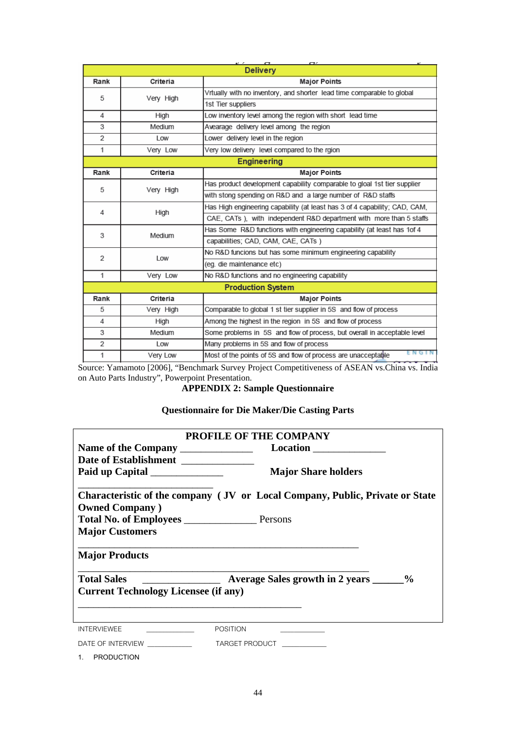| $\sim$<br>$\mathbf{C}$<br><b>Delivery</b> |           |                                                                            |  |  |  |
|-------------------------------------------|-----------|----------------------------------------------------------------------------|--|--|--|
|                                           |           |                                                                            |  |  |  |
| Rank                                      | Criteria  | <b>Major Points</b>                                                        |  |  |  |
| 5                                         | Very High | Vrtually with no inventory, and shorter lead time comparable to global     |  |  |  |
|                                           |           | 1st Tier suppliers                                                         |  |  |  |
| 4                                         | High      | Low inventory level among the region with short lead time                  |  |  |  |
| 3                                         | Medium    | Avearage delivery level among the region                                   |  |  |  |
| 2                                         | Low       | Lower delivery level in the region                                         |  |  |  |
| 1                                         | Very Low  | Very low delivery level compared to the rgion                              |  |  |  |
|                                           |           | <b>Engineering</b>                                                         |  |  |  |
| Rank                                      | Criteria  | <b>Major Points</b>                                                        |  |  |  |
| 5                                         |           | Has product development capability comparable to gloal 1st tier supplier   |  |  |  |
|                                           | Very High | with stong spending on R&D and a large number of R&D staffs                |  |  |  |
|                                           | High      | Has High engineering capability (at least has 3 of 4 capability; CAD, CAM, |  |  |  |
| 4                                         |           | CAE, CATs), with independent R&D department with more than 5 staffs        |  |  |  |
| 3                                         | Medium    | Has Some R&D functions with engineering capability (at least has 1of 4     |  |  |  |
|                                           |           | capabilities; CAD, CAM, CAE, CATs)                                         |  |  |  |
| 2                                         |           | No R&D funcions but has some minimum engineering capability                |  |  |  |
|                                           | Low       | (eg. die maintenance etc)                                                  |  |  |  |
| 1                                         | Very Low  | No R&D functions and no engineering capability                             |  |  |  |
|                                           |           | <b>Production System</b>                                                   |  |  |  |
| Rank                                      | Criteria  | <b>Major Points</b>                                                        |  |  |  |
| 5                                         | Very High | Comparable to global 1 st tier supplier in 5S and flow of process          |  |  |  |
| 4                                         | High      | Among the highest in the region in 5S and flow of process                  |  |  |  |
| 3                                         | Medium    | Some problems in 5S and flow of process, but overall in acceptable level   |  |  |  |
| $\overline{2}$                            | Low       | Many problems in 5S and flow of process                                    |  |  |  |
| 1                                         | Very Low  | ENGIN<br>Most of the points of 5S and flow of process are unacceptable     |  |  |  |

Source: Yamamoto [2006], "Benchmark Survey Project Competitiveness of ASEAN vs. China vs. India on Auto Parts Industry", Powerpoint Presentation.

**APPENDIX 2: Sample Questionnaire** 

### **Questionnaire for Die Maker/Die Casting Parts**

|                                             | <b>PROFILE OF THE COMPANY</b>                                                |
|---------------------------------------------|------------------------------------------------------------------------------|
|                                             |                                                                              |
| Date of Establishment _______________       |                                                                              |
| Paid up Capital _______________             | <b>Major Share holders</b>                                                   |
| <b>Owned Company</b> )                      | Characteristic of the company (JV or Local Company, Public, Private or State |
|                                             |                                                                              |
| <b>Major Customers</b>                      |                                                                              |
| <b>Major Products</b>                       |                                                                              |
| <b>Total Sales</b>                          | <b>EXAMPLE 2</b> Average Sales growth in 2 years _______%                    |
| <b>Current Technology Licensee (if any)</b> |                                                                              |
|                                             |                                                                              |
| <b>INTFRVIFWFF</b>                          | <b>POSITION</b>                                                              |
| DATE OF INTERVIEW _____________             | TARGET PRODUCT ____________                                                  |
| 1. PRODUCTION                               |                                                                              |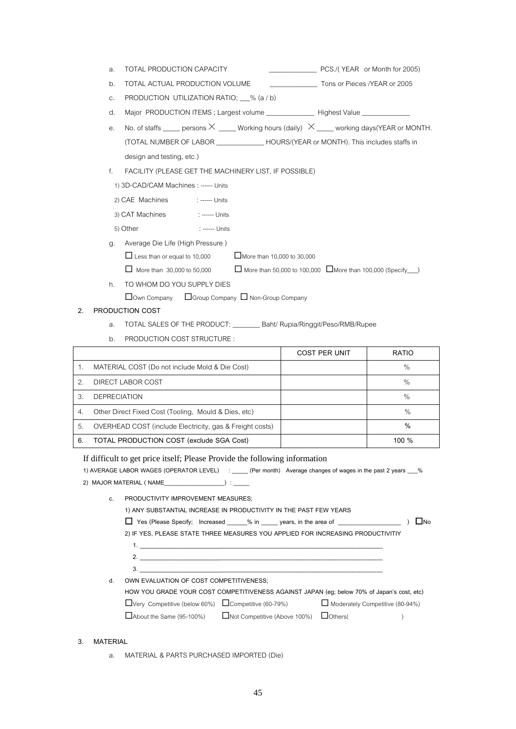| a. TOTAL PRODUCTION CAPACITY | PCS./(YEAR or Month for 2005) |
|------------------------------|-------------------------------|

- b. TOTAL ACTUAL PRODUCTION VOLUME \_\_\_\_\_\_\_\_\_\_\_\_\_\_\_\_\_\_ Tons or Pieces /YEAR or 2005
- c. PRODUCTION UTILIZATION RATIO; \_\_\_% (a / b)
- d. Major PRODUCTION ITEMS ; Largest volume \_\_\_\_\_\_\_\_\_\_\_\_\_\_ Highest Value \_\_\_\_\_\_\_\_\_\_\_\_\_\_
- e. No. of staffs \_\_\_\_\_ persons  $\times$  \_\_\_\_\_ Working hours (daily)  $\times$  \_\_\_\_ working days(YEAR or MONTH. (TOTAL NUMBER OF LABOR \_\_\_\_\_\_\_\_\_\_\_\_\_\_ HOURS/(YEAR or MONTH). This includes staffs in design and testing, etc.)
- f. FACILITY (PLEASE GET THE MACHINERY LIST, IF POSSIBLE)
	- 1) 3D-CAD/CAM Machines : ------ Units
- 2) CAE Machines : ------ Units
- 3) CAT Machines : ------ Units
- 5) Other : ------ Units
- g. Average Die Life (High Pressure )
	- $\Box$  Less than or equal to 10,000  $\Box$  More than 10,000 to 30,000

 $\Box$  More than 30,000 to 50,000  $\Box$  More than 50,000 to 100,000  $\Box$  More than 100,000 (Specify )

h. TO WHOM DO YOU SUPPLY DIES

Own Company Group Company Non-Group Company

#### **2. PRODUCTION COST**

- a. TOTAL SALES OF THE PRODUCT: \_\_\_\_\_\_\_\_ Baht/ Rupia/Ringgit/Peso/RMB/Rupee
- b. PRODUCTION COST STRUCTURE :

|    |                                                          | COST PER UNIT | <b>RATIO</b> |
|----|----------------------------------------------------------|---------------|--------------|
|    | MATERIAL COST (Do not include Mold & Die Cost)           |               | $\%$         |
| 2. | DIRECT LABOR COST                                        |               | $\%$         |
| 3. | <b>DEPRECIATION</b>                                      |               | $\%$         |
| 4. | Other Direct Fixed Cost (Tooling, Mould & Dies, etc)     |               | $\%$         |
| 5. | OVERHEAD COST (include Electricity, gas & Freight costs) |               | %            |
| 6. | TOTAL PRODUCTION COST (exclude SGA Cost)                 |               | 100 $%$      |

#### If difficult to get price itself; Please Provide the following information

**1) AVERAGE LABOR WAGES (OPERATOR LEVEL) : \_\_\_\_\_ (Per month) Average changes of wages in the past 2 years** \_\_\_**%** 

- **2) MAJOR MATERIAL ( NAME\_\_\_\_\_\_\_\_\_\_\_\_\_\_\_\_\_\_\_) : \_\_\_\_\_** 
	- **c. PRODUCTIVITY IMPROVEMENT MEASURES;**

**1) ANY SUBSTANTIAL INCREASE IN PRODUCTIVITY IN THE PAST FEW YEARS** 

 **Yes (Please Specify; Increased \_\_\_\_\_\_% in \_\_\_\_\_ years, in the area of \_\_\_\_\_\_\_\_\_\_\_\_\_\_\_\_\_\_\_ ) No 2) IF YES, PLEASE STATE THREE MEASURES YOU APPLIED FOR INCREASING PRODUCTIVITIY** 

- **1. \_\_\_\_\_\_\_\_\_\_\_\_\_\_\_\_\_\_\_\_\_\_\_\_\_\_\_\_\_\_\_\_\_\_\_\_\_\_\_\_\_\_\_\_\_\_\_\_\_\_\_\_\_\_\_\_\_\_\_\_\_\_\_\_\_\_\_\_\_\_\_\_**
- **2. \_\_\_\_\_\_\_\_\_\_\_\_\_\_\_\_\_\_\_\_\_\_\_\_\_\_\_\_\_\_\_\_\_\_\_\_\_\_\_\_\_\_\_\_\_\_\_\_\_\_\_\_\_\_\_\_\_\_\_\_\_\_\_\_\_\_\_\_\_\_\_\_ 3. \_\_\_\_\_\_\_\_\_\_\_\_\_\_\_\_\_\_\_\_\_\_\_\_\_\_\_\_\_\_\_\_\_\_\_\_\_\_\_\_\_\_\_\_\_\_\_\_\_\_\_\_\_\_\_\_\_\_\_\_\_\_\_\_\_\_\_\_\_\_\_\_**
- **d. OWN EVALUATION OF COST COMPETITIVENESS;**

|                                                                 |                                         | HOW YOU GRADE YOUR COST COMPETITIVENESS AGAINST JAPAN (eq: below 70% of Japan's cost, etc) |
|-----------------------------------------------------------------|-----------------------------------------|--------------------------------------------------------------------------------------------|
| $\Box$ Very Competitive (below 60%) $\Box$ Competitive (60-79%) |                                         | $\Box$ Moderately Competitive (80-94%)                                                     |
| $\Box$ About the Same (95-100%)                                 | □Not Competitive (Above 100%) □ Others( |                                                                                            |

- **3. MATERIAL** 
	- a. MATERIAL & PARTS PURCHASED IMPORTED (Die)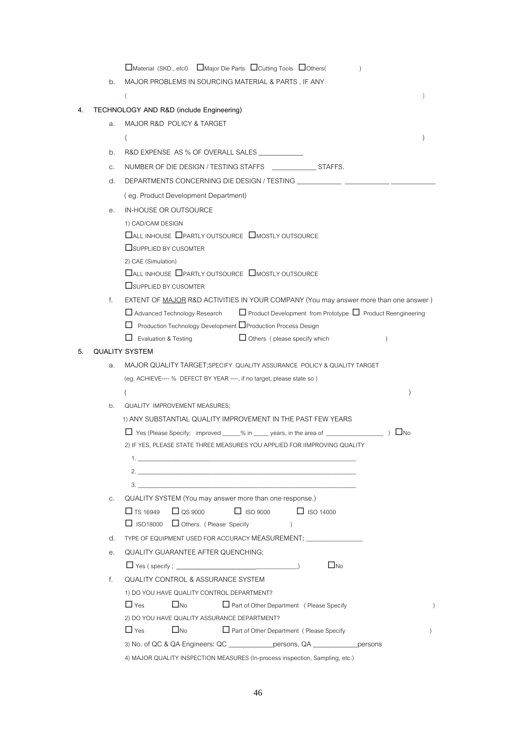|    |    | □Material (SKD., etc0 □Major Die Parts □Cutting Tools □Others(                                                |
|----|----|---------------------------------------------------------------------------------------------------------------|
|    | b. | MAJOR PROBLEMS IN SOURCING MATERIAL & PARTS, IF ANY                                                           |
|    |    |                                                                                                               |
| 4. |    | TECHNOLOGY AND R&D (include Engineering)                                                                      |
|    | a. | MAJOR R&D POLICY & TARGET                                                                                     |
|    |    |                                                                                                               |
|    | b. | R&D EXPENSE AS % OF OVERALL SALES                                                                             |
|    | C. | NUMBER OF DIE DESIGN / TESTING STAFFS _________________ STAFFS.                                               |
|    | d. | DEPARTMENTS CONCERNING DIE DESIGN / TESTING ___________ _____________ _                                       |
|    |    | (eg. Product Development Department)                                                                          |
|    | е. | IN-HOUSE OR OUTSOURCE                                                                                         |
|    |    | 1) CAD/CAM DESIGN                                                                                             |
|    |    | □ ALL INHOUSE □ PARTLY OUTSOURCE □ MOSTLY OUTSOURCE                                                           |
|    |    | SUPPLIED BY CUSOMTER                                                                                          |
|    |    | 2) CAE (Simulation)                                                                                           |
|    |    | DALL INHOUSE OPARTLY OUTSOURCE OMOSTLY OUTSOURCE                                                              |
|    |    | <b>SUPPLIED BY CUSOMTER</b>                                                                                   |
|    | f. | EXTENT OF MAJOR R&D ACTIVITIES IN YOUR COMPANY (You may answer more than one answer)                          |
|    |    | $\Box$ Product Development from Prototype $\Box$ Product Reengineering<br>$\Box$ Advanced Technology Research |
|    |    | □ Production Technology Development □ Production Process Design                                               |
|    |    | $\Box$ Others (please specify which<br>$\Box$ Evaluation & Testing                                            |
| 5. |    | <b>QUALITY SYSTEM</b>                                                                                         |
|    | a. | MAJOR QUALITY TARGET; SPECIFY QUALITY ASSURANCE POLICY & QUALITY TARGET                                       |
|    |    | (eg. ACHIEVE---- % DEFECT BY YEAR ----, if no target, please state so)                                        |
|    |    |                                                                                                               |
|    | b. | QUALITY IMPROVEMENT MEASURES;                                                                                 |
|    |    | 1) ANY SUBSTANTIAL QUALITY IMPROVEMENT IN THE PAST FEW YEARS                                                  |
|    |    | □ Yes (Please Specify; improved _____% in ____ years, in the area of ___________<br>) LINO                    |
|    |    | 2) IF YES, PLEASE STATE THREE MEASURES YOU APPLIED FOR IIMPROVING QUALITY                                     |
|    |    | $\mathbf{1}$ .                                                                                                |
|    |    | 2. $\blacksquare$                                                                                             |
|    |    |                                                                                                               |
|    | C. | QUALITY SYSTEM (You may answer more than one response.)                                                       |
|    |    | $\Box$ QS 9000<br>$\Box$ ISO 9000<br>$\Box$ ISO 14000<br>$\Box$ TS 16949                                      |
|    |    | $\Box$ ISO18000 $\Box$ Others. (Please Specify<br>$\rightarrow$                                               |
|    | d. | TYPE OF EQUIPMENT USED FOR ACCURACY MEASUREMENT; ___________________                                          |
|    | е. | <b>QUALITY GUARANTEE AFTER QUENCHING:</b>                                                                     |
|    |    | $\square$ No                                                                                                  |
|    | f. | <b>QUALITY CONTROL &amp; ASSURANCE SYSTEM</b>                                                                 |
|    |    | 1) DO YOU HAVE QUALITY CONTROL DEPARTMENT?                                                                    |
|    |    | Part of Other Department (Please Specify<br>$\Box$ Yes<br>$\Box$ No<br>$\lambda$                              |
|    |    | 2) DO YOU HAVE QUALITY ASSURANCE DEPARTMENT?                                                                  |
|    |    | $\Box$ Yes<br>$\Box$ No<br>Part of Other Department (Please Specify<br>$\lambda$                              |
|    |    | 3) No. of QC & QA Engineers: QC _____________ persons, QA ___________ persons                                 |
|    |    | 4) MAJOR QUALITY INSPECTION MEASURES (In-process inspection, Sampling, etc.)                                  |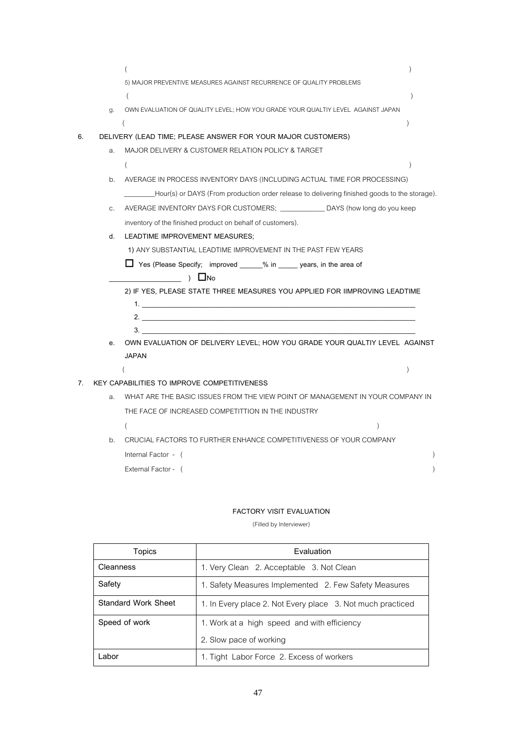|    |    | 5) MAJOR PREVENTIVE MEASURES AGAINST RECURRENCE OF QUALITY PROBLEMS<br>$\lambda$                                   |  |
|----|----|--------------------------------------------------------------------------------------------------------------------|--|
|    |    |                                                                                                                    |  |
|    | g. | OWN EVALUATION OF QUALITY LEVEL; HOW YOU GRADE YOUR QUALTIY LEVEL AGAINST JAPAN                                    |  |
|    |    |                                                                                                                    |  |
| 6. |    | DELIVERY (LEAD TIME; PLEASE ANSWER FOR YOUR MAJOR CUSTOMERS)<br>MAJOR DELIVERY & CUSTOMER RELATION POLICY & TARGET |  |
|    | a. |                                                                                                                    |  |
|    |    |                                                                                                                    |  |
|    | b. | AVERAGE IN PROCESS INVENTORY DAYS (INCLUDING ACTUAL TIME FOR PROCESSING)                                           |  |
|    |    | _Hour(s) or DAYS (From production order release to delivering finished goods to the storage).                      |  |
|    | C. | AVERAGE INVENTORY DAYS FOR CUSTOMERS; ____________ DAYS (how long do you keep                                      |  |
|    |    | inventory of the finished product on behalf of customers).                                                         |  |
|    | d. | LEADTIME IMPROVEMENT MEASURES;                                                                                     |  |
|    |    | 1) ANY SUBSTANTIAL LEADTIME IMPROVEMENT IN THE PAST FEW YEARS                                                      |  |
|    |    | □ Yes (Please Specify; improved _____% in _____ years, in the area of                                              |  |
|    |    | $\angle$ $\Box$ No                                                                                                 |  |
|    |    | 2) IF YES, PLEASE STATE THREE MEASURES YOU APPLIED FOR IIMPROVING LEADTIME                                         |  |
|    |    |                                                                                                                    |  |
|    |    |                                                                                                                    |  |
|    |    | 3.                                                                                                                 |  |
|    | е. | OWN EVALUATION OF DELIVERY LEVEL; HOW YOU GRADE YOUR QUALTIY LEVEL AGAINST                                         |  |
|    |    | <b>JAPAN</b>                                                                                                       |  |
|    |    |                                                                                                                    |  |
| 7. |    | KEY CAPABILITIES TO IMPROVE COMPETITIVENESS                                                                        |  |
|    | a. | WHAT ARE THE BASIC ISSUES FROM THE VIEW POINT OF MANAGEMENT IN YOUR COMPANY IN                                     |  |
|    |    | THE FACE OF INCREASED COMPETITTION IN THE INDUSTRY                                                                 |  |
|    |    |                                                                                                                    |  |
|    | b. | CRUCIAL FACTORS TO FURTHER ENHANCE COMPETITIVENESS OF YOUR COMPANY                                                 |  |
|    |    | Internal Factor - (                                                                                                |  |
|    |    | External Factor - (                                                                                                |  |

#### **FACTORY VISIT EVALUATION**

(Filled by Interviewer)

| Topics                     | Evaluation                                                 |
|----------------------------|------------------------------------------------------------|
| Cleanness                  | 1. Very Clean 2. Acceptable 3. Not Clean                   |
| Safety                     | 1. Safety Measures Implemented 2. Few Safety Measures      |
| <b>Standard Work Sheet</b> | 1. In Every place 2. Not Every place 3. Not much practiced |
| Speed of work              | 1. Work at a high speed and with efficiency                |
|                            | 2. Slow pace of working                                    |
| I abor                     | 1. Tight Labor Force 2. Excess of workers                  |